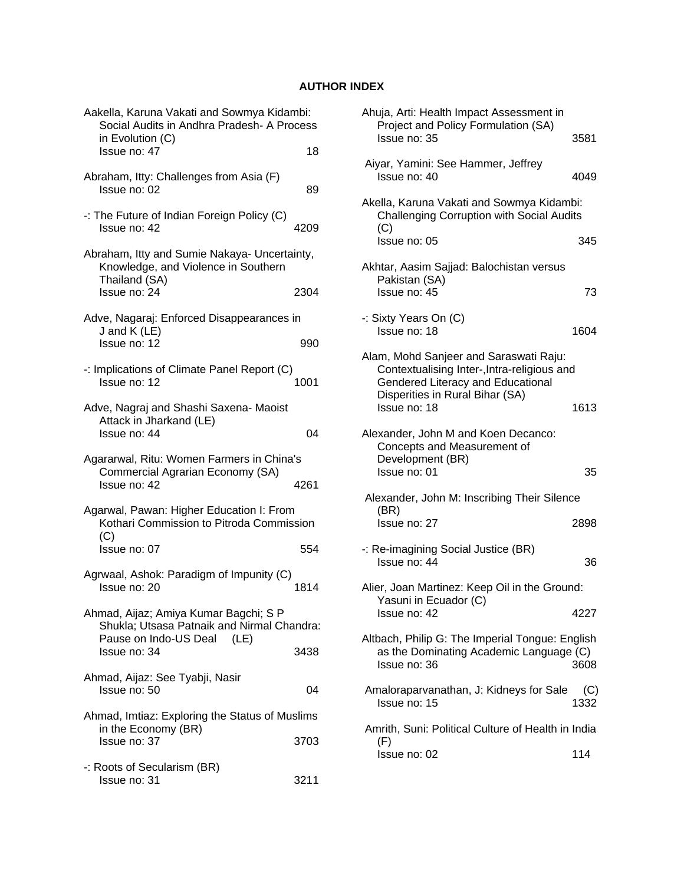## **AUTHOR INDEX**

| Aakella, Karuna Vakati and Sowmya Kidambi:<br>Social Audits in Andhra Pradesh- A Process<br>in Evolution (C)      |      |
|-------------------------------------------------------------------------------------------------------------------|------|
| Issue no: 47                                                                                                      | 18   |
| Abraham, Itty: Challenges from Asia (F)<br>Issue no: 02                                                           | 89   |
| -: The Future of Indian Foreign Policy (C)<br>Issue no: 42                                                        | 4209 |
| Abraham, Itty and Sumie Nakaya- Uncertainty,<br>Knowledge, and Violence in Southern<br>Thailand (SA)              |      |
| Issue no: 24                                                                                                      | 2304 |
| Adve, Nagaraj: Enforced Disappearances in<br>J and K (LE)<br>Issue no: 12                                         | 990  |
| -: Implications of Climate Panel Report (C)<br>Issue no: 12                                                       | 1001 |
| Adve, Nagraj and Shashi Saxena- Maoist<br>Attack in Jharkand (LE)<br>Issue no: 44                                 | 04   |
| Agararwal, Ritu: Women Farmers in China's<br>Commercial Agrarian Economy (SA)<br>Issue no: 42                     | 4261 |
| Agarwal, Pawan: Higher Education I: From<br>Kothari Commission to Pitroda Commission<br>(C)                       |      |
| Issue no: 07                                                                                                      | 554  |
| Agrwaal, Ashok: Paradigm of Impunity (C)<br>Issue no: 20                                                          | 1814 |
| Ahmad, Aijaz; Amiya Kumar Bagchi; S P<br>Shukla; Utsasa Patnaik and Nirmal Chandra:<br>Pause on Indo-US Deal (LE) |      |
| Issue no: 34                                                                                                      | 3438 |
| Ahmad, Aijaz: See Tyabji, Nasir<br>Issue no: 50                                                                   | 04   |
| Ahmad, Imtiaz: Exploring the Status of Muslims                                                                    |      |
| in the Economy (BR)<br>Issue no: 37                                                                               | 3703 |
| -: Roots of Secularism (BR)<br>Issue no: 31                                                                       | 3211 |

| Ahuja, Arti: Health Impact Assessment in<br>Project and Policy Formulation (SA)<br>Issue no: 35                                                                               | 3581        |
|-------------------------------------------------------------------------------------------------------------------------------------------------------------------------------|-------------|
| Aiyar, Yamini: See Hammer, Jeffrey<br>Issue no: 40                                                                                                                            | 4049        |
| Akella, Karuna Vakati and Sowmya Kidambi:<br><b>Challenging Corruption with Social Audits</b>                                                                                 |             |
| (C)<br>Issue no: 05                                                                                                                                                           | 345         |
| Akhtar, Aasim Sajjad: Balochistan versus<br>Pakistan (SA)<br>Issue no: 45                                                                                                     | 73          |
| -: Sixty Years On (C)<br>Issue no: 18                                                                                                                                         | 1604        |
| Alam, Mohd Sanjeer and Saraswati Raju:<br>Contextualising Inter-, Intra-religious and<br>Gendered Literacy and Educational<br>Disperities in Rural Bihar (SA)<br>Issue no: 18 | 1613        |
| Alexander, John M and Koen Decanco:<br>Concepts and Measurement of<br>Development (BR)<br>Issue no: 01                                                                        | 35          |
| Alexander, John M: Inscribing Their Silence                                                                                                                                   |             |
| (BR)<br>Issue no: 27                                                                                                                                                          | 2898        |
| -: Re-imagining Social Justice (BR)<br>Issue no: 44                                                                                                                           | 36          |
| Alier, Joan Martinez: Keep Oil in the Ground:<br>Yasuni in Ecuador (C)                                                                                                        |             |
| Issue no: 42                                                                                                                                                                  | 4227        |
| Altbach, Philip G: The Imperial Tongue: English<br>as the Dominating Academic Language (C)<br>Issue no: 36                                                                    | 3608        |
| Amaloraparvanathan, J: Kidneys for Sale<br>Issue no: 15                                                                                                                       | (C)<br>1332 |
| Amrith, Suni: Political Culture of Health in India<br>(F)                                                                                                                     |             |
| Issue no: 02                                                                                                                                                                  | 114         |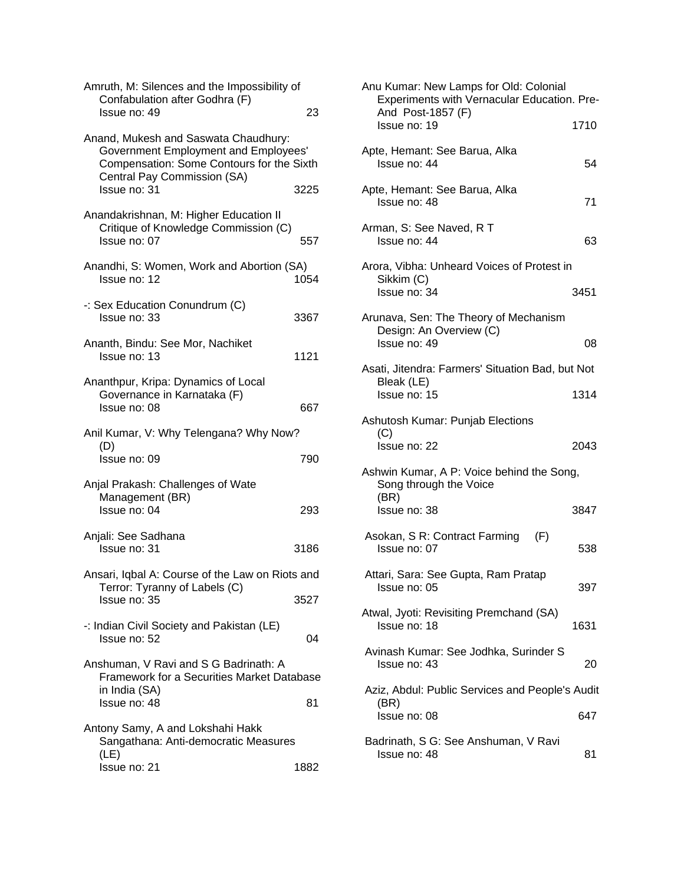| Amruth, M: Silences and the Impossibility of<br>Confabulation after Godhra (F)<br>Issue no: 49                                                                  | 23   |
|-----------------------------------------------------------------------------------------------------------------------------------------------------------------|------|
| Anand, Mukesh and Saswata Chaudhury:<br><b>Government Employment and Employees'</b><br>Compensation: Some Contours for the Sixth<br>Central Pay Commission (SA) |      |
| Issue no: 31                                                                                                                                                    | 3225 |
| Anandakrishnan, M: Higher Education II<br>Critique of Knowledge Commission (C)<br>Issue no: 07                                                                  | 557  |
| Anandhi, S: Women, Work and Abortion (SA)<br>Issue no: 12                                                                                                       | 1054 |
| -: Sex Education Conundrum (C)<br>Issue no: 33                                                                                                                  | 3367 |
| Ananth, Bindu: See Mor, Nachiket<br>Issue no: 13                                                                                                                | 1121 |
| Ananthpur, Kripa: Dynamics of Local<br>Governance in Karnataka (F)<br>Issue no: 08                                                                              | 667  |
| Anil Kumar, V: Why Telengana? Why Now?                                                                                                                          |      |
| (D)<br>Issue no: 09                                                                                                                                             | 790  |
| Anjal Prakash: Challenges of Wate<br>Management (BR)<br>Issue no: 04                                                                                            | 293  |
| Anjali: See Sadhana<br>Issue no: 31                                                                                                                             | 3186 |
| Ansari, Iqbal A: Course of the Law on Riots and                                                                                                                 |      |
| Terror: Tyranny of Labels (C)<br>Issue no: 35                                                                                                                   | 3527 |
| -: Indian Civil Society and Pakistan (LE)<br>Issue no: 52                                                                                                       | 04   |
| Anshuman, V Ravi and S G Badrinath: A<br><b>Framework for a Securities Market Database</b><br>in India (SA)                                                     |      |
| Issue no: 48                                                                                                                                                    | 81   |
| Antony Samy, A and Lokshahi Hakk<br>Sangathana: Anti-democratic Measures<br>(LE)                                                                                |      |
| Issue no: 21                                                                                                                                                    | 1882 |

| ξ      | Anu Kumar: New Lamps for Old: Colonial<br>Experiments with Vernacular Education. Pre-<br>And Post-1857 (F) |      |
|--------|------------------------------------------------------------------------------------------------------------|------|
|        | Issue no: 19                                                                                               | 1710 |
|        | Apte, Hemant: See Barua, Alka<br>Issue no: 44                                                              | 54   |
|        | Apte, Hemant: See Barua, Alka<br>Issue no: 48                                                              | 71   |
|        | Arman, S: See Naved, R T<br>Issue no: 44                                                                   | 63   |
| ı      | Arora, Vibha: Unheard Voices of Protest in<br>Sikkim (C)<br>Issue no: 34                                   | 3451 |
| 7      | Arunava, Sen: The Theory of Mechanism<br>Design: An Overview (C)<br>Issue no: 49                           | 08   |
|        | Asati, Jitendra: Farmers' Situation Bad, but Not<br>Bleak (LE)<br>Issue no: 15                             | 1314 |
|        | Ashutosh Kumar: Punjab Elections<br>(C)                                                                    |      |
|        | Issue no: 22                                                                                               | 2043 |
|        | Ashwin Kumar, A P: Voice behind the Song,<br>Song through the Voice<br>(BR)                                |      |
|        | Issue no: 38                                                                                               | 3847 |
|        | Asokan, S R: Contract Farming<br>(F)<br>Issue no: 07                                                       | 538  |
| J<br>7 | Attari, Sara: See Gupta, Ram Pratap<br>Issue no: 05                                                        | 397  |
|        | Atwal, Jyoti: Revisiting Premchand (SA)<br>Issue no: 18                                                    | 1631 |
|        | Avinash Kumar: See Jodhka, Surinder S<br>Issue no: 43                                                      | 20   |
| е      | Aziz, Abdul: Public Services and People's Audit                                                            |      |
|        | (BR)<br>Issue no: 08                                                                                       | 647  |
|        | Badrinath, S G: See Anshuman, V Ravi<br>Issue no: 48                                                       | 81   |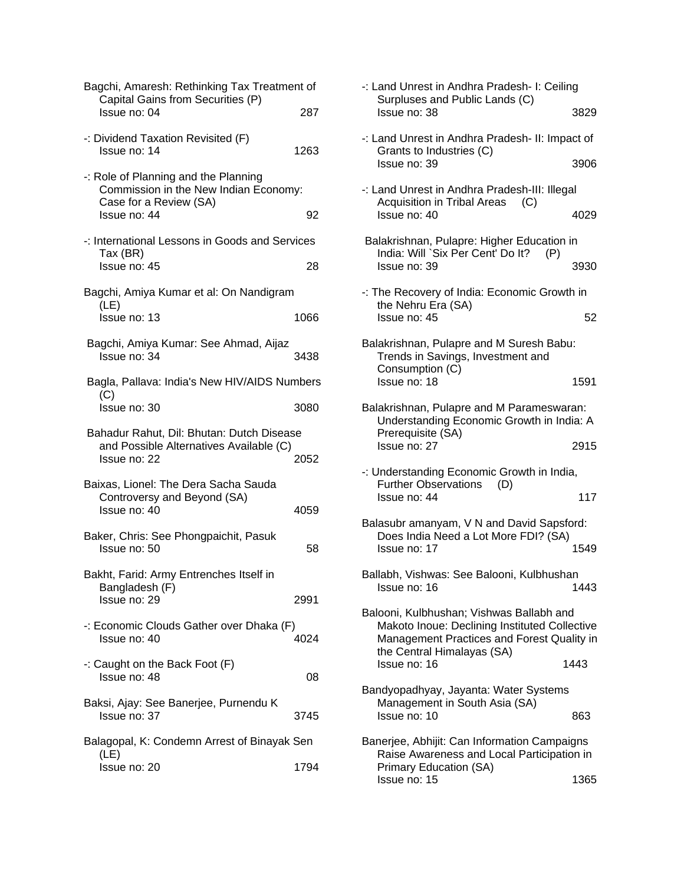| Bagchi, Amaresh: Rethinking Tax Treatment of<br>Capital Gains from Securities (P)                       |      |
|---------------------------------------------------------------------------------------------------------|------|
| Issue no: 04                                                                                            | 287  |
| -: Dividend Taxation Revisited (F)<br>Issue no: 14                                                      | 1263 |
| -: Role of Planning and the Planning<br>Commission in the New Indian Economy:<br>Case for a Review (SA) |      |
| Issue no: 44                                                                                            | 92   |
| -: International Lessons in Goods and Services<br>Tax (BR)<br>Issue no: 45                              | 28   |
| Bagchi, Amiya Kumar et al: On Nandigram                                                                 |      |
| (LE)<br>Issue no: 13                                                                                    | 1066 |
| Bagchi, Amiya Kumar: See Ahmad, Aijaz<br>Issue no: 34                                                   | 3438 |
| Bagla, Pallava: India's New HIV/AIDS Numbers                                                            |      |
| (C)<br>Issue no: 30                                                                                     | 3080 |
| Bahadur Rahut, Dil: Bhutan: Dutch Disease<br>and Possible Alternatives Available (C)<br>Issue no: 22    | 2052 |
| Baixas, Lionel: The Dera Sacha Sauda<br>Controversy and Beyond (SA)<br>Issue no: 40                     | 4059 |
| Baker, Chris: See Phongpaichit, Pasuk<br>Issue no: 50                                                   | 58   |
| Bakht, Farid: Army Entrenches Itself in                                                                 |      |
| Bangladesh (F)<br>Issue no: 29                                                                          | 2991 |
| -: Economic Clouds Gather over Dhaka (F)<br>Issue no: 40                                                | 4024 |
| -: Caught on the Back Foot $(F)$<br>Issue no: 48                                                        | 08   |
| Baksi, Ajay: See Banerjee, Purnendu K<br>Issue no: 37                                                   | 3745 |
| Balagopal, K: Condemn Arrest of Binayak Sen                                                             |      |
| (LE)<br>Issue no: 20                                                                                    | 1794 |

| -: Land Unrest in Andhra Pradesh- I: Ceiling<br>Surpluses and Public Lands (C)                                                          |      |
|-----------------------------------------------------------------------------------------------------------------------------------------|------|
| Issue no: 38                                                                                                                            | 3829 |
| -: Land Unrest in Andhra Pradesh- II: Impact of<br>Grants to Industries (C)                                                             |      |
| Issue no: 39                                                                                                                            | 3906 |
| -: Land Unrest in Andhra Pradesh-III: Illegal<br><b>Acquisition in Tribal Areas</b><br>(C)                                              |      |
| Issue no: 40                                                                                                                            | 4029 |
| Balakrishnan, Pulapre: Higher Education in<br>India: Will `Six Per Cent' Do It?<br>(P)                                                  |      |
| Issue no: 39                                                                                                                            | 3930 |
| -: The Recovery of India: Economic Growth in<br>the Nehru Era (SA)                                                                      |      |
| Issue no: 45                                                                                                                            | 52   |
| Balakrishnan, Pulapre and M Suresh Babu:<br>Trends in Savings, Investment and                                                           |      |
| Consumption (C)<br>Issue no: 18                                                                                                         | 1591 |
| Balakrishnan, Pulapre and M Parameswaran:<br>Understanding Economic Growth in India: A                                                  |      |
| Prerequisite (SA)<br>Issue no: 27                                                                                                       | 2915 |
| -: Understanding Economic Growth in India,                                                                                              |      |
| Further Observations (D)<br>Issue no: 44                                                                                                | 117  |
| Balasubr amanyam, V N and David Sapsford:                                                                                               |      |
| Does India Need a Lot More FDI? (SA)<br>Issue no: 17                                                                                    | 1549 |
| Ballabh, Vishwas: See Balooni, Kulbhushan<br>Issue no: 16                                                                               | 1443 |
| Balooni, Kulbhushan; Vishwas Ballabh and<br>Makoto Inoue: Declining Instituted Collective<br>Management Practices and Forest Quality in |      |
| the Central Himalayas (SA)<br>Issue no: 16                                                                                              | 1443 |
| Bandyopadhyay, Jayanta: Water Systems<br>Management in South Asia (SA)                                                                  |      |
| Issue no: 10                                                                                                                            | 863  |
| Banerjee, Abhijit: Can Information Campaigns<br>Raise Awareness and Local Participation in                                              |      |
| Primary Education (SA)<br>Issue no: 15                                                                                                  | 1365 |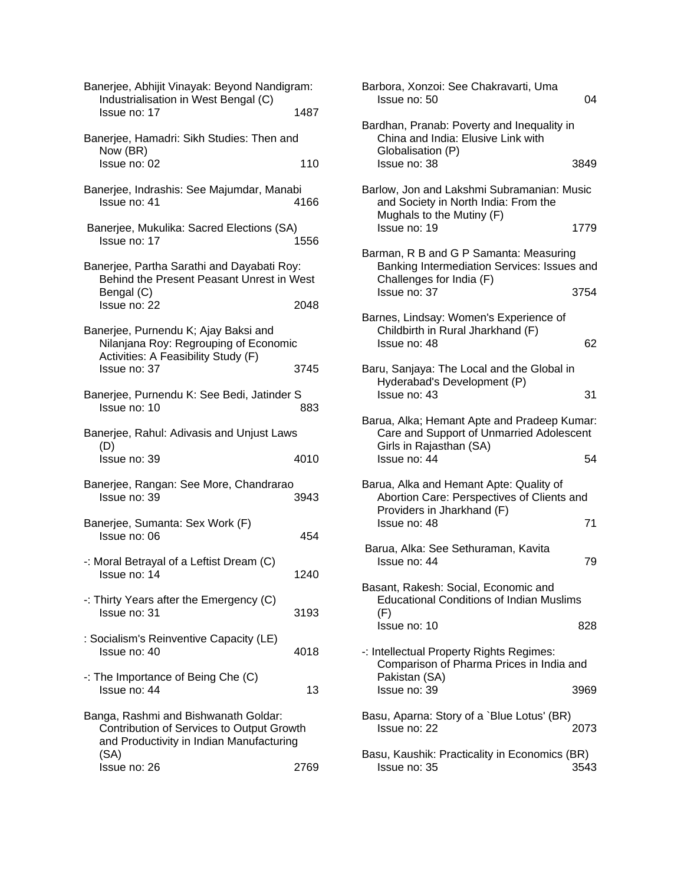| Banerjee, Abhijit Vinayak: Beyond Nandigram:<br>Industrialisation in West Bengal (C)<br>Issue no: 17                                 | 1487        | Barbora, Xonzoi: See Chakravarti, Uma<br>Issue no: 50                                                                                     |
|--------------------------------------------------------------------------------------------------------------------------------------|-------------|-------------------------------------------------------------------------------------------------------------------------------------------|
| Banerjee, Hamadri: Sikh Studies: Then and<br>Now (BR)                                                                                |             | Bardhan, Pranab: Poverty and Inequality in<br>China and India: Elusive Link with<br>Globalisation (P)                                     |
| Issue no: 02                                                                                                                         | 110         | 3<br>Issue no: 38                                                                                                                         |
| Banerjee, Indrashis: See Majumdar, Manabi<br>Issue no: 41                                                                            | 4166        | Barlow, Jon and Lakshmi Subramanian: Mu<br>and Society in North India: From the<br>Mughals to the Mutiny (F)                              |
| Banerjee, Mukulika: Sacred Elections (SA)<br>Issue no: 17                                                                            | 1556        | Issue no: 19<br>1                                                                                                                         |
| Banerjee, Partha Sarathi and Dayabati Roy:<br>Behind the Present Peasant Unrest in West<br>Bengal (C)                                |             | Barman, R B and G P Samanta: Measuring<br><b>Banking Intermediation Services: Issues</b><br>Challenges for India (F)<br>3<br>Issue no: 37 |
| Issue no: 22<br>Banerjee, Purnendu K; Ajay Baksi and<br>Nilanjana Roy: Regrouping of Economic<br>Activities: A Feasibility Study (F) | 2048        | Barnes, Lindsay: Women's Experience of<br>Childbirth in Rural Jharkhand (F)<br>Issue no: 48                                               |
| Issue no: 37<br>Banerjee, Purnendu K: See Bedi, Jatinder S<br>Issue no: 10                                                           | 3745<br>883 | Baru, Sanjaya: The Local and the Global in<br>Hyderabad's Development (P)<br>Issue no: 43                                                 |
| Banerjee, Rahul: Adivasis and Unjust Laws<br>(D)<br>Issue no: 39                                                                     | 4010        | Barua, Alka; Hemant Apte and Pradeep Kur<br>Care and Support of Unmarried Adolesco<br>Girls in Rajasthan (SA)<br>Issue no: 44             |
| Banerjee, Rangan: See More, Chandrarao<br>Issue no: 39                                                                               | 3943        | Barua, Alka and Hemant Apte: Quality of<br>Abortion Care: Perspectives of Clients ar<br>Providers in Jharkhand (F)                        |
| Banerjee, Sumanta: Sex Work (F)<br>Issue no: 06                                                                                      | 454         | Issue no: 48                                                                                                                              |
| -: Moral Betrayal of a Leftist Dream (C)<br>Issue no: 14                                                                             | 1240        | Barua, Alka: See Sethuraman, Kavita<br>Issue no: 44                                                                                       |
| -: Thirty Years after the Emergency (C)<br>Issue no: 31                                                                              | 3193        | Basant, Rakesh: Social, Economic and<br><b>Educational Conditions of Indian Muslims</b><br>(F)<br>Issue no: 10                            |
| : Socialism's Reinventive Capacity (LE)<br>Issue no: 40                                                                              | 4018        | -: Intellectual Property Rights Regimes:<br>Comparison of Pharma Prices in India ar                                                       |
| $\cdot$ : The Importance of Being Che (C)<br>Issue no: 44                                                                            | 13          | Pakistan (SA)<br>Issue no: 39<br>3                                                                                                        |
| Banga, Rashmi and Bishwanath Goldar:<br>Contribution of Services to Output Growth<br>and Productivity in Indian Manufacturing        |             | Basu, Aparna: Story of a `Blue Lotus' (BR)<br>2<br>Issue no: 22                                                                           |
| (SA)<br>Issue no: 26                                                                                                                 | 2769        | Basu, Kaushik: Practicality in Economics (B<br>Issue no: 35<br>3                                                                          |

| gram:       | Barbora, Xonzoi: See Chakravarti, Uma<br>Issue no: 50                                                               | 04   |
|-------------|---------------------------------------------------------------------------------------------------------------------|------|
| 1487        |                                                                                                                     |      |
| nd          | Bardhan, Pranab: Poverty and Inequality in<br>China and India: Elusive Link with<br>Globalisation (P)               |      |
| 110         | Issue no: 38                                                                                                        | 3849 |
| abi<br>4166 | Barlow, Jon and Lakshmi Subramanian: Music<br>and Society in North India: From the<br>Mughals to the Mutiny (F)     |      |
| A)<br>1556  | Issue no: 19                                                                                                        | 1779 |
| oy:<br>West | Barman, R B and G P Samanta: Measuring<br>Banking Intermediation Services: Issues and<br>Challenges for India (F)   |      |
| 2048        | Issue no: 37                                                                                                        | 3754 |
| ١ic         | Barnes, Lindsay: Women's Experience of<br>Childbirth in Rural Jharkhand (F)<br>Issue no: 48                         | 62   |
| 3745        | Baru, Sanjaya: The Local and the Global in<br>Hyderabad's Development (P)                                           |      |
| r S<br>883  | Issue no: 43                                                                                                        | 31   |
| NS          | Barua, Alka; Hemant Apte and Pradeep Kumar:<br>Care and Support of Unmarried Adolescent<br>Girls in Rajasthan (SA)  |      |
| 4010        | Issue no: 44                                                                                                        | 54   |
| Ю<br>3943   | Barua, Alka and Hemant Apte: Quality of<br>Abortion Care: Perspectives of Clients and<br>Providers in Jharkhand (F) |      |
| 454         | Issue no: 48                                                                                                        | 71   |
| 1240        | Barua, Alka: See Sethuraman, Kavita<br>Issue no: 44                                                                 | 79   |
|             | Basant, Rakesh: Social, Economic and<br><b>Educational Conditions of Indian Muslims</b>                             |      |
| 3193        | (F)<br>Issue no: 10                                                                                                 | 828  |
| 4018        | -: Intellectual Property Rights Regimes:<br>Comparison of Pharma Prices in India and<br>Pakistan (SA)               |      |
| 13          | Issue no: 39                                                                                                        | 3969 |
| wth<br>ng   | Basu, Aparna: Story of a `Blue Lotus' (BR)<br>Issue no: 22                                                          | 2073 |
| 2769        | Basu, Kaushik: Practicality in Economics (BR)<br>Issue no: 35                                                       | 3543 |
|             |                                                                                                                     |      |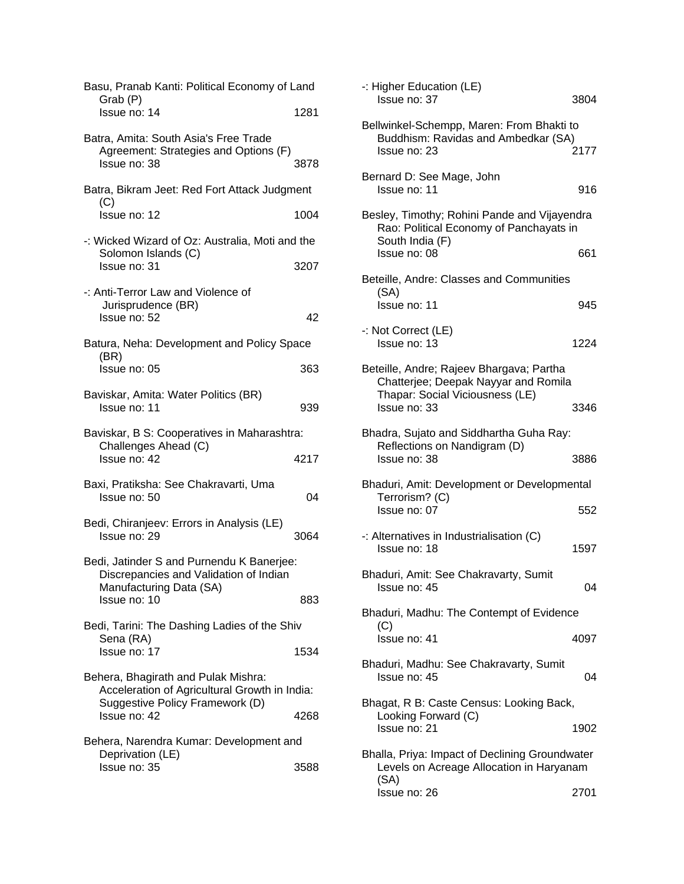| Basu, Pranab Kanti: Political Economy of Land<br>Grab (P)                                                               |      |
|-------------------------------------------------------------------------------------------------------------------------|------|
| Issue no: 14                                                                                                            | 1281 |
| Batra, Amita: South Asia's Free Trade<br>Agreement: Strategies and Options (F)<br>Issue no: 38                          | 3878 |
| Batra, Bikram Jeet: Red Fort Attack Judgment<br>(C)                                                                     |      |
| Issue no: 12                                                                                                            | 1004 |
| -: Wicked Wizard of Oz: Australia, Moti and the<br>Solomon Islands (C)<br>Issue no: 31                                  | 3207 |
| -: Anti-Terror Law and Violence of<br>Jurisprudence (BR)<br>Issue no: 52                                                | 42   |
| Batura, Neha: Development and Policy Space                                                                              |      |
| (BR)<br>Issue no: 05                                                                                                    | 363  |
| Baviskar, Amita: Water Politics (BR)<br>Issue no: 11                                                                    | 939  |
| Baviskar, B S: Cooperatives in Maharashtra:<br>Challenges Ahead (C)                                                     |      |
| Issue no: 42                                                                                                            | 4217 |
| Baxi, Pratiksha: See Chakravarti, Uma<br>Issue no: 50                                                                   | 04   |
| Bedi, Chiranjeev: Errors in Analysis (LE)<br>Issue no: 29                                                               | 3064 |
| Bedi, Jatinder S and Purnendu K Banerjee:<br>Discrepancies and Validation of Indian                                     |      |
| Manufacturing Data (SA)<br>Issue no: 10                                                                                 | 883  |
| Bedi, Tarini: The Dashing Ladies of the Shiv<br>Sena (RA)                                                               |      |
| Issue no: 17                                                                                                            | 1534 |
| Behera, Bhagirath and Pulak Mishra:<br>Acceleration of Agricultural Growth in India:<br>Suggestive Policy Framework (D) |      |
| Issue no: 42                                                                                                            | 4268 |
| Behera, Narendra Kumar: Development and<br>Deprivation (LE)                                                             |      |
| Issue no: 35                                                                                                            | 3588 |
|                                                                                                                         |      |

| -: Higher Education (LE)<br>Issue no: 37                                                                            | 3804 |
|---------------------------------------------------------------------------------------------------------------------|------|
| Bellwinkel-Schempp, Maren: From Bhakti to<br>Buddhism: Ravidas and Ambedkar (SA)<br>Issue no: 23                    | 2177 |
| Bernard D: See Mage, John<br>Issue no: 11                                                                           | 916  |
| Besley, Timothy; Rohini Pande and Vijayendra<br>Rao: Political Economy of Panchayats in<br>South India (F)          |      |
| Issue no: 08                                                                                                        | 661  |
| Beteille, Andre: Classes and Communities<br>(SA)                                                                    |      |
| Issue no: 11                                                                                                        | 945  |
| -: Not Correct (LE)<br>Issue no: 13                                                                                 | 1224 |
| Beteille, Andre; Rajeev Bhargava; Partha<br>Chatterjee; Deepak Nayyar and Romila<br>Thapar: Social Viciousness (LE) |      |
| Issue no: 33                                                                                                        | 3346 |
| Bhadra, Sujato and Siddhartha Guha Ray:<br>Reflections on Nandigram (D)<br>Issue no: 38                             | 3886 |
|                                                                                                                     |      |
| Bhaduri, Amit: Development or Developmental<br>Terrorism? (C)<br>Issue no: 07                                       | 552  |
| -: Alternatives in Industrialisation (C)<br>Issue no: 18                                                            | 1597 |
| Bhaduri, Amit: See Chakravarty, Sumit<br>Issue no: 45                                                               | 04   |
| Bhaduri, Madhu: The Contempt of Evidence                                                                            |      |
| (C)<br>Issue no: 41                                                                                                 | 4097 |
| Bhaduri, Madhu: See Chakravarty, Sumit<br>Issue no: 45                                                              | 04   |
| Bhagat, R B: Caste Census: Looking Back,                                                                            |      |
| Looking Forward (C)<br>Issue no: 21                                                                                 | 1902 |
| Bhalla, Priya: Impact of Declining Groundwater<br>Levels on Acreage Allocation in Haryanam                          |      |
| (SA)<br>Issue no: 26                                                                                                | 2701 |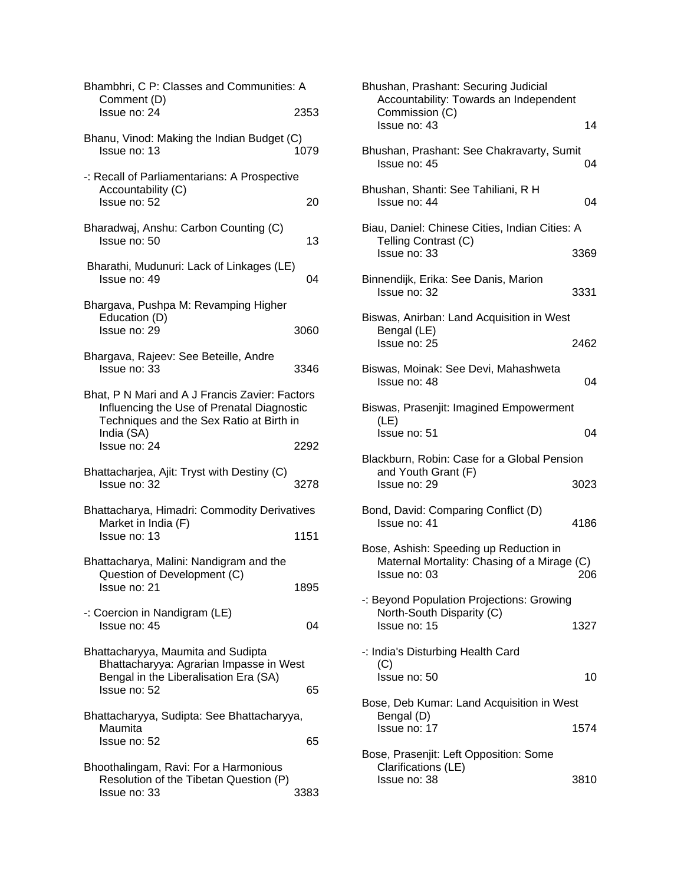| Bhambhri, C P: Classes and Communities: A<br>Comment (D)<br>Issue no: 24                                                                               | 2353 |
|--------------------------------------------------------------------------------------------------------------------------------------------------------|------|
| Bhanu, Vinod: Making the Indian Budget (C)<br>Issue no: 13                                                                                             | 1079 |
| -: Recall of Parliamentarians: A Prospective<br>Accountability (C)<br>Issue no: 52                                                                     | 20   |
| Bharadwaj, Anshu: Carbon Counting (C)<br>Issue no: 50                                                                                                  | 13   |
| Bharathi, Mudunuri: Lack of Linkages (LE)<br>Issue no: 49                                                                                              | 04   |
| Bhargava, Pushpa M: Revamping Higher<br>Education (D)<br>Issue no: 29                                                                                  | 3060 |
| Bhargava, Rajeev: See Beteille, Andre<br>Issue no: 33                                                                                                  | 3346 |
| Bhat, P N Mari and A J Francis Zavier: Factors<br>Influencing the Use of Prenatal Diagnostic<br>Techniques and the Sex Ratio at Birth in<br>India (SA) |      |
| Issue no: 24                                                                                                                                           | 2292 |
| Bhattacharjea, Ajit: Tryst with Destiny (C)<br>Issue no: 32                                                                                            | 3278 |
| Bhattacharya, Himadri: Commodity Derivatives                                                                                                           |      |
| Market in India (F)<br>Issue no: 13                                                                                                                    | 1151 |
| Bhattacharya, Malini: Nandigram and the<br>Question of Development (C)<br>Issue no: 21                                                                 | 1895 |
| -: Coercion in Nandigram (LE)<br>Issue no: 45                                                                                                          | 04   |
| Bhattacharyya, Maumita and Sudipta<br>Bhattacharyya: Agrarian Impasse in West<br>Bengal in the Liberalisation Era (SA)<br>Issue no: 52                 | 65   |
| Bhattacharyya, Sudipta: See Bhattacharyya,<br>Maumita<br>Issue no: 52                                                                                  | 65   |
| Bhoothalingam, Ravi: For a Harmonious<br>Resolution of the Tibetan Question (P)<br>Issue no: 33                                                        | 3383 |

| Bhushan, Prashant: Securing Judicial<br>Accountability: Towards an Independent<br>Commission (C)      |      |
|-------------------------------------------------------------------------------------------------------|------|
| Issue no: 43                                                                                          | 14   |
| Bhushan, Prashant: See Chakravarty, Sumit<br>Issue no: 45                                             | 04   |
| Bhushan, Shanti: See Tahiliani, R H<br>Issue no: 44                                                   | 04   |
| Biau, Daniel: Chinese Cities, Indian Cities: A                                                        |      |
| Telling Contrast (C)<br>Issue no: 33                                                                  | 3369 |
| Binnendijk, Erika: See Danis, Marion<br>Issue no: 32                                                  | 3331 |
| Biswas, Anirban: Land Acquisition in West                                                             |      |
| Bengal (LE)<br>Issue no: 25                                                                           | 2462 |
| Biswas, Moinak: See Devi, Mahashweta<br>Issue no: 48                                                  | 04   |
| Biswas, Prasenjit: Imagined Empowerment                                                               |      |
| (LE)<br>Issue no: 51                                                                                  | 04   |
| Blackburn, Robin: Case for a Global Pension                                                           |      |
| and Youth Grant (F)<br>Issue no: 29                                                                   | 3023 |
| Bond, David: Comparing Conflict (D)<br>Issue no: 41                                                   | 4186 |
| Bose, Ashish: Speeding up Reduction in<br>Maternal Mortality: Chasing of a Mirage (C)<br>Issue no: 03 | 206  |
| -: Beyond Population Projections: Growing                                                             |      |
| North-South Disparity (C)<br>Issue no: 15                                                             | 1327 |
| -: India's Disturbing Health Card<br>(C)                                                              |      |
| Issue no: 50                                                                                          | 10   |
| Bose, Deb Kumar: Land Acquisition in West                                                             |      |
| Bengal (D)<br>Issue no: 17                                                                            | 1574 |
| Bose, Prasenjit: Left Opposition: Some                                                                |      |
| Clarifications (LE)<br>Issue no: 38                                                                   | 3810 |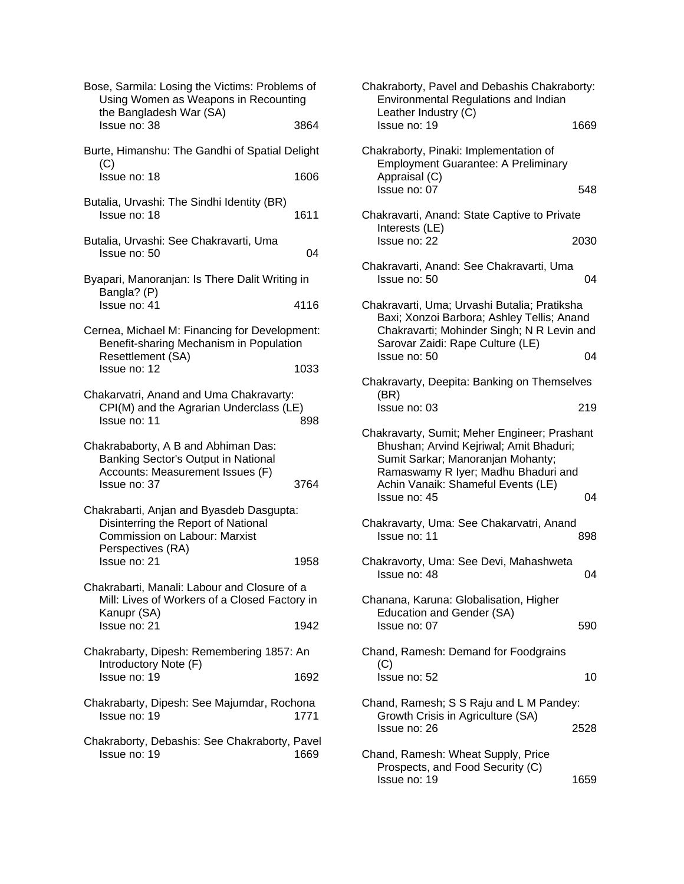| Bose, Sarmila: Losing the Victims: Problems of<br>Using Women as Weapons in Recounting<br>the Bangladesh War (SA)                            |      |
|----------------------------------------------------------------------------------------------------------------------------------------------|------|
| Issue no: 38                                                                                                                                 | 3864 |
| Burte, Himanshu: The Gandhi of Spatial Delight<br>(C)                                                                                        |      |
| Issue no: 18                                                                                                                                 | 1606 |
| Butalia, Urvashi: The Sindhi Identity (BR)<br>Issue no: 18                                                                                   | 1611 |
| Butalia, Urvashi: See Chakravarti, Uma<br>Issue no: 50                                                                                       | 04   |
| Byapari, Manoranjan: Is There Dalit Writing in<br>Bangla? (P)                                                                                |      |
| Issue no: 41                                                                                                                                 | 4116 |
| Cernea, Michael M: Financing for Development:<br>Benefit-sharing Mechanism in Population<br>Resettlement (SA)                                |      |
| Issue no: 12                                                                                                                                 | 1033 |
| Chakarvatri, Anand and Uma Chakravarty:<br>CPI(M) and the Agrarian Underclass (LE)<br>Issue no: 11                                           | 898  |
| Chakrababorty, A B and Abhiman Das:<br>Banking Sector's Output in National<br>Accounts: Measurement Issues (F)<br>Issue no: 37               | 3764 |
| Chakrabarti, Anjan and Byasdeb Dasgupta:<br>Disinterring the Report of National<br><b>Commission on Labour: Marxist</b><br>Perspectives (RA) |      |
| Issue no: 21                                                                                                                                 | 1958 |
| Chakrabarti, Manali: Labour and Closure of a<br>Mill: Lives of Workers of a Closed Factory in<br>Kanupr (SA)                                 |      |
| Issue no: 21                                                                                                                                 | 1942 |
| Chakrabarty, Dipesh: Remembering 1857: An<br>Introductory Note (F)                                                                           |      |
| Issue no: 19                                                                                                                                 | 1692 |
| Chakrabarty, Dipesh: See Majumdar, Rochona<br>Issue no: 19                                                                                   | 1771 |
| Chakraborty, Debashis: See Chakraborty, Pavel<br>Issue no: 19                                                                                | 1669 |
|                                                                                                                                              |      |

| Chakraborty, Pavel and Debashis Chakraborty:<br>Environmental Regulations and Indian<br>Leather Industry (C)                                                                                                              |      |
|---------------------------------------------------------------------------------------------------------------------------------------------------------------------------------------------------------------------------|------|
| Issue no: 19                                                                                                                                                                                                              | 1669 |
| Chakraborty, Pinaki: Implementation of<br><b>Employment Guarantee: A Preliminary</b><br>Appraisal (C)<br>Issue no: 07                                                                                                     | 548  |
| Chakravarti, Anand: State Captive to Private                                                                                                                                                                              |      |
| Interests (LE)<br>Issue no: 22                                                                                                                                                                                            | 2030 |
| Chakravarti, Anand: See Chakravarti, Uma<br>Issue no: 50                                                                                                                                                                  | 04   |
| Chakravarti, Uma; Urvashi Butalia; Pratiksha<br>Baxi; Xonzoi Barbora; Ashley Tellis; Anand<br>Chakravarti; Mohinder Singh; N R Levin and<br>Sarovar Zaidi: Rape Culture (LE)                                              |      |
| Issue no: 50                                                                                                                                                                                                              | 04   |
| Chakravarty, Deepita: Banking on Themselves<br>(BR)                                                                                                                                                                       |      |
| Issue no: 03                                                                                                                                                                                                              | 219  |
| Chakravarty, Sumit; Meher Engineer; Prashant<br>Bhushan; Arvind Kejriwal; Amit Bhaduri;<br>Sumit Sarkar; Manoranjan Mohanty;<br>Ramaswamy R Iyer; Madhu Bhaduri and<br>Achin Vanaik: Shameful Events (LE)<br>Issue no: 45 | 04   |
| Chakravarty, Uma: See Chakarvatri, Anand<br>Issue no: 11                                                                                                                                                                  | 898  |
| Chakravorty, Uma: See Devi, Mahashweta<br>Issue no: 48                                                                                                                                                                    | 04   |
| Chanana, Karuna: Globalisation, Higher<br>Education and Gender (SA)<br>Issue no: 07                                                                                                                                       | 590  |
| Chand, Ramesh: Demand for Foodgrains<br>(C)<br>Issue no: 52                                                                                                                                                               | 10   |
| Chand, Ramesh; S S Raju and L M Pandey:<br>Growth Crisis in Agriculture (SA)<br>Issue no: 26                                                                                                                              | 2528 |
| Chand, Ramesh: Wheat Supply, Price<br>Prospects, and Food Security (C)<br>Issue no: 19                                                                                                                                    | 1659 |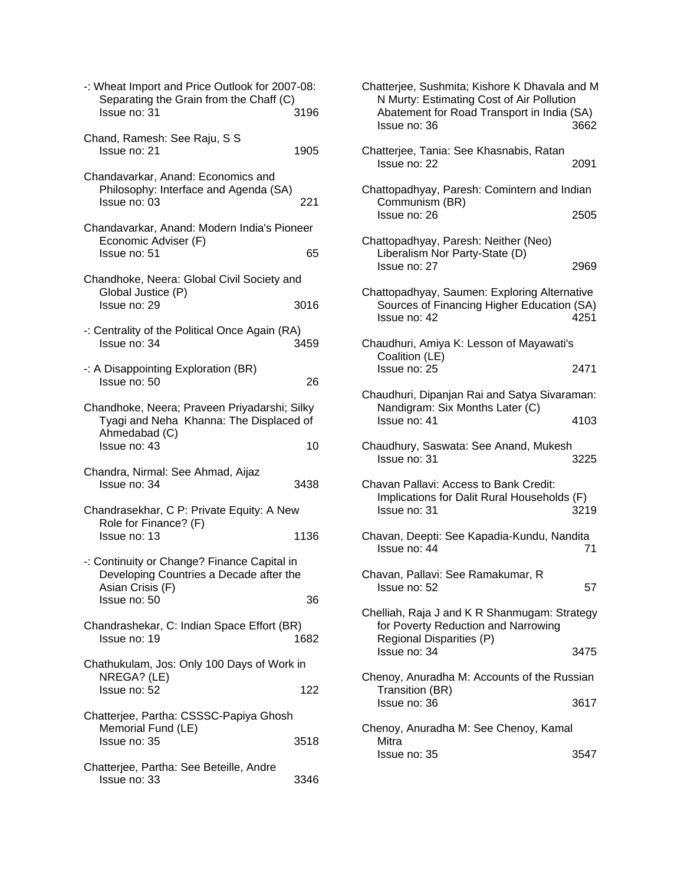| -: Wheat Import and Price Outlook for 2007-08:<br>Separating the Grain from the Chaff (C)<br>Issue no: 31                  | 3196 |
|----------------------------------------------------------------------------------------------------------------------------|------|
| Chand, Ramesh: See Raju, S S<br>Issue no: 21                                                                               | 1905 |
| Chandavarkar, Anand: Economics and<br>Philosophy: Interface and Agenda (SA)<br>Issue no: 03                                | 221  |
| Chandavarkar, Anand: Modern India's Pioneer<br>Economic Adviser (F)<br>Issue no: 51                                        | 65   |
| Chandhoke, Neera: Global Civil Society and<br>Global Justice (P)<br>Issue no: 29                                           | 3016 |
| -: Centrality of the Political Once Again (RA)<br>Issue no: 34                                                             | 3459 |
| -: A Disappointing Exploration (BR)<br>Issue no: 50                                                                        | 26   |
| Chandhoke, Neera; Praveen Priyadarshi; Silky<br>Tyagi and Neha Khanna: The Displaced of<br>Ahmedabad (C)<br>Issue no: 43   | 10   |
| Chandra, Nirmal: See Ahmad, Aijaz<br>Issue no: 34                                                                          | 3438 |
| Chandrasekhar, C P: Private Equity: A New<br>Role for Finance? (F)<br>Issue no: 13                                         | 1136 |
| -: Continuity or Change? Finance Capital in<br>Developing Countries a Decade after the<br>Asian Crisis (F)<br>Issue no: 50 | 36   |
| Chandrashekar, C: Indian Space Effort (BR)<br>Issue no: 19                                                                 | 1682 |
| Chathukulam, Jos: Only 100 Days of Work in<br>NREGA? (LE)<br>Issue no: 52                                                  | 122  |
| Chatterjee, Partha: CSSSC-Papiya Ghosh<br>Memorial Fund (LE)<br>Issue no: 35                                               | 3518 |
| Chatterjee, Partha: See Beteille, Andre<br>Issue no: 33                                                                    | 3346 |

| Chatterjee, Sushmita; Kishore K Dhavala and M<br>N Murty: Estimating Cost of Air Pollution<br>Abatement for Road Transport in India (SA)<br>Issue no: 36 | 3662 |
|----------------------------------------------------------------------------------------------------------------------------------------------------------|------|
| Chatterjee, Tania: See Khasnabis, Ratan<br>Issue no: 22                                                                                                  | 2091 |
| Chattopadhyay, Paresh: Comintern and Indian<br>Communism (BR)<br>Issue no: 26                                                                            | 2505 |
| Chattopadhyay, Paresh: Neither (Neo)<br>Liberalism Nor Party-State (D)<br>Issue no: 27                                                                   | 2969 |
| Chattopadhyay, Saumen: Exploring Alternative<br>Sources of Financing Higher Education (SA)<br>Issue no: 42                                               | 4251 |
| Chaudhuri, Amiya K: Lesson of Mayawati's<br>Coalition (LE)<br>Issue no: 25                                                                               | 2471 |
| Chaudhuri, Dipanjan Rai and Satya Sivaraman:<br>Nandigram: Six Months Later (C)<br>Issue no: 41                                                          | 4103 |
| Chaudhury, Saswata: See Anand, Mukesh<br>Issue no: 31                                                                                                    | 3225 |
| Chavan Pallavi: Access to Bank Credit:<br>Implications for Dalit Rural Households (F)<br>Issue no: 31                                                    | 3219 |
| Chavan, Deepti: See Kapadia-Kundu, Nandita<br>Issue no: 44                                                                                               | 71   |
| Chavan, Pallavi: See Ramakumar, R<br>Issue no: 52                                                                                                        | 57   |
| Chelliah, Raja J and K R Shanmugam: Strategy<br>for Poverty Reduction and Narrowing<br>Regional Disparities (P)                                          |      |
| Issue no: 34                                                                                                                                             | 3475 |
| Chenoy, Anuradha M: Accounts of the Russian<br>Transition (BR)                                                                                           |      |
| Issue no: 36                                                                                                                                             | 3617 |
| Chenoy, Anuradha M: See Chenoy, Kamal<br>Mitra                                                                                                           |      |
| Issue no: 35                                                                                                                                             | 3547 |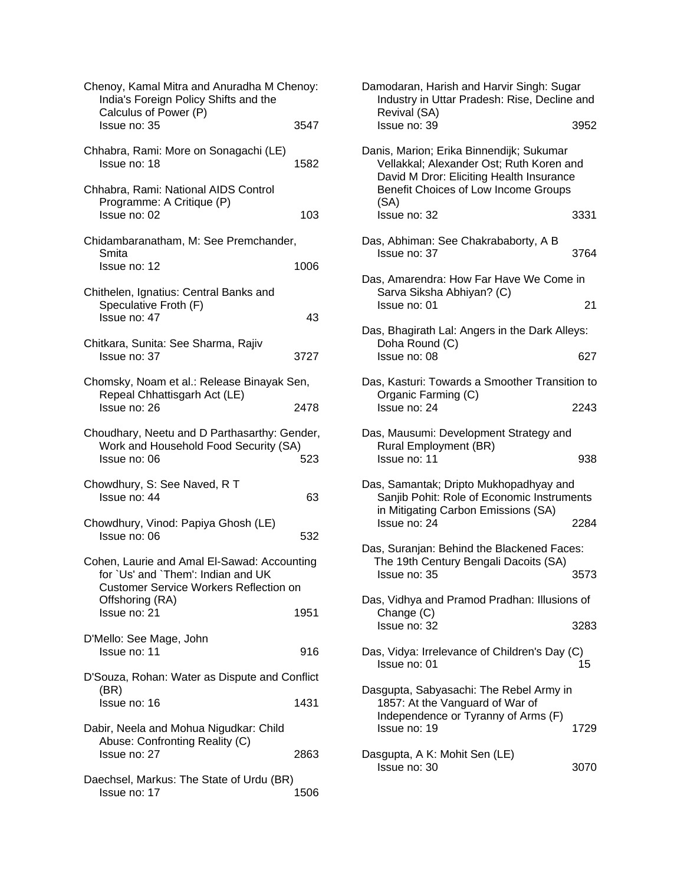| Chenoy, Kamal Mitra and Anuradha M Chenoy:<br>India's Foreign Policy Shifts and the<br>Calculus of Power (P)<br>Issue no: 35 | 3547 | Damodaran, Harish and Harvir Singh: Sugar<br>Industry in Uttar Pradesh: Rise, Decline ar<br>Revival (SA)<br>Issue no: 39         | 39              |
|------------------------------------------------------------------------------------------------------------------------------|------|----------------------------------------------------------------------------------------------------------------------------------|-----------------|
|                                                                                                                              |      |                                                                                                                                  |                 |
| Chhabra, Rami: More on Sonagachi (LE)<br>Issue no: 18                                                                        | 1582 | Danis, Marion; Erika Binnendijk; Sukumar<br>Vellakkal; Alexander Ost; Ruth Koren and<br>David M Dror: Eliciting Health Insurance |                 |
| Chhabra, Rami: National AIDS Control<br>Programme: A Critique (P)                                                            |      | Benefit Choices of Low Income Groups<br>(SA)                                                                                     |                 |
| Issue no: 02                                                                                                                 | 103  | Issue no: 32                                                                                                                     | 33              |
| Chidambaranatham, M: See Premchander,<br>Smita                                                                               |      | Das, Abhiman: See Chakrababorty, A B<br>Issue no: 37                                                                             | 37              |
| Issue no: 12                                                                                                                 | 1006 | Das, Amarendra: How Far Have We Come in                                                                                          |                 |
| Chithelen, Ignatius: Central Banks and<br>Speculative Froth (F)<br>Issue no: 47                                              | 43   | Sarva Siksha Abhiyan? (C)<br>Issue no: 01                                                                                        |                 |
|                                                                                                                              |      | Das, Bhagirath Lal: Angers in the Dark Alleys                                                                                    |                 |
| Chitkara, Sunita: See Sharma, Rajiv<br>Issue no: 37                                                                          | 3727 | Doha Round (C)<br>Issue no: 08                                                                                                   | 6.              |
|                                                                                                                              |      |                                                                                                                                  |                 |
| Chomsky, Noam et al.: Release Binayak Sen,                                                                                   |      | Das, Kasturi: Towards a Smoother Transition<br>Organic Farming (C)                                                               |                 |
| Repeal Chhattisgarh Act (LE)<br>Issue no: 26                                                                                 | 2478 | Issue no: 24                                                                                                                     | 22 <sub>1</sub> |
| Choudhary, Neetu and D Parthasarthy: Gender,<br>Work and Household Food Security (SA)                                        |      | Das, Mausumi: Development Strategy and<br>Rural Employment (BR)                                                                  |                 |
| Issue no: 06                                                                                                                 | 523  | Issue no: 11                                                                                                                     | 9.              |
| Chowdhury, S: See Naved, R T                                                                                                 |      | Das, Samantak; Dripto Mukhopadhyay and                                                                                           |                 |
| Issue no: 44                                                                                                                 | 63   | Sanjib Pohit: Role of Economic Instrument<br>in Mitigating Carbon Emissions (SA)                                                 |                 |
| Chowdhury, Vinod: Papiya Ghosh (LE)                                                                                          |      | Issue no: 24                                                                                                                     | 22              |
| Issue no: 06                                                                                                                 | 532  | Das, Suranjan: Behind the Blackened Faces:                                                                                       |                 |
| Cohen, Laurie and Amal El-Sawad: Accounting<br>for `Us' and `Them': Indian and UK                                            |      | The 19th Century Bengali Dacoits (SA)<br>Issue no: 35                                                                            | 35 <sup>2</sup> |
| <b>Customer Service Workers Reflection on</b><br>Offshoring (RA)                                                             |      | Das, Vidhya and Pramod Pradhan: Illusions o                                                                                      |                 |
| Issue no: 21                                                                                                                 | 1951 | Change (C)<br>Issue no: 32                                                                                                       | 32i             |
| D'Mello: See Mage, John                                                                                                      |      |                                                                                                                                  |                 |
| Issue no: 11                                                                                                                 | 916  | Das, Vidya: Irrelevance of Children's Day (C)<br>Issue no: 01                                                                    | 1!              |
| D'Souza, Rohan: Water as Dispute and Conflict                                                                                |      |                                                                                                                                  |                 |
| (BR)<br>Issue no: 16                                                                                                         | 1431 | Dasgupta, Sabyasachi: The Rebel Army in<br>1857: At the Vanguard of War of<br>Independence or Tyranny of Arms (F)                |                 |
| Dabir, Neela and Mohua Nigudkar: Child                                                                                       |      | Issue no: 19                                                                                                                     | 17 <sub>2</sub> |
| Abuse: Confronting Reality (C)<br>Issue no: 27                                                                               | 2863 | Dasgupta, A K: Mohit Sen (LE)<br>Issue no: 30                                                                                    | 30 <sup>°</sup> |
| Daechsel, Markus: The State of Urdu (BR)                                                                                     |      |                                                                                                                                  |                 |
| Issue no: 17                                                                                                                 | 1506 |                                                                                                                                  |                 |

| enoy:                | Damodaran, Harish and Harvir Singh: Sugar<br>Industry in Uttar Pradesh: Rise, Decline and<br>Revival (SA)                                                                        |      |
|----------------------|----------------------------------------------------------------------------------------------------------------------------------------------------------------------------------|------|
| 3547                 | Issue no: 39                                                                                                                                                                     | 3952 |
| 1582                 | Danis, Marion; Erika Binnendijk; Sukumar<br>Vellakkal; Alexander Ost; Ruth Koren and<br>David M Dror: Eliciting Health Insurance<br>Benefit Choices of Low Income Groups<br>(SA) |      |
| 103                  | Issue no: 32                                                                                                                                                                     | 3331 |
| ۱r,                  | Das, Abhiman: See Chakrababorty, A B<br>Issue no: 37                                                                                                                             | 3764 |
| 1006                 | Das, Amarendra: How Far Have We Come in<br>Sarva Siksha Abhiyan? (C)                                                                                                             |      |
| 43                   | Issue no: 01                                                                                                                                                                     | 21   |
|                      | Das, Bhagirath Lal: Angers in the Dark Alleys:<br>Doha Round (C)                                                                                                                 |      |
| 3727                 | Issue no: 08                                                                                                                                                                     | 627  |
| Sen,                 | Das, Kasturi: Towards a Smoother Transition to<br>Organic Farming (C)                                                                                                            |      |
| 2478                 | Issue no: 24                                                                                                                                                                     | 2243 |
| ender,<br>iA)<br>523 | Das, Mausumi: Development Strategy and<br>Rural Employment (BR)<br>Issue no: 11                                                                                                  | 938  |
|                      |                                                                                                                                                                                  |      |
| 63                   | Das, Samantak; Dripto Mukhopadhyay and<br>Sanjib Pohit: Role of Economic Instruments<br>in Mitigating Carbon Emissions (SA)                                                      |      |
| 532                  | Issue no: 24                                                                                                                                                                     | 2284 |
| unting               | Das, Suranjan: Behind the Blackened Faces:<br>The 19th Century Bengali Dacoits (SA)                                                                                              |      |
|                      | $l$ ssue no: 35                                                                                                                                                                  | 3573 |
| on                   | Das, Vidhya and Pramod Pradhan: Illusions of                                                                                                                                     |      |
| 1951                 | Change (C)<br>Issue no: 32                                                                                                                                                       | 3283 |
| 916                  | Das, Vidya: Irrelevance of Children's Day (C)<br>Issue no: 01                                                                                                                    | 15   |
| onflict              |                                                                                                                                                                                  |      |
| 1431                 | Dasgupta, Sabyasachi: The Rebel Army in<br>1857: At the Vanguard of War of<br>Independence or Tyranny of Arms (F)<br>Issue no: 19                                                | 1729 |
| 2863                 | Dasgupta, A K: Mohit Sen (LE)<br>Issue no: 30                                                                                                                                    | 3070 |
|                      |                                                                                                                                                                                  |      |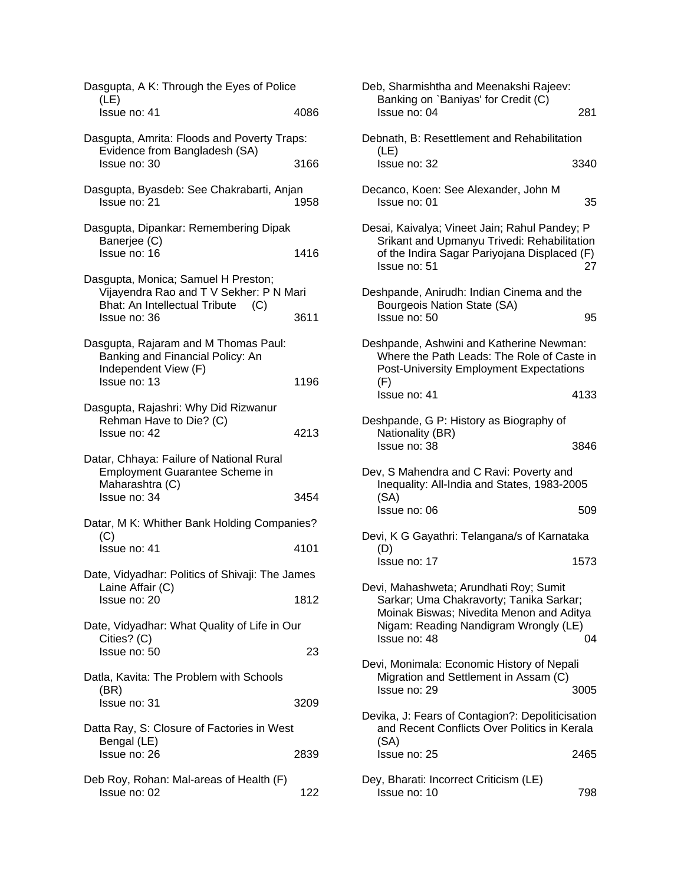| Dasgupta, A K: Through the Eyes of Police                                                                                     |      |
|-------------------------------------------------------------------------------------------------------------------------------|------|
| (LE)<br>Issue no: 41                                                                                                          | 4086 |
| Dasgupta, Amrita: Floods and Poverty Traps:<br>Evidence from Bangladesh (SA)                                                  |      |
| Issue no: 30                                                                                                                  | 3166 |
| Dasgupta, Byasdeb: See Chakrabarti, Anjan<br>Issue no: 21                                                                     | 1958 |
| Dasgupta, Dipankar: Remembering Dipak<br>Banerjee (C)                                                                         |      |
| Issue no: 16                                                                                                                  | 1416 |
| Dasgupta, Monica; Samuel H Preston;<br>Vijayendra Rao and T V Sekher: P N Mari<br><b>Bhat: An Intellectual Tribute</b><br>(C) |      |
| Issue no: 36                                                                                                                  | 3611 |
| Dasgupta, Rajaram and M Thomas Paul:<br>Banking and Financial Policy: An<br>Independent View (F)                              |      |
| Issue no: 13                                                                                                                  | 1196 |
| Dasgupta, Rajashri: Why Did Rizwanur<br>Rehman Have to Die? (C)<br>Issue no: 42                                               | 4213 |
| Datar, Chhaya: Failure of National Rural<br><b>Employment Guarantee Scheme in</b><br>Maharashtra (C)                          |      |
| Issue no: 34                                                                                                                  | 3454 |
| Datar, M K: Whither Bank Holding Companies?<br>(C)                                                                            |      |
| Issue no: 41                                                                                                                  | 4101 |
| Date, Vidyadhar: Politics of Shivaji: The James<br>Laine Affair (C)                                                           |      |
| Issue no: 20                                                                                                                  | 1812 |
| Date, Vidyadhar: What Quality of Life in Our<br>Cities? (C)                                                                   |      |
| Issue no: 50                                                                                                                  | 23   |
| Datla, Kavita: The Problem with Schools<br>(BR)<br>Issue no: 31                                                               | 3209 |
| Datta Ray, S: Closure of Factories in West                                                                                    |      |
| Bengal (LE)<br>Issue no: 26                                                                                                   | 2839 |
| Deb Roy, Rohan: Mal-areas of Health (F)<br>Issue no: 02                                                                       | 122  |

| Deb, Sharmishtha and Meenakshi Rajeev:<br>Banking on `Baniyas' for Credit (C)<br>Issue no: 04                                                                                          | 281  |
|----------------------------------------------------------------------------------------------------------------------------------------------------------------------------------------|------|
| Debnath, B: Resettlement and Rehabilitation<br>(LE)                                                                                                                                    |      |
| Issue no: 32                                                                                                                                                                           | 3340 |
| Decanco, Koen: See Alexander, John M<br>Issue no: 01                                                                                                                                   | 35   |
| Desai, Kaivalya; Vineet Jain; Rahul Pandey; P<br>Srikant and Upmanyu Trivedi: Rehabilitation<br>of the Indira Sagar Pariyojana Displaced (F)<br>Issue no: 51                           | 27   |
| Deshpande, Anirudh: Indian Cinema and the<br>Bourgeois Nation State (SA)<br>Issue no: 50                                                                                               | 95   |
| Deshpande, Ashwini and Katherine Newman:<br>Where the Path Leads: The Role of Caste in<br><b>Post-University Employment Expectations</b><br>(F)                                        |      |
| Issue no: 41                                                                                                                                                                           | 4133 |
| Deshpande, G P: History as Biography of<br>Nationality (BR)<br>Issue no: 38                                                                                                            | 3846 |
| Dev, S Mahendra and C Ravi: Poverty and<br>Inequality: All-India and States, 1983-2005                                                                                                 |      |
| (SA)<br>Issue no: 06                                                                                                                                                                   | 509  |
| Devi, K G Gayathri: Telangana/s of Karnataka<br>(D)                                                                                                                                    |      |
| Issue no: 17                                                                                                                                                                           | 1573 |
| Devi, Mahashweta; Arundhati Roy; Sumit<br>Sarkar; Uma Chakravorty; Tanika Sarkar;<br>Moinak Biswas; Nivedita Menon and Aditya<br>Nigam: Reading Nandigram Wrongly (LE)<br>Issue no: 48 | 04   |
| Devi, Monimala: Economic History of Nepali<br>Migration and Settlement in Assam (C)<br>Issue no: 29                                                                                    | 3005 |
| Devika, J: Fears of Contagion?: Depoliticisation<br>and Recent Conflicts Over Politics in Kerala<br>(SA)                                                                               |      |
| Issue no: 25                                                                                                                                                                           | 2465 |
| Dey, Bharati: Incorrect Criticism (LE)<br>Issue no: 10                                                                                                                                 | 798  |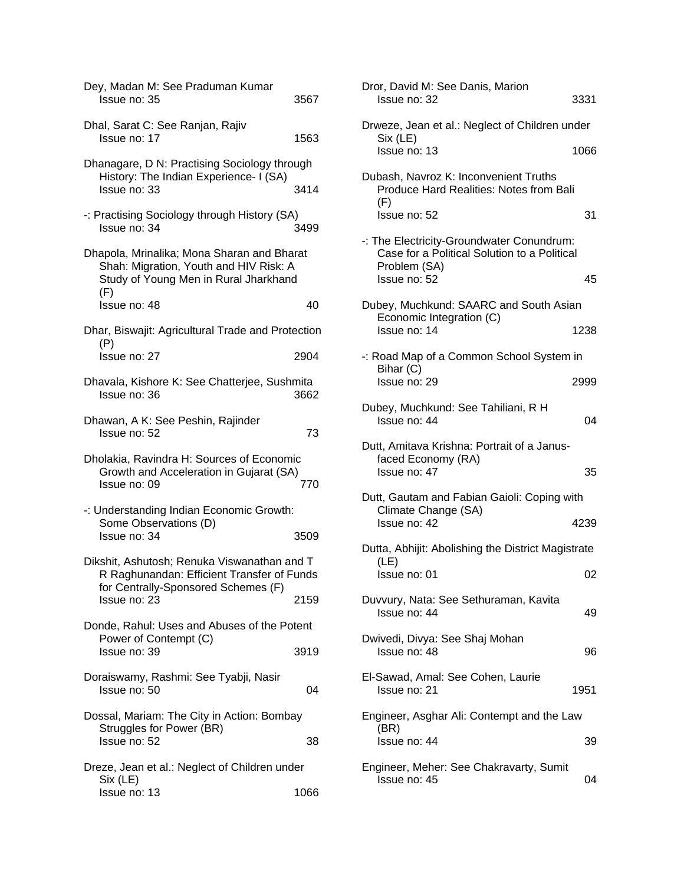| Dey, Madan M: See Praduman Kumar<br>Issue no: 35                                                                                     | 3567 |
|--------------------------------------------------------------------------------------------------------------------------------------|------|
| Dhal, Sarat C: See Ranjan, Rajiv<br>Issue no: 17                                                                                     | 1563 |
| Dhanagare, D N: Practising Sociology through                                                                                         |      |
| History: The Indian Experience- I (SA)<br>Issue no: 33                                                                               | 3414 |
| -: Practising Sociology through History (SA)<br>Issue no: 34                                                                         | 3499 |
| Dhapola, Mrinalika; Mona Sharan and Bharat<br>Shah: Migration, Youth and HIV Risk: A<br>Study of Young Men in Rural Jharkhand<br>(F) |      |
| Issue no: 48                                                                                                                         | 40   |
| Dhar, Biswajit: Agricultural Trade and Protection<br>(P)                                                                             |      |
| Issue no: 27                                                                                                                         | 2904 |
| Dhavala, Kishore K: See Chatterjee, Sushmita<br>Issue no: 36                                                                         | 3662 |
| Dhawan, A K: See Peshin, Rajinder<br>Issue no: 52                                                                                    | 73   |
| Dholakia, Ravindra H: Sources of Economic<br>Growth and Acceleration in Gujarat (SA)<br>Issue no: 09                                 | 770  |
| -: Understanding Indian Economic Growth:                                                                                             |      |
| Some Observations (D)<br>Issue no: 34                                                                                                | 3509 |
| Dikshit, Ashutosh; Renuka Viswanathan and T<br>R Raghunandan: Efficient Transfer of Funds                                            |      |
| for Centrally-Sponsored Schemes (F)<br>Issue no: 23                                                                                  | 2159 |
| Donde, Rahul: Uses and Abuses of the Potent                                                                                          |      |
| Power of Contempt (C)<br>Issue no: 39                                                                                                | 3919 |
| Doraiswamy, Rashmi: See Tyabji, Nasir<br>Issue no: 50                                                                                | 04   |
| Dossal, Mariam: The City in Action: Bombay<br>Struggles for Power (BR)<br>Issue no: 52                                               | 38   |
| Dreze, Jean et al.: Neglect of Children under                                                                                        |      |
| Six (LE)<br>Issue no: 13                                                                                                             | 1066 |

| Dror, David M: See Danis, Marion<br>Issue no: 32                                                                          | 3331 |
|---------------------------------------------------------------------------------------------------------------------------|------|
| Drweze, Jean et al.: Neglect of Children under<br>Six (LE)                                                                |      |
| Issue no: 13                                                                                                              | 1066 |
| Dubash, Navroz K: Inconvenient Truths<br>Produce Hard Realities: Notes from Bali<br>(F)<br>Issue no: 52                   | 31   |
|                                                                                                                           |      |
| -: The Electricity-Groundwater Conundrum:<br>Case for a Political Solution to a Political<br>Problem (SA)<br>Issue no: 52 | 45   |
| Dubey, Muchkund: SAARC and South Asian                                                                                    |      |
| Economic Integration (C)<br>Issue no: 14                                                                                  | 1238 |
| -: Road Map of a Common School System in                                                                                  |      |
| Bihar (C)<br>Issue no: 29                                                                                                 | 2999 |
| Dubey, Muchkund: See Tahiliani, R H<br>Issue no: 44                                                                       | 04   |
| Dutt, Amitava Krishna: Portrait of a Janus-<br>faced Economy (RA)<br>Issue no: 47                                         | 35   |
| Dutt, Gautam and Fabian Gaioli: Coping with                                                                               |      |
| Climate Change (SA)<br>Issue no: 42                                                                                       | 4239 |
| Dutta, Abhijit: Abolishing the District Magistrate                                                                        |      |
| (LE)<br>Issue no: 01                                                                                                      | 02   |
| Duvvury, Nata: See Sethuraman, Kavita<br>Issue no: 44                                                                     | 49   |
| Dwivedi, Divya: See Shaj Mohan<br>Issue no: 48                                                                            | 96   |
| El-Sawad, Amal: See Cohen, Laurie<br>Issue no: 21                                                                         | 1951 |
| Engineer, Asghar Ali: Contempt and the Law                                                                                |      |
| (BR)<br>Issue no: 44                                                                                                      | 39   |
| Engineer, Meher: See Chakravarty, Sumit<br>Issue no: 45                                                                   | 04   |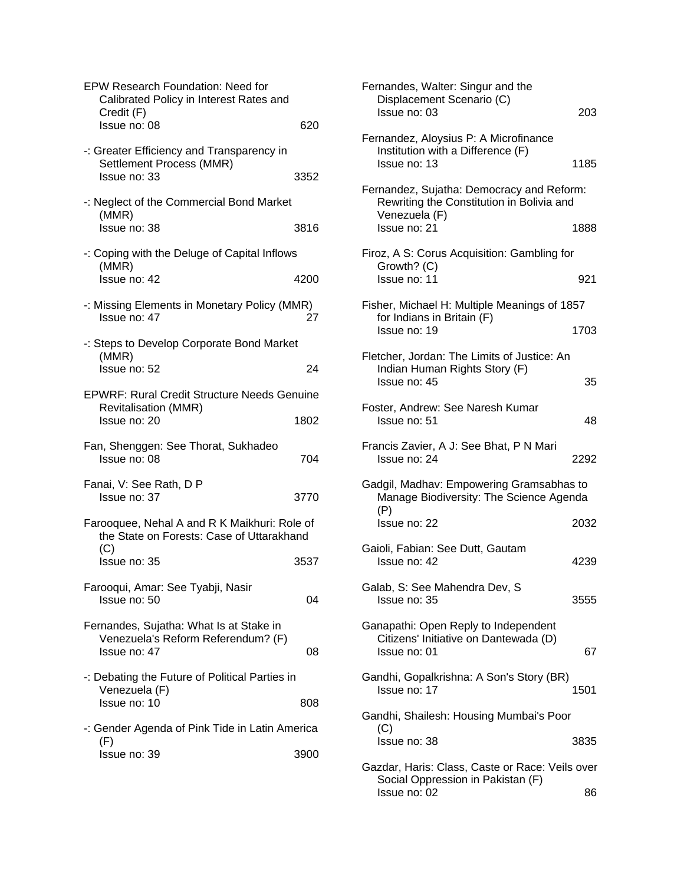| <b>EPW Research Foundation: Need for</b><br>Calibrated Policy in Interest Rates and<br>Credit (F) |      |
|---------------------------------------------------------------------------------------------------|------|
| Issue no: 08                                                                                      | 620  |
| -: Greater Efficiency and Transparency in<br>Settlement Process (MMR)<br>Issue no: 33             | 3352 |
| -: Neglect of the Commercial Bond Market<br>(MMR)<br>Issue no: 38                                 | 3816 |
| -: Coping with the Deluge of Capital Inflows<br>(MMR)<br>Issue no: 42                             | 4200 |
| -: Missing Elements in Monetary Policy (MMR)<br>Issue no: 47                                      | 27   |
| -: Steps to Develop Corporate Bond Market<br>(MMR)                                                |      |
| Issue no: 52                                                                                      | 24   |
| <b>EPWRF: Rural Credit Structure Needs Genuine</b><br><b>Revitalisation (MMR)</b>                 |      |
| Issue no: 20                                                                                      | 1802 |
| Fan, Shenggen: See Thorat, Sukhadeo                                                               |      |
| Issue no: 08                                                                                      | 704  |
| Fanai, V: See Rath, D P<br>Issue no: 37                                                           | 3770 |
| Farooquee, Nehal A and R K Maikhuri: Role of<br>the State on Forests: Case of Uttarakhand         |      |
| (C)<br>Issue no: 35                                                                               | 3537 |
| Farooqui, Amar: See Tyabji, Nasir<br>Issue no: 50                                                 | 04   |
| Fernandes, Sujatha: What Is at Stake in<br>Venezuela's Reform Referendum? (F)<br>Issue no: 47     | 08   |
| -: Debating the Future of Political Parties in<br>Venezuela (F)<br>Issue no: 10                   | 808  |
| -: Gender Agenda of Pink Tide in Latin America                                                    |      |
| (F)<br>Issue no: 39                                                                               | 3900 |

| Fernandes, Walter: Singur and the<br>Displacement Scenario (C)<br>Issue no: 03                          | 203  |
|---------------------------------------------------------------------------------------------------------|------|
| Fernandez, Aloysius P: A Microfinance<br>Institution with a Difference (F)<br>Issue no: 13              | 1185 |
| Fernandez, Sujatha: Democracy and Reform:<br>Rewriting the Constitution in Bolivia and<br>Venezuela (F) |      |
| Issue no: 21                                                                                            | 1888 |
| Firoz, A S: Corus Acquisition: Gambling for<br>Growth? (C)<br>Issue no: 11                              | 921  |
| Fisher, Michael H: Multiple Meanings of 1857<br>for Indians in Britain (F)<br>Issue no: 19              | 1703 |
|                                                                                                         |      |
| Fletcher, Jordan: The Limits of Justice: An<br>Indian Human Rights Story (F)<br>Issue no: 45            | 35   |
| Foster, Andrew: See Naresh Kumar<br>Issue no: 51                                                        | 48   |
| Francis Zavier, A J: See Bhat, P N Mari<br>Issue no: 24                                                 | 2292 |
| Gadgil, Madhav: Empowering Gramsabhas to<br>Manage Biodiversity: The Science Agenda<br>(P)              |      |
| Issue no: 22                                                                                            | 2032 |
| Gaioli, Fabian: See Dutt, Gautam<br>Issue no: 42                                                        | 4239 |
| Galab, S: See Mahendra Dev, S<br>Issue no: 35                                                           | 3555 |
| Ganapathi: Open Reply to Independent<br>Citizens' Initiative on Dantewada (D)<br>Issue no: 01           | 67   |
| Gandhi, Gopalkrishna: A Son's Story (BR)<br>Issue no: 17                                                | 1501 |
| Gandhi, Shailesh: Housing Mumbai's Poor                                                                 |      |
| (C)<br>Issue no: 38                                                                                     | 3835 |
| Gazdar, Haris: Class, Caste or Race: Veils over<br>Social Oppression in Pakistan (F)                    |      |
| Issue no: 02                                                                                            | 86   |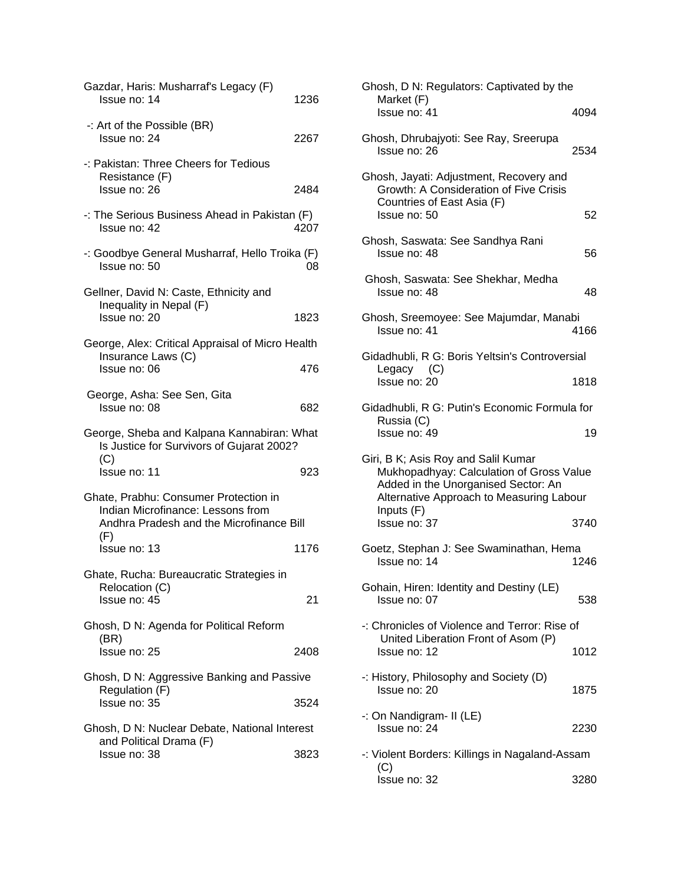| Gazdar, Haris: Musharraf's Legacy (F)<br>Issue no: 14                                                                  | 1236 |
|------------------------------------------------------------------------------------------------------------------------|------|
| -: Art of the Possible (BR)<br>Issue no: 24                                                                            | 2267 |
| -: Pakistan: Three Cheers for Tedious                                                                                  |      |
| Resistance (F)<br>Issue no: 26                                                                                         | 2484 |
| -: The Serious Business Ahead in Pakistan (F)<br>Issue no: 42                                                          | 4207 |
| -: Goodbye General Musharraf, Hello Troika (F)<br>Issue no: 50                                                         | 08   |
| Gellner, David N: Caste, Ethnicity and                                                                                 |      |
| Inequality in Nepal (F)<br>Issue no: 20                                                                                | 1823 |
| George, Alex: Critical Appraisal of Micro Health                                                                       |      |
| Insurance Laws (C)<br>Issue no: 06                                                                                     | 476  |
| George, Asha: See Sen, Gita<br>Issue no: 08                                                                            | 682  |
| George, Sheba and Kalpana Kannabiran: What                                                                             |      |
| Is Justice for Survivors of Gujarat 2002?                                                                              |      |
| (C)<br>Issue no: 11                                                                                                    | 923  |
| Ghate, Prabhu: Consumer Protection in<br>Indian Microfinance: Lessons from<br>Andhra Pradesh and the Microfinance Bill |      |
| (F)<br>Issue no: 13                                                                                                    | 1176 |
| Ghate, Rucha: Bureaucratic Strategies in                                                                               |      |
| Relocation (C)<br>Issue no: 45                                                                                         | 21   |
| Ghosh, D N: Agenda for Political Reform                                                                                |      |
| (BR)<br>Issue no: 25                                                                                                   | 2408 |
| Ghosh, D N: Aggressive Banking and Passive                                                                             |      |
| Regulation (F)<br>Issue no: 35                                                                                         | 3524 |
| Ghosh, D N: Nuclear Debate, National Interest                                                                          |      |
| and Political Drama (F)<br>Issue no: 38                                                                                | 3823 |

| Ghosh, D N: Regulators: Captivated by the<br>Market (F)                                                                                                            |      |
|--------------------------------------------------------------------------------------------------------------------------------------------------------------------|------|
| Issue no: 41                                                                                                                                                       | 4094 |
| Ghosh, Dhrubajyoti: See Ray, Sreerupa<br>Issue no: 26                                                                                                              | 2534 |
| Ghosh, Jayati: Adjustment, Recovery and<br>Growth: A Consideration of Five Crisis<br>Countries of East Asia (F)<br>Issue no: 50                                    | 52   |
| Ghosh, Saswata: See Sandhya Rani<br>Issue no: 48                                                                                                                   | 56   |
| Ghosh, Saswata: See Shekhar, Medha<br>Issue no: 48                                                                                                                 | 48   |
| Ghosh, Sreemoyee: See Majumdar, Manabi<br>Issue no: 41                                                                                                             | 4166 |
| Gidadhubli, R G: Boris Yeltsin's Controversial                                                                                                                     |      |
| Legacy (C)<br>Issue no: 20                                                                                                                                         | 1818 |
| Gidadhubli, R G: Putin's Economic Formula for<br>Russia (C)                                                                                                        |      |
| Issue no: 49                                                                                                                                                       | 19   |
| Giri, B K; Asis Roy and Salil Kumar<br>Mukhopadhyay: Calculation of Gross Value<br>Added in the Unorganised Sector: An<br>Alternative Approach to Measuring Labour |      |
| Inputs (F)<br>Issue no: 37                                                                                                                                         | 3740 |
| Goetz, Stephan J: See Swaminathan, Hema<br>Issue no: 14                                                                                                            | 1246 |
| Gohain, Hiren: Identity and Destiny (LE)<br>Issue no: 07                                                                                                           | 538  |
| -: Chronicles of Violence and Terror: Rise of<br>United Liberation Front of Asom (P)<br>Issue no: 12                                                               | 1012 |
| -: History, Philosophy and Society (D)<br>Issue no: 20                                                                                                             | 1875 |
| -: On Nandigram- II (LE)<br>Issue no: 24                                                                                                                           | 2230 |
| -: Violent Borders: Killings in Nagaland-Assam                                                                                                                     |      |
| (C)<br>Issue no: 32                                                                                                                                                | 3280 |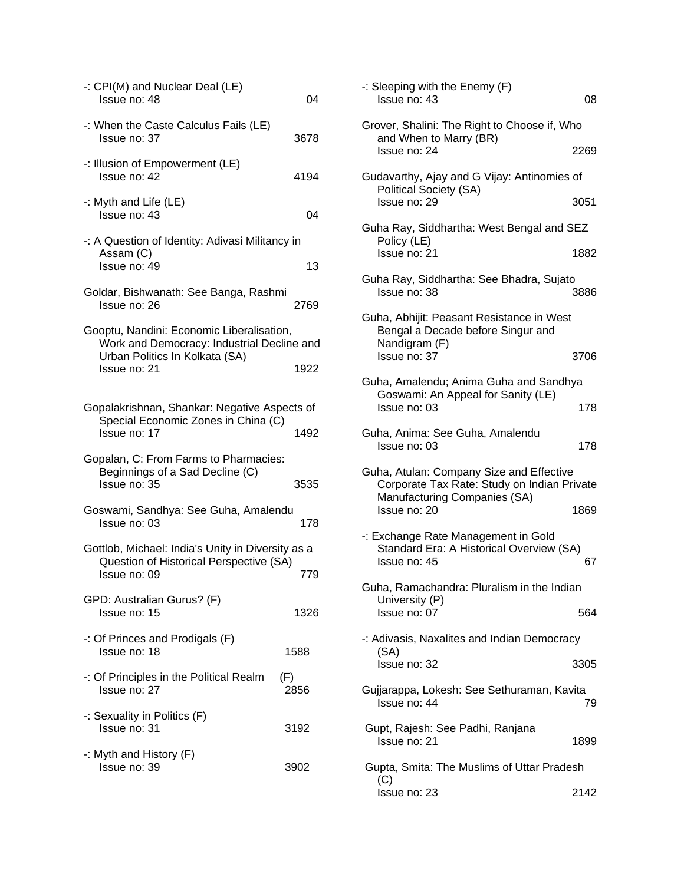| -: CPI(M) and Nuclear Deal (LE)<br>Issue no: 48                                                                           | 04          |
|---------------------------------------------------------------------------------------------------------------------------|-------------|
| -: When the Caste Calculus Fails (LE)<br>Issue no: 37                                                                     | 3678        |
| -: Illusion of Empowerment (LE)<br>Issue no: 42                                                                           | 4194        |
| -: Myth and Life (LE)<br>Issue no: 43                                                                                     | 04          |
| -: A Question of Identity: Adivasi Militancy in<br>Assam (C)<br>Issue no: 49                                              | 13          |
| Goldar, Bishwanath: See Banga, Rashmi<br>Issue no: 26                                                                     | 2769        |
| Gooptu, Nandini: Economic Liberalisation,<br>Work and Democracy: Industrial Decline and<br>Urban Politics In Kolkata (SA) |             |
| Issue no: 21                                                                                                              | 1922        |
| Gopalakrishnan, Shankar: Negative Aspects of<br>Special Economic Zones in China (C)<br>Issue no: 17                       | 1492        |
| Gopalan, C: From Farms to Pharmacies:<br>Beginnings of a Sad Decline (C)<br>Issue no: 35                                  | 3535        |
| Goswami, Sandhya: See Guha, Amalendu<br>Issue no: 03                                                                      | 178         |
| Gottlob, Michael: India's Unity in Diversity as a<br>Question of Historical Perspective (SA)<br>Issue no: 09              | 779         |
| GPD: Australian Gurus? (F)<br>Issue no: 15                                                                                | 1326        |
| $\cdot$ : Of Princes and Prodigals (F)<br>Issue no: 18                                                                    | 1588        |
| -: Of Principles in the Political Realm<br>Issue no: 27                                                                   | (F)<br>2856 |
| -: Sexuality in Politics (F)<br>Issue no: 31                                                                              | 3192        |
| -: Myth and History (F)<br>Issue no: 39                                                                                   | 3902        |
|                                                                                                                           |             |

| -: Sleeping with the Enemy (F)<br>Issue no: 43                                                                                          | 08   |
|-----------------------------------------------------------------------------------------------------------------------------------------|------|
| Grover, Shalini: The Right to Choose if, Who<br>and When to Marry (BR)                                                                  |      |
| Issue no: 24                                                                                                                            | 2269 |
| Gudavarthy, Ajay and G Vijay: Antinomies of<br>Political Society (SA)                                                                   |      |
| Issue no: 29                                                                                                                            | 3051 |
| Guha Ray, Siddhartha: West Bengal and SEZ<br>Policy (LE)                                                                                |      |
| Issue no: 21                                                                                                                            | 1882 |
| Guha Ray, Siddhartha: See Bhadra, Sujato<br>Issue no: 38                                                                                | 3886 |
| Guha, Abhijit: Peasant Resistance in West<br>Bengal a Decade before Singur and<br>Nandigram (F)                                         |      |
| Issue no: 37                                                                                                                            | 3706 |
| Guha, Amalendu; Anima Guha and Sandhya<br>Goswami: An Appeal for Sanity (LE)<br>Issue no: 03                                            | 178  |
| Guha, Anima: See Guha, Amalendu<br>Issue no: 03                                                                                         | 178  |
| Guha, Atulan: Company Size and Effective<br>Corporate Tax Rate: Study on Indian Private<br>Manufacturing Companies (SA)<br>Issue no: 20 | 1869 |
| -: Exchange Rate Management in Gold<br>Standard Era: A Historical Overview (SA)<br>Issue no: 45                                         | 67   |
| Guha, Ramachandra: Pluralism in the Indian<br>University (P)<br>Issue no: 07                                                            | 564  |
| -: Adivasis, Naxalites and Indian Democracy<br>(SA)                                                                                     |      |
| Issue no: 32                                                                                                                            | 3305 |
| Gujjarappa, Lokesh: See Sethuraman, Kavita<br>Issue no: 44                                                                              | 79   |
| Gupt, Rajesh: See Padhi, Ranjana<br>Issue no: 21                                                                                        | 1899 |
| Gupta, Smita: The Muslims of Uttar Pradesh<br>(C)                                                                                       |      |
| Issue no: 23                                                                                                                            | 2142 |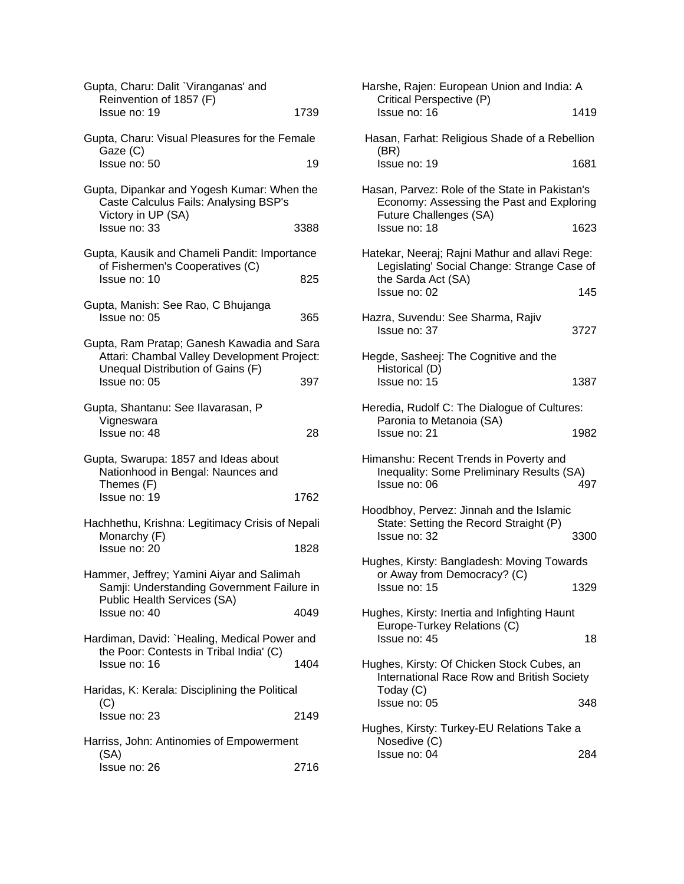| Gupta, Charu: Dalit `Viranganas' and<br>Reinvention of 1857 (F)<br>Issue no: 19                                           | 1739 |
|---------------------------------------------------------------------------------------------------------------------------|------|
|                                                                                                                           |      |
| Gupta, Charu: Visual Pleasures for the Female<br>Gaze (C)<br>Issue no: 50                                                 | 19   |
| Gupta, Dipankar and Yogesh Kumar: When the<br>Caste Calculus Fails: Analysing BSP's<br>Victory in UP (SA)<br>Issue no: 33 | 3388 |
|                                                                                                                           |      |
| Gupta, Kausik and Chameli Pandit: Importance<br>of Fishermen's Cooperatives (C)<br>Issue no: 10                           | 825  |
| Gupta, Manish: See Rao, C Bhujanga<br>Issue no: 05                                                                        | 365  |
| Gupta, Ram Pratap; Ganesh Kawadia and Sara<br>Attari: Chambal Valley Development Project:                                 |      |
| Unequal Distribution of Gains (F)<br>Issue no: 05                                                                         | 397  |
| Gupta, Shantanu: See Ilavarasan, P<br>Vigneswara<br>Issue no: 48                                                          | 28   |
| Gupta, Swarupa: 1857 and Ideas about<br>Nationhood in Bengal: Naunces and<br>Themes (F)                                   |      |
| Issue no: 19                                                                                                              | 1762 |
| Hachhethu, Krishna: Legitimacy Crisis of Nepali<br>Monarchy (F)                                                           |      |
| Issue no: 20                                                                                                              | 1828 |
| Hammer, Jeffrey; Yamini Aiyar and Salimah<br>Samji: Understanding Government Failure in                                   |      |
| Public Health Services (SA)<br>Issue no: 40                                                                               | 4049 |
| Hardiman, David: `Healing, Medical Power and<br>the Poor: Contests in Tribal India' (C)                                   |      |
| Issue no: 16                                                                                                              | 1404 |
| Haridas, K: Kerala: Disciplining the Political<br>(C)                                                                     |      |
| Issue no: 23                                                                                                              | 2149 |
| Harriss, John: Antinomies of Empowerment<br>(SA)                                                                          |      |
| Issue no: 26                                                                                                              | 2716 |

| Harshe, Rajen: European Union and India: A<br>Critical Perspective (P)                                                |      |
|-----------------------------------------------------------------------------------------------------------------------|------|
| Issue no: 16                                                                                                          | 1419 |
| Hasan, Farhat: Religious Shade of a Rebellion<br>(BR)                                                                 |      |
| Issue no: 19                                                                                                          | 1681 |
| Hasan, Parvez: Role of the State in Pakistan's<br>Economy: Assessing the Past and Exploring<br>Future Challenges (SA) |      |
| Issue no: 18                                                                                                          | 1623 |
| Hatekar, Neeraj; Rajni Mathur and allavi Rege:<br>Legislating' Social Change: Strange Case of<br>the Sarda Act (SA)   |      |
| Issue no: 02                                                                                                          | 145  |
| Hazra, Suvendu: See Sharma, Rajiv<br>Issue no: 37                                                                     | 3727 |
| Hegde, Sasheej: The Cognitive and the<br>Historical (D)                                                               |      |
| Issue no: 15                                                                                                          | 1387 |
| Heredia, Rudolf C: The Dialogue of Cultures:                                                                          |      |
| Paronia to Metanoia (SA)<br>Issue no: 21                                                                              | 1982 |
| Himanshu: Recent Trends in Poverty and<br>Inequality: Some Preliminary Results (SA)<br>Issue no: 06                   | 497  |
| Hoodbhoy, Pervez: Jinnah and the Islamic                                                                              |      |
| State: Setting the Record Straight (P)<br>Issue no: 32                                                                | 3300 |
| Hughes, Kirsty: Bangladesh: Moving Towards                                                                            |      |
| or Away from Democracy? (C)<br>Issue no: 15                                                                           | 1329 |
| Hughes, Kirsty: Inertia and Infighting Haunt<br>Europe-Turkey Relations (C)<br>Issue no: 45                           | 18   |
| Hughes, Kirsty: Of Chicken Stock Cubes, an                                                                            |      |
| International Race Row and British Society<br>Today (C)                                                               |      |
| Issue no: 05                                                                                                          | 348  |
| Hughes, Kirsty: Turkey-EU Relations Take a                                                                            |      |
| Nosedive (C)<br>Issue no: 04                                                                                          | 284  |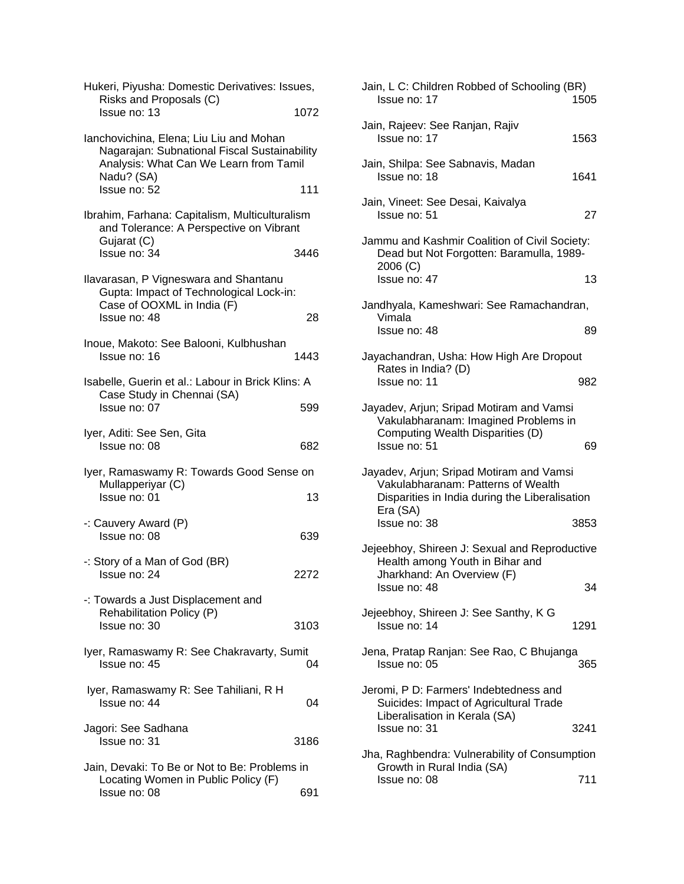| Hukeri, Piyusha: Domestic Derivatives: Issues,<br>Risks and Proposals (C) |      | Jain, L C: Children Robbed of Schooling (BR)<br>Issue no: 17               | 150 |
|---------------------------------------------------------------------------|------|----------------------------------------------------------------------------|-----|
| Issue no: 13                                                              | 1072 |                                                                            |     |
|                                                                           |      | Jain, Rajeev: See Ranjan, Rajiv                                            |     |
| Ianchovichina, Elena; Liu Liu and Mohan                                   |      | Issue no: 17                                                               | 156 |
| Nagarajan: Subnational Fiscal Sustainability                              |      |                                                                            |     |
| Analysis: What Can We Learn from Tamil                                    |      | Jain, Shilpa: See Sabnavis, Madan                                          |     |
| Nadu? (SA)                                                                |      | Issue no: 18                                                               | 164 |
| Issue no: 52                                                              | 111  |                                                                            |     |
|                                                                           |      | Jain, Vineet: See Desai, Kaivalya                                          |     |
| Ibrahim, Farhana: Capitalism, Multiculturalism                            |      | Issue no: 51                                                               | 2   |
| and Tolerance: A Perspective on Vibrant<br>Gujarat (C)                    |      | Jammu and Kashmir Coalition of Civil Society:                              |     |
| Issue no: 34                                                              | 3446 | Dead but Not Forgotten: Baramulla, 1989-                                   |     |
|                                                                           |      | 2006 (C)                                                                   |     |
| Ilavarasan, P Vigneswara and Shantanu                                     |      | Issue no: 47                                                               | 1   |
| Gupta: Impact of Technological Lock-in:                                   |      |                                                                            |     |
| Case of OOXML in India (F)                                                |      | Jandhyala, Kameshwari: See Ramachandran,                                   |     |
| Issue no: 48                                                              | 28   | Vimala                                                                     |     |
|                                                                           |      | Issue no: 48                                                               | 8   |
| Inoue, Makoto: See Balooni, Kulbhushan                                    |      |                                                                            |     |
| Issue no: 16                                                              | 1443 | Jayachandran, Usha: How High Are Dropout                                   |     |
|                                                                           |      | Rates in India? (D)                                                        |     |
| Isabelle, Guerin et al.: Labour in Brick Klins: A                         |      | Issue no: 11                                                               | 98  |
| Case Study in Chennai (SA)<br>Issue no: 07                                | 599  | Jayadev, Arjun; Sripad Motiram and Vamsi                                   |     |
|                                                                           |      | Vakulabharanam: Imagined Problems in                                       |     |
| Iyer, Aditi: See Sen, Gita                                                |      | Computing Wealth Disparities (D)                                           |     |
| Issue no: 08                                                              | 682  | Issue no: 51                                                               | 6   |
|                                                                           |      |                                                                            |     |
| Iyer, Ramaswamy R: Towards Good Sense on                                  |      | Jayadev, Arjun; Sripad Motiram and Vamsi                                   |     |
| Mullapperiyar (C)                                                         |      | Vakulabharanam: Patterns of Wealth                                         |     |
| Issue no: 01                                                              | 13   | Disparities in India during the Liberalisation                             |     |
|                                                                           |      | Era (SA)                                                                   |     |
| -: Cauvery Award (P)                                                      |      | Issue no: 38                                                               | 385 |
| Issue no: 08                                                              | 639  |                                                                            |     |
|                                                                           |      | Jejeebhoy, Shireen J: Sexual and Reproductiv                               |     |
| -: Story of a Man of God (BR)                                             |      | Health among Youth in Bihar and                                            |     |
| Issue no: 24                                                              | 2272 | Jharkhand: An Overview (F)                                                 |     |
| -: Towards a Just Displacement and                                        |      | Issue no: 48                                                               | З   |
| Rehabilitation Policy (P)                                                 |      | Jejeebhoy, Shireen J: See Santhy, K G                                      |     |
| Issue no: 30                                                              | 3103 | Issue no: 14                                                               | 129 |
|                                                                           |      |                                                                            |     |
| Iyer, Ramaswamy R: See Chakravarty, Sumit                                 |      | Jena, Pratap Ranjan: See Rao, C Bhujanga                                   |     |
| Issue no: 45                                                              | 04   | Issue no: 05                                                               | 36  |
|                                                                           |      |                                                                            |     |
| Iyer, Ramaswamy R: See Tahiliani, R H                                     |      | Jeromi, P D: Farmers' Indebtedness and                                     |     |
| Issue no: 44                                                              | 04   | Suicides: Impact of Agricultural Trade                                     |     |
|                                                                           |      | Liberalisation in Kerala (SA)                                              |     |
| Jagori: See Sadhana                                                       |      | Issue no: 31                                                               | 324 |
| Issue no: 31                                                              | 3186 |                                                                            |     |
| Jain, Devaki: To Be or Not to Be: Problems in                             |      | Jha, Raghbendra: Vulnerability of Consumptio<br>Growth in Rural India (SA) |     |
| Locating Women in Public Policy (F)                                       |      | Issue no: 08                                                               | 71  |
| Issue no: 08                                                              | 691  |                                                                            |     |
|                                                                           |      |                                                                            |     |

| sues,          | Jain, L C: Children Robbed of Schooling (BR)<br>Issue no: 17                                                         | 1505 |
|----------------|----------------------------------------------------------------------------------------------------------------------|------|
| 1072           |                                                                                                                      |      |
|                | Jain, Rajeev: See Ranjan, Rajiv<br>Issue no: 17                                                                      | 1563 |
| ability<br>mil | Jain, Shilpa: See Sabnavis, Madan<br>Issue no: 18                                                                    | 1641 |
| 111            | Jain, Vineet: See Desai, Kaivalya                                                                                    |      |
| lism<br>nt     | Issue no: 51                                                                                                         | 27   |
| 3446           | Jammu and Kashmir Coalition of Civil Society:<br>Dead but Not Forgotten: Baramulla, 1989-<br>2006 (C)                |      |
| I.             | Issue no: 47                                                                                                         | 13   |
|                | Jandhyala, Kameshwari: See Ramachandran,                                                                             |      |
| 28             | Vimala<br>Issue no: 48                                                                                               | 89   |
| 1443           | Jayachandran, Usha: How High Are Dropout<br>Rates in India? (D)                                                      |      |
| s: A           | Issue no: 11                                                                                                         | 982  |
| 599            | Jayadev, Arjun; Sripad Motiram and Vamsi<br>Vakulabharanam: Imagined Problems in<br>Computing Wealth Disparities (D) |      |
| 682            | Issue no: 51                                                                                                         | 69   |
| e on           | Jayadev, Arjun; Sripad Motiram and Vamsi<br>Vakulabharanam: Patterns of Wealth                                       |      |
| 13             | Disparities in India during the Liberalisation<br>Era (SA)                                                           |      |
|                | Issue no: 38                                                                                                         | 3853 |
| 639            | Jejeebhoy, Shireen J: Sexual and Reproductive<br>Health among Youth in Bihar and                                     |      |
| 2272           | Jharkhand: An Overview (F)<br>Issue no: 48                                                                           | 34   |
| 3103           | Jejeebhoy, Shireen J: See Santhy, K G<br>Issue no: 14                                                                | 1291 |
| ımit<br>04     | Jena, Pratap Ranjan: See Rao, C Bhujanga<br>Issue no: 05                                                             | 365  |
| 04             | Jeromi, P D: Farmers' Indebtedness and<br>Suicides: Impact of Agricultural Trade<br>Liberalisation in Kerala (SA)    |      |
| 3186           | Issue no: 31                                                                                                         | 3241 |
| s in           | Jha, Raghbendra: Vulnerability of Consumption<br>Growth in Rural India (SA)                                          |      |
|                | Issue no: 08                                                                                                         | 711  |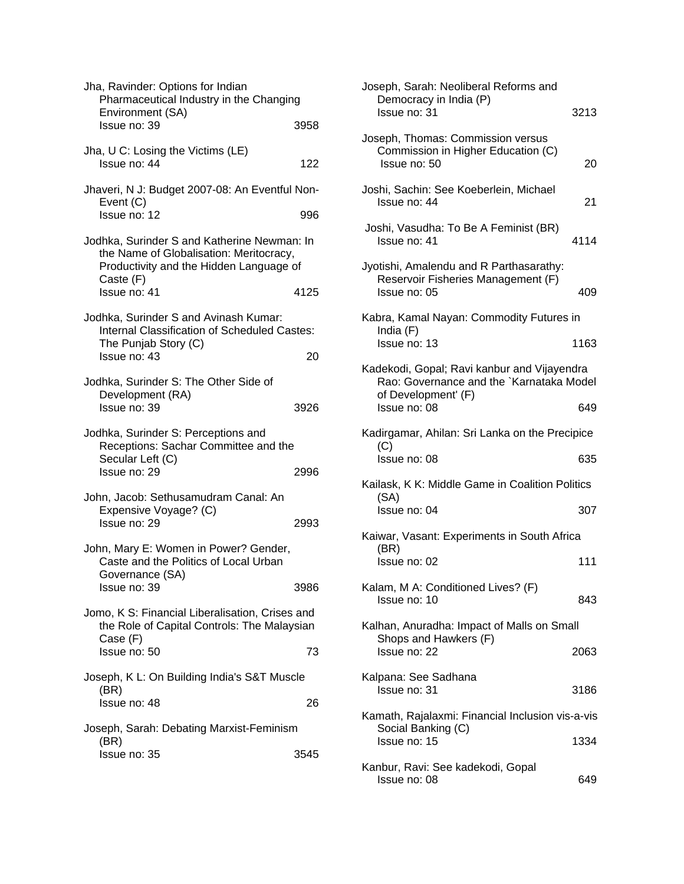| Jha, Ravinder: Options for Indian<br>Pharmaceutical Industry in the Changing<br>Environment (SA)                                               |      |
|------------------------------------------------------------------------------------------------------------------------------------------------|------|
| Issue no: 39                                                                                                                                   | 3958 |
| Jha, U C: Losing the Victims (LE)<br>Issue no: 44                                                                                              | 122  |
| Jhaveri, N J: Budget 2007-08: An Eventful Non-<br>Event (C)                                                                                    |      |
| Issue no: 12                                                                                                                                   | 996  |
| Jodhka, Surinder S and Katherine Newman: In<br>the Name of Globalisation: Meritocracy,<br>Productivity and the Hidden Language of<br>Caste (F) |      |
| Issue no: 41                                                                                                                                   | 4125 |
| Jodhka, Surinder S and Avinash Kumar:<br>Internal Classification of Scheduled Castes:<br>The Punjab Story (C)                                  |      |
| Issue no: 43                                                                                                                                   | 20   |
| Jodhka, Surinder S: The Other Side of<br>Development (RA)                                                                                      |      |
| Issue no: 39                                                                                                                                   | 3926 |
| Jodhka, Surinder S: Perceptions and<br>Receptions: Sachar Committee and the<br>Secular Left (C)                                                |      |
| Issue no: 29                                                                                                                                   | 2996 |
| John, Jacob: Sethusamudram Canal: An<br>Expensive Voyage? (C)<br>Issue no: 29                                                                  | 2993 |
| John, Mary E: Women in Power? Gender,<br>Caste and the Politics of Local Urban<br>Governance (SA)                                              |      |
| Issue no: 39                                                                                                                                   | 3986 |
| Jomo, K S: Financial Liberalisation, Crises and<br>the Role of Capital Controls: The Malaysian<br>Case (F)                                     |      |
| Issue no: 50                                                                                                                                   | 73   |
| Joseph, K L: On Building India's S&T Muscle<br>(BR)                                                                                            |      |
| Issue no: 48                                                                                                                                   | 26   |
| Joseph, Sarah: Debating Marxist-Feminism<br>(BR)                                                                                               |      |
| Issue no: 35                                                                                                                                   | 3545 |

| Joseph, Sarah: Neoliberal Reforms and<br>Democracy in India (P)<br>Issue no: 31                                | 3213 |
|----------------------------------------------------------------------------------------------------------------|------|
| Joseph, Thomas: Commission versus<br>Commission in Higher Education (C)<br>Issue no: 50                        | 20   |
| Joshi, Sachin: See Koeberlein, Michael<br>Issue no: 44                                                         | 21   |
| Joshi, Vasudha: To Be A Feminist (BR)<br>Issue no: 41                                                          | 4114 |
| Jyotishi, Amalendu and R Parthasarathy:<br>Reservoir Fisheries Management (F)<br>Issue no: 05                  | 409  |
| Kabra, Kamal Nayan: Commodity Futures in                                                                       |      |
| India (F)<br>Issue no: 13                                                                                      | 1163 |
| Kadekodi, Gopal; Ravi kanbur and Vijayendra<br>Rao: Governance and the `Karnataka Model<br>of Development' (F) |      |
| Issue no: 08                                                                                                   | 649  |
| Kadirgamar, Ahilan: Sri Lanka on the Precipice<br>(C)                                                          |      |
| Issue no: 08                                                                                                   | 635  |
| Kailask, K K: Middle Game in Coalition Politics                                                                |      |
| (SA)<br>Issue no: 04                                                                                           | 307  |
| Kaiwar, Vasant: Experiments in South Africa                                                                    |      |
| (BR)<br>Issue no: 02                                                                                           | 111  |
| Kalam, M A: Conditioned Lives? (F)<br>Issue no: 10                                                             | 843  |
| Kalhan, Anuradha: Impact of Malls on Small                                                                     |      |
| Shops and Hawkers (F)<br>Issue no: 22                                                                          | 2063 |
| Kalpana: See Sadhana<br>Issue no: 31                                                                           | 3186 |
| Kamath, Rajalaxmi: Financial Inclusion vis-a-vis                                                               |      |
| Social Banking (C)<br>Issue no: 15                                                                             | 1334 |
| Kanbur, Ravi: See kadekodi, Gopal<br>Issue no: 08                                                              | 649  |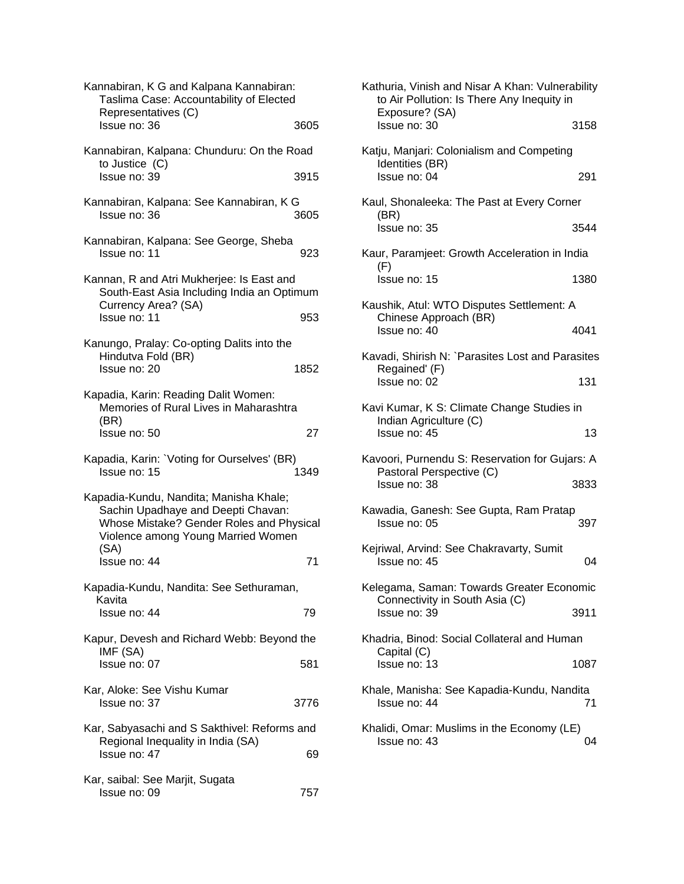| Kannabiran, K G and Kalpana Kannabiran:<br>Taslima Case: Accountability of Elected<br>Representatives (C)                                                              |      |
|------------------------------------------------------------------------------------------------------------------------------------------------------------------------|------|
| Issue no: 36                                                                                                                                                           | 3605 |
| Kannabiran, Kalpana: Chunduru: On the Road<br>to Justice (C)                                                                                                           |      |
| Issue no: 39                                                                                                                                                           | 3915 |
| Kannabiran, Kalpana: See Kannabiran, K G<br>Issue no: 36                                                                                                               | 3605 |
| Kannabiran, Kalpana: See George, Sheba<br>Issue no: 11                                                                                                                 | 923  |
| Kannan, R and Atri Mukherjee: Is East and<br>South-East Asia Including India an Optimum<br>Currency Area? (SA)                                                         |      |
| Issue no: 11                                                                                                                                                           | 953  |
| Kanungo, Pralay: Co-opting Dalits into the<br>Hindutva Fold (BR)<br>Issue no: 20                                                                                       | 1852 |
| Kapadia, Karin: Reading Dalit Women:<br>Memories of Rural Lives in Maharashtra<br>(BR)                                                                                 |      |
| Issue no: 50                                                                                                                                                           | 27   |
| Kapadia, Karin: `Voting for Ourselves' (BR)<br>Issue no: 15                                                                                                            | 1349 |
| Kapadia-Kundu, Nandita; Manisha Khale;<br>Sachin Upadhaye and Deepti Chavan:<br>Whose Mistake? Gender Roles and Physical<br>Violence among Young Married Women<br>(SA) |      |
| Issue no: 44                                                                                                                                                           | 71   |
| Kapadia-Kundu, Nandita: See Sethuraman,<br>Kavita                                                                                                                      |      |
| Issue no: 44                                                                                                                                                           | 79   |
| Kapur, Devesh and Richard Webb: Beyond the<br>IMF (SA)                                                                                                                 |      |
| Issue no: 07                                                                                                                                                           | 581  |
| Kar, Aloke: See Vishu Kumar<br>Issue no: 37                                                                                                                            | 3776 |
| Kar, Sabyasachi and S Sakthivel: Reforms and<br>Regional Inequality in India (SA)                                                                                      |      |
| Issue no: 47                                                                                                                                                           | 69   |
| Kar, saibal: See Marjit, Sugata<br>Issue no: 09                                                                                                                        | 757  |

| Kathuria, Vinish and Nisar A Khan: Vulnerability<br>to Air Pollution: Is There Any Inequity in |      |
|------------------------------------------------------------------------------------------------|------|
| Exposure? (SA)<br>Issue no: 30                                                                 | 3158 |
| Katju, Manjari: Colonialism and Competing<br>Identities (BR)                                   |      |
| Issue no: 04                                                                                   | 291  |
| Kaul, Shonaleeka: The Past at Every Corner<br>(BR)                                             |      |
| Issue no: 35                                                                                   | 3544 |
| Kaur, Paramjeet: Growth Acceleration in India<br>(F)                                           |      |
| Issue no: 15                                                                                   | 1380 |
| Kaushik, Atul: WTO Disputes Settlement: A                                                      |      |
| Chinese Approach (BR)<br>Issue no: 40                                                          | 4041 |
| Kavadi, Shirish N: `Parasites Lost and Parasites<br>Regained' (F)                              |      |
| Issue no: 02                                                                                   | 131  |
| Kavi Kumar, K S: Climate Change Studies in<br>Indian Agriculture (C)                           |      |
| Issue no: 45                                                                                   | 13   |
| Kavoori, Purnendu S: Reservation for Gujars: A<br>Pastoral Perspective (C)                     |      |
| Issue no: 38                                                                                   | 3833 |
| Kawadia, Ganesh: See Gupta, Ram Pratap<br>Issue no: 05                                         | 397  |
| Kejriwal, Arvind: See Chakravarty, Sumit<br>Issue no: 45                                       | 04   |
| Kelegama, Saman: Towards Greater Economic                                                      |      |
| Connectivity in South Asia (C)<br>Issue no: 39                                                 | 3911 |
| Khadria, Binod: Social Collateral and Human                                                    |      |
| Capital (C)<br>Issue no: 13                                                                    | 1087 |
| Khale, Manisha: See Kapadia-Kundu, Nandita<br>Issue no: 44                                     | 71   |
| Khalidi, Omar: Muslims in the Economy (LE)<br>Issue no: 43                                     | 04   |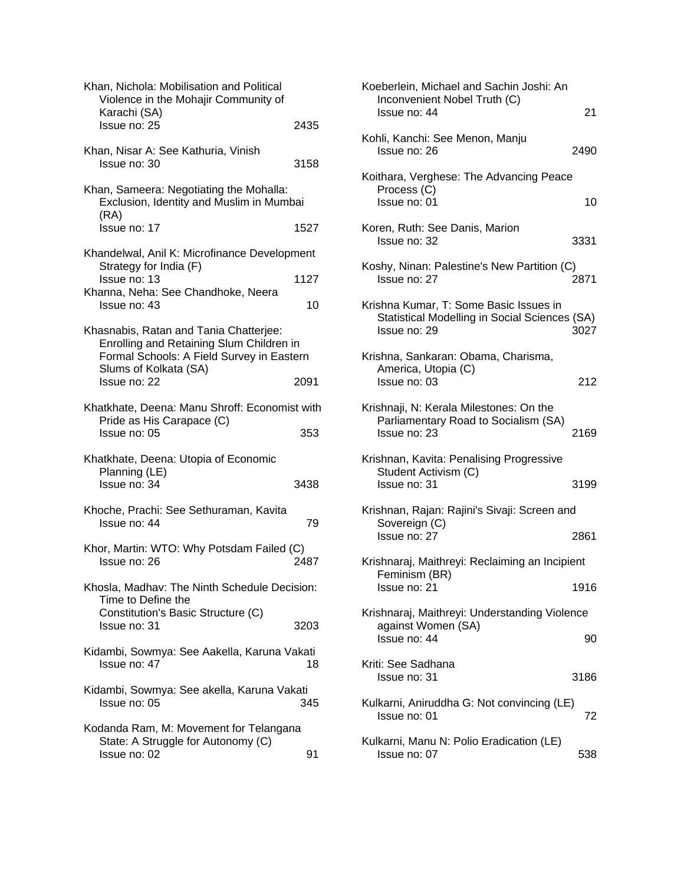| Khan, Nichola: Mobilisation and Political<br>Violence in the Mohajir Community of<br>Karachi (SA)                                                        |      |
|----------------------------------------------------------------------------------------------------------------------------------------------------------|------|
| Issue no: 25                                                                                                                                             | 2435 |
| Khan, Nisar A: See Kathuria, Vinish<br>Issue no: 30                                                                                                      | 3158 |
| Khan, Sameera: Negotiating the Mohalla:<br>Exclusion, Identity and Muslim in Mumbai<br>(RA)                                                              |      |
| Issue no: 17                                                                                                                                             | 1527 |
| Khandelwal, Anil K: Microfinance Development<br>Strategy for India (F)                                                                                   |      |
| Issue no: 13<br>Khanna, Neha: See Chandhoke, Neera                                                                                                       | 1127 |
| Issue no: 43                                                                                                                                             | 10   |
| Khasnabis, Ratan and Tania Chatterjee:<br>Enrolling and Retaining Slum Children in<br>Formal Schools: A Field Survey in Eastern<br>Slums of Kolkata (SA) |      |
| Issue no: 22                                                                                                                                             | 2091 |
| Khatkhate, Deena: Manu Shroff: Economist with<br>Pride as His Carapace (C)                                                                               |      |
| Issue no: 05                                                                                                                                             | 353  |
| Khatkhate, Deena: Utopia of Economic<br>Planning (LE)<br>Issue no: 34                                                                                    | 3438 |
| Khoche, Prachi: See Sethuraman, Kavita<br>Issue no: 44                                                                                                   | 79   |
| Khor, Martin: WTO: Why Potsdam Failed (C)<br>Issue no: 26                                                                                                | 2487 |
| Khosla, Madhav: The Ninth Schedule Decision:<br>Time to Define the                                                                                       |      |
| Constitution's Basic Structure (C)<br>Issue no: 31                                                                                                       | 3203 |
| Kidambi, Sowmya: See Aakella, Karuna Vakati<br>Issue no: 47                                                                                              | 18   |
| Kidambi, Sowmya: See akella, Karuna Vakati<br>Issue no: 05                                                                                               | 345  |
| Kodanda Ram, M: Movement for Telangana<br>State: A Struggle for Autonomy (C)                                                                             |      |

| Koeberlein, Michael and Sachin Joshi: An<br>Inconvenient Nobel Truth (C)<br>Issue no: 44                | 21   |
|---------------------------------------------------------------------------------------------------------|------|
| Kohli, Kanchi: See Menon, Manju<br>Issue no: 26                                                         | 2490 |
| Koithara, Verghese: The Advancing Peace<br>Process (C)<br>Issue no: 01                                  | 10   |
| Koren, Ruth: See Danis, Marion<br>Issue no: 32                                                          | 3331 |
| Koshy, Ninan: Palestine's New Partition (C)<br>Issue no: 27                                             | 2871 |
| Krishna Kumar, T: Some Basic Issues in<br>Statistical Modelling in Social Sciences (SA)<br>Issue no: 29 | 3027 |
| Krishna, Sankaran: Obama, Charisma,<br>America, Utopia (C)<br>Issue no: 03                              | 212  |
| Krishnaji, N: Kerala Milestones: On the<br>Parliamentary Road to Socialism (SA)<br>Issue no: 23         | 2169 |
| Krishnan, Kavita: Penalising Progressive<br>Student Activism (C)<br>Issue no: 31                        | 3199 |
| Krishnan, Rajan: Rajini's Sivaji: Screen and                                                            |      |
| Sovereign (C)<br>Issue no: 27                                                                           | 2861 |
| Krishnaraj, Maithreyi: Reclaiming an Incipient<br>Feminism (BR)                                         |      |
| Issue no: 21                                                                                            | 1916 |
| Krishnaraj, Maithreyi: Understanding Violence<br>against Women (SA)                                     |      |
| Issue no: 44                                                                                            | 90   |
| Kriti: See Sadhana<br>Issue no: 31                                                                      | 3186 |
| Kulkarni, Aniruddha G: Not convincing (LE)<br>Issue no: 01                                              | 72   |
| Kulkarni, Manu N: Polio Eradication (LE)<br>Issue no: 07                                                | 538  |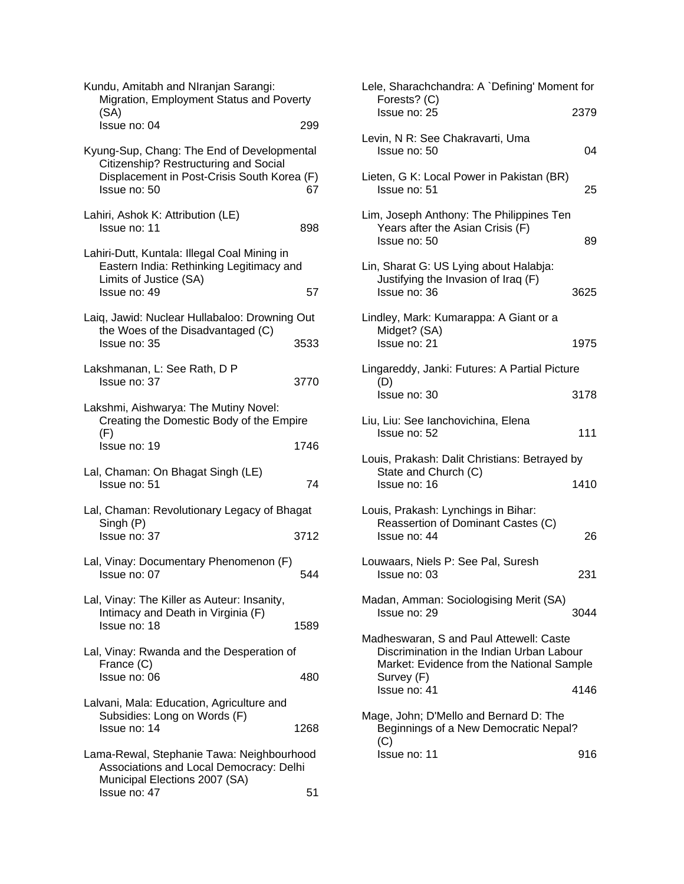| Kundu, Amitabh and NIranjan Sarangi:<br>Migration, Employment Status and Poverty                                                                   |      |
|----------------------------------------------------------------------------------------------------------------------------------------------------|------|
| (SA)<br>Issue no: 04                                                                                                                               | 299  |
| Kyung-Sup, Chang: The End of Developmental<br>Citizenship? Restructuring and Social<br>Displacement in Post-Crisis South Korea (F)<br>Issue no: 50 | 67   |
| Lahiri, Ashok K: Attribution (LE)<br>Issue no: 11                                                                                                  | 898  |
| Lahiri-Dutt, Kuntala: Illegal Coal Mining in<br>Eastern India: Rethinking Legitimacy and<br>Limits of Justice (SA)<br>Issue no: 49                 | 57   |
| Laiq, Jawid: Nuclear Hullabaloo: Drowning Out<br>the Woes of the Disadvantaged (C)                                                                 |      |
| Issue no: 35                                                                                                                                       | 3533 |
| Lakshmanan, L: See Rath, D P<br>Issue no: 37                                                                                                       | 3770 |
| Lakshmi, Aishwarya: The Mutiny Novel:<br>Creating the Domestic Body of the Empire<br>(F)                                                           |      |
| Issue no: 19                                                                                                                                       | 1746 |
| Lal, Chaman: On Bhagat Singh (LE)<br>Issue no: 51                                                                                                  | 74   |
| Lal, Chaman: Revolutionary Legacy of Bhagat<br>Singh (P)<br>Issue no: 37                                                                           | 3712 |
| Lal, Vinay: Documentary Phenomenon (F)<br>Issue no: 07                                                                                             | 544  |
| Lal, Vinay: The Killer as Auteur: Insanity,<br>Intimacy and Death in Virginia (F)<br>Issue no: 18                                                  | 1589 |
| Lal, Vinay: Rwanda and the Desperation of<br>France (C)<br>Issue no: 06                                                                            | 480  |
| Lalvani, Mala: Education, Agriculture and<br>Subsidies: Long on Words (F)<br>Issue no: 14                                                          | 1268 |
| Lama-Rewal, Stephanie Tawa: Neighbourhood<br>Associations and Local Democracy: Delhi<br>Municipal Elections 2007 (SA)<br>Issue no: 47              | 51   |

| Lele, Sharachchandra: A `Defining' Moment for<br>Forests? (C)                                                                                   |      |
|-------------------------------------------------------------------------------------------------------------------------------------------------|------|
| Issue no: 25                                                                                                                                    | 2379 |
| Levin, N R: See Chakravarti, Uma<br>Issue no: 50                                                                                                | 04   |
| Lieten, G K: Local Power in Pakistan (BR)<br>Issue no: 51                                                                                       | 25   |
| Lim, Joseph Anthony: The Philippines Ten<br>Years after the Asian Crisis (F)<br>Issue no: 50                                                    | 89   |
| Lin, Sharat G: US Lying about Halabja:<br>Justifying the Invasion of Iraq (F)<br>Issue no: 36                                                   | 3625 |
| Lindley, Mark: Kumarappa: A Giant or a                                                                                                          |      |
| Midget? (SA)<br>Issue no: 21                                                                                                                    | 1975 |
| Lingareddy, Janki: Futures: A Partial Picture                                                                                                   |      |
| (D)<br>Issue no: 30                                                                                                                             | 3178 |
| Liu, Liu: See Ianchovichina, Elena<br>Issue no: 52                                                                                              | 111  |
| Louis, Prakash: Dalit Christians: Betrayed by                                                                                                   |      |
| State and Church (C)<br>Issue no: 16                                                                                                            | 1410 |
| Louis, Prakash: Lynchings in Bihar:<br>Reassertion of Dominant Castes (C)<br>Issue no: 44                                                       | 26   |
| Louwaars, Niels P: See Pal, Suresh<br>Issue no: 03                                                                                              | 231  |
| Madan, Amman: Sociologising Merit (SA)<br>Issue no: 29                                                                                          | 3044 |
| Madheswaran, S and Paul Attewell: Caste<br>Discrimination in the Indian Urban Labour<br>Market: Evidence from the National Sample<br>Survey (F) |      |
| Issue no: 41                                                                                                                                    | 4146 |
| Mage, John; D'Mello and Bernard D: The<br>Beginnings of a New Democratic Nepal?<br>(C)                                                          |      |
| Issue no: 11                                                                                                                                    | 916  |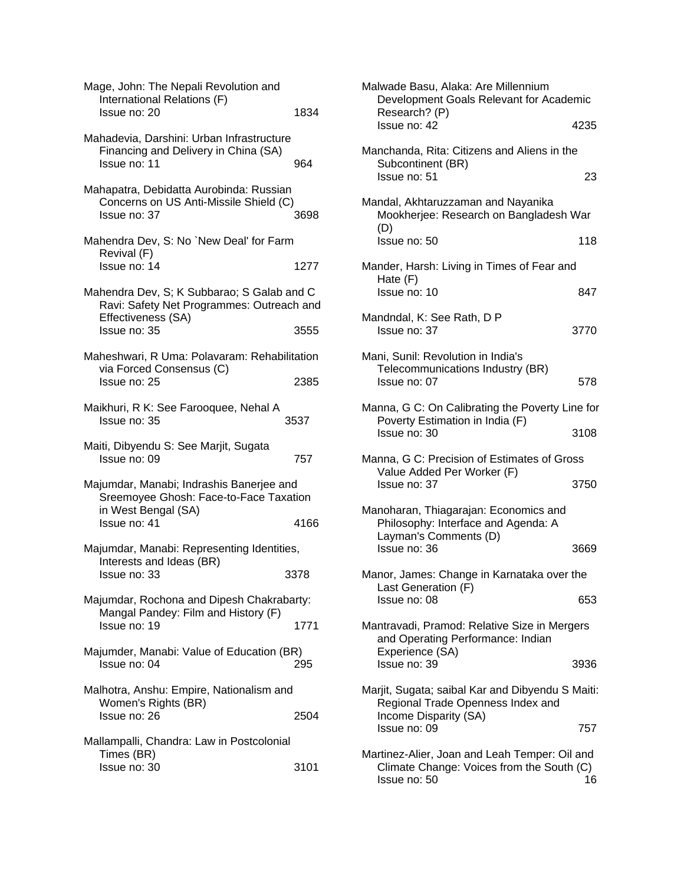| Mage, John: The Nepali Revolution and<br>International Relations (F)<br>Issue no: 20                                          | 1834 |
|-------------------------------------------------------------------------------------------------------------------------------|------|
| Mahadevia, Darshini: Urban Infrastructure<br>Financing and Delivery in China (SA)<br>Issue no: 11                             | 964  |
| Mahapatra, Debidatta Aurobinda: Russian<br>Concerns on US Anti-Missile Shield (C)<br>Issue no: 37                             | 3698 |
| Mahendra Dev, S: No `New Deal' for Farm<br>Revival (F)<br>Issue no: 14                                                        | 1277 |
| Mahendra Dev, S; K Subbarao; S Galab and C<br>Ravi: Safety Net Programmes: Outreach and<br>Effectiveness (SA)<br>Issue no: 35 | 3555 |
| Maheshwari, R Uma: Polavaram: Rehabilitation<br>via Forced Consensus (C)<br>Issue no: 25                                      | 2385 |
| Maikhuri, R K: See Farooquee, Nehal A<br>Issue no: 35                                                                         | 3537 |
|                                                                                                                               |      |
| Maiti, Dibyendu S: See Marjit, Sugata<br>Issue no: 09                                                                         | 757  |
| Majumdar, Manabi; Indrashis Banerjee and<br>Sreemoyee Ghosh: Face-to-Face Taxation<br>in West Bengal (SA)                     |      |
| Issue no: 41                                                                                                                  | 4166 |
| Majumdar, Manabi: Representing Identities,<br>Interests and Ideas (BR)                                                        |      |
| Issue no: 33                                                                                                                  | 3378 |
| Majumdar, Rochona and Dipesh Chakrabarty:<br>Mangal Pandey: Film and History (F)<br>Issue no: 19                              | 1771 |
| Majumder, Manabi: Value of Education (BR)<br>Issue no: 04                                                                     | 295  |
| Malhotra, Anshu: Empire, Nationalism and<br>Women's Rights (BR)<br>Issue no: 26                                               | 2504 |
| Mallampalli, Chandra: Law in Postcolonial<br>Times (BR)                                                                       |      |

| Malwade Basu, Alaka: Are Millennium<br>Development Goals Relevant for Academic<br>Research? (P)                |      |
|----------------------------------------------------------------------------------------------------------------|------|
| Issue no: 42                                                                                                   | 4235 |
| Manchanda, Rita: Citizens and Aliens in the<br>Subcontinent (BR)<br>Issue no: 51                               | 23   |
| Mandal, Akhtaruzzaman and Nayanika<br>Mookherjee: Research on Bangladesh War                                   |      |
| (D)<br>Issue no: 50                                                                                            | 118  |
| Mander, Harsh: Living in Times of Fear and<br>Hate (F)<br>Issue no: 10                                         | 847  |
| Mandndal, K: See Rath, D P<br>Issue no: 37                                                                     | 3770 |
| Mani, Sunil: Revolution in India's<br>Telecommunications Industry (BR)<br>Issue no: 07                         | 578  |
| Manna, G C: On Calibrating the Poverty Line for<br>Poverty Estimation in India (F)<br>Issue no: 30             | 3108 |
| Manna, G C: Precision of Estimates of Gross<br>Value Added Per Worker (F)<br>Issue no: 37                      | 3750 |
| Manoharan, Thiagarajan: Economics and<br>Philosophy: Interface and Agenda: A<br>Layman's Comments (D)          |      |
| Issue no: 36                                                                                                   | 3669 |
| Manor, James: Change in Karnataka over the<br>Last Generation (F)                                              |      |
| Issue no: 08<br>Mantravadi, Pramod: Relative Size in Mergers<br>and Operating Performance: Indian              | 653  |
| Experience (SA)<br>Issue no: 39                                                                                | 3936 |
| Marjit, Sugata; saibal Kar and Dibyendu S Maiti:<br>Regional Trade Openness Index and<br>Income Disparity (SA) |      |
| Issue no: 09                                                                                                   | 757  |
| Martinez-Alier, Joan and Leah Temper: Oil and<br>Climate Change: Voices from the South (C)<br>Issue no: 50     | 16   |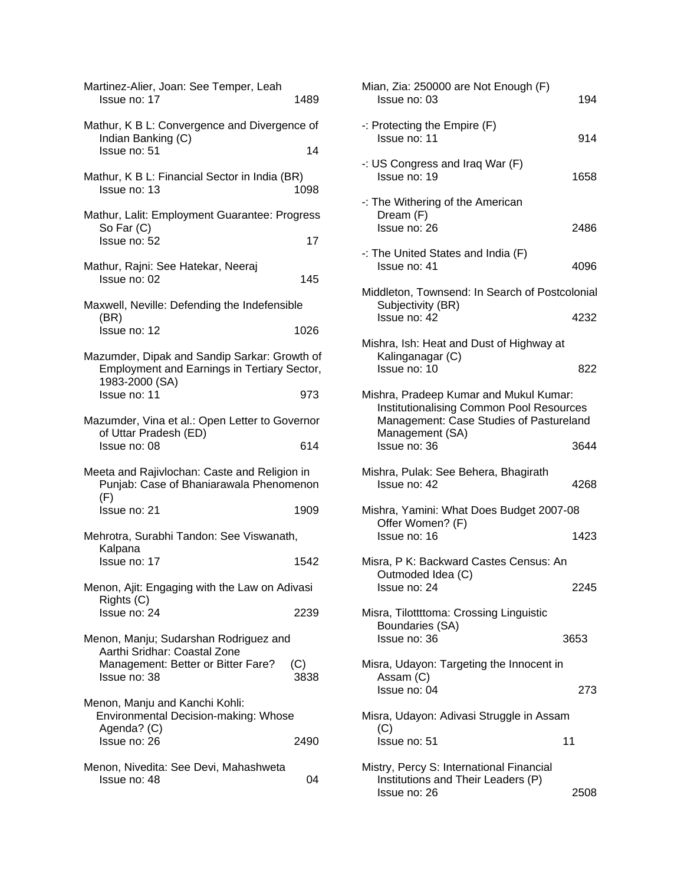| Martinez-Alier, Joan: See Temper, Leah<br>Issue no: 17                                                               | 1489        |
|----------------------------------------------------------------------------------------------------------------------|-------------|
| Mathur, K B L: Convergence and Divergence of<br>Indian Banking (C)<br>Issue no: 51                                   | 14          |
|                                                                                                                      |             |
| Mathur, K B L: Financial Sector in India (BR)<br>Issue no: 13                                                        | 1098        |
| Mathur, Lalit: Employment Guarantee: Progress                                                                        |             |
| So Far (C)<br>Issue no: 52                                                                                           | 17          |
| Mathur, Rajni: See Hatekar, Neeraj<br>Issue no: 02                                                                   | 145         |
| Maxwell, Neville: Defending the Indefensible                                                                         |             |
| (BR)<br>Issue no: 12                                                                                                 | 1026        |
| Mazumder, Dipak and Sandip Sarkar: Growth of<br><b>Employment and Earnings in Tertiary Sector,</b><br>1983-2000 (SA) |             |
| Issue no: 11                                                                                                         | 973         |
| Mazumder, Vina et al.: Open Letter to Governor                                                                       |             |
| of Uttar Pradesh (ED)<br>Issue no: 08                                                                                | 614         |
| Meeta and Rajivlochan: Caste and Religion in<br>Punjab: Case of Bhaniarawala Phenomenon<br>(F)                       |             |
| Issue no: 21                                                                                                         | 1909        |
| Mehrotra, Surabhi Tandon: See Viswanath,                                                                             |             |
| Kalpana<br>Issue no: 17                                                                                              | 1542        |
| Menon, Ajit: Engaging with the Law on Adivasi                                                                        |             |
| Rights (C)<br>Issue no: 24                                                                                           | 2239        |
| Menon, Manju; Sudarshan Rodriguez and                                                                                |             |
| Aarthi Sridhar: Coastal Zone<br>Management: Better or Bitter Fare?<br>Issue no: 38                                   | (C)<br>3838 |
| Menon, Manju and Kanchi Kohli:<br>Environmental Decision-making: Whose<br>Agenda? (C)<br>Issue no: 26                | 2490        |
|                                                                                                                      |             |
| Menon, Nivedita: See Devi, Mahashweta<br>Issue no: 48                                                                | 04          |

| Mian, Zia: 250000 are Not Enough (F)<br>Issue no: 03                                                                                             | 194  |
|--------------------------------------------------------------------------------------------------------------------------------------------------|------|
| $-$ : Protecting the Empire (F)<br>Issue no: 11                                                                                                  | 914  |
| -: US Congress and Iraq War (F)<br>Issue no: 19                                                                                                  | 1658 |
| -: The Withering of the American<br>Dream (F)<br>Issue no: 26                                                                                    | 2486 |
| $\cdot$ : The United States and India (F)<br>Issue no: 41                                                                                        | 4096 |
| Middleton, Townsend: In Search of Postcolonial<br>Subjectivity (BR)<br>Issue no: 42                                                              | 4232 |
| Mishra, Ish: Heat and Dust of Highway at<br>Kalinganagar (C)<br>Issue no: 10                                                                     | 822  |
| Mishra, Pradeep Kumar and Mukul Kumar:<br>Institutionalising Common Pool Resources<br>Management: Case Studies of Pastureland<br>Management (SA) |      |
| Issue no: 36                                                                                                                                     | 3644 |
| Mishra, Pulak: See Behera, Bhagirath<br>Issue no: 42                                                                                             | 4268 |
| Mishra, Yamini: What Does Budget 2007-08<br>Offer Women? (F)                                                                                     |      |
| Issue no: 16                                                                                                                                     | 1423 |
| Misra, P K: Backward Castes Census: An<br>Outmoded Idea (C)                                                                                      |      |
| Issue no: 24                                                                                                                                     | 2245 |
| Misra, Tilottttoma: Crossing Linguistic<br>Boundaries (SA)<br>Issue no: 36                                                                       | 3653 |
| Misra, Udayon: Targeting the Innocent in<br>Assam (C)<br>Issue no: 04                                                                            | 273  |
| Misra, Udayon: Adivasi Struggle in Assam                                                                                                         |      |
| (C)<br>Issue no: 51                                                                                                                              | 11   |
| Mistry, Percy S: International Financial<br>Institutions and Their Leaders (P)<br>Issue no: 26                                                   | 2508 |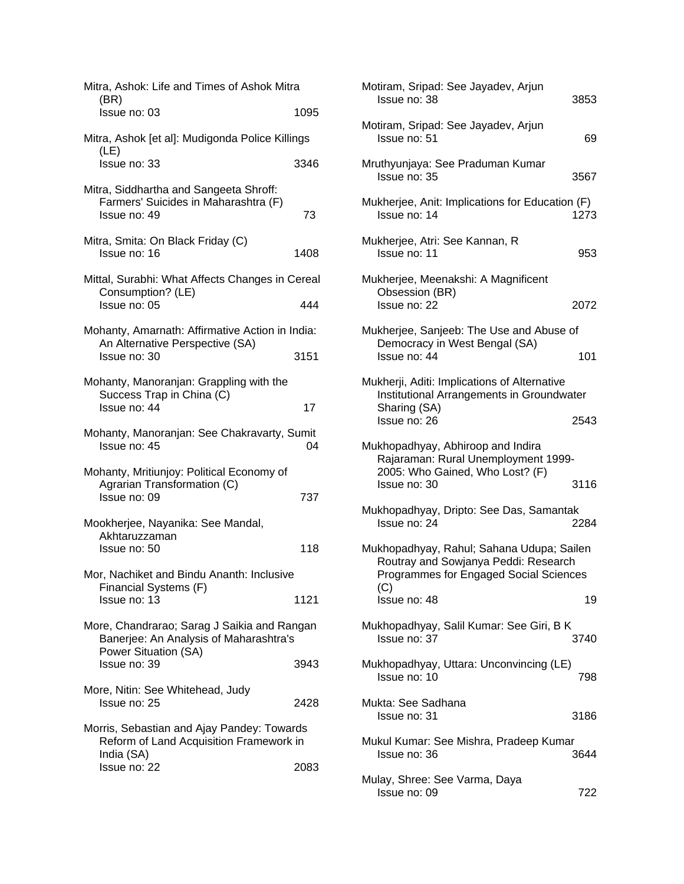| Mitra, Ashok: Life and Times of Ashok Mitra<br>(BR)                                                           |      | Motiram, Sripad: See Jayadev, Arjun<br>Issue no: 38                                       | 385             |
|---------------------------------------------------------------------------------------------------------------|------|-------------------------------------------------------------------------------------------|-----------------|
| Issue no: 03                                                                                                  | 1095 |                                                                                           |                 |
| Mitra, Ashok [et al]: Mudigonda Police Killings                                                               |      | Motiram, Sripad: See Jayadev, Arjun<br>Issue no: 51                                       | 69              |
| (LE)<br>Issue no: 33                                                                                          | 3346 | Mruthyunjaya: See Praduman Kumar<br>Issue no: 35                                          | 3567            |
| Mitra, Siddhartha and Sangeeta Shroff:                                                                        |      |                                                                                           |                 |
| Farmers' Suicides in Maharashtra (F)<br>Issue no: 49                                                          | 73   | Mukherjee, Anit: Implications for Education (F)<br>Issue no: 14                           | 1273            |
| Mitra, Smita: On Black Friday (C)<br>Issue no: 16                                                             | 1408 | Mukherjee, Atri: See Kannan, R<br>Issue no: 11                                            | 95              |
| Mittal, Surabhi: What Affects Changes in Cereal<br>Consumption? (LE)                                          |      | Mukherjee, Meenakshi: A Magnificent<br>Obsession (BR)                                     |                 |
| Issue no: 05                                                                                                  | 444  | Issue no: 22                                                                              | 2072            |
| Mohanty, Amarnath: Affirmative Action in India:<br>An Alternative Perspective (SA)<br>Issue no: 30            | 3151 | Mukherjee, Sanjeeb: The Use and Abuse of<br>Democracy in West Bengal (SA)<br>Issue no: 44 | 10 <sup>1</sup> |
| Mohanty, Manoranjan: Grappling with the                                                                       |      | Mukherji, Aditi: Implications of Alternative<br>Institutional Arrangements in Groundwater |                 |
| Success Trap in China (C)<br>Issue no: 44                                                                     | 17   | Sharing (SA)<br>Issue no: 26                                                              | 2543            |
| Mohanty, Manoranjan: See Chakravarty, Sumit<br>Issue no: 45                                                   | 04   | Mukhopadhyay, Abhiroop and Indira<br>Rajaraman: Rural Unemployment 1999-                  |                 |
| Mohanty, Mritiunjoy: Political Economy of<br>Agrarian Transformation (C)                                      |      | 2005: Who Gained, Who Lost? (F)<br>Issue no: 30                                           | 3116            |
| Issue no: 09<br>Mookherjee, Nayanika: See Mandal,                                                             | 737  | Mukhopadhyay, Dripto: See Das, Samantak<br>Issue no: 24                                   | 2284            |
| Akhtaruzzaman                                                                                                 |      |                                                                                           |                 |
| Issue no: 50                                                                                                  | 118  | Mukhopadhyay, Rahul; Sahana Udupa; Sailen<br>Routray and Sowjanya Peddi: Research         |                 |
| Mor, Nachiket and Bindu Ananth: Inclusive<br>Financial Systems (F)                                            |      | Programmes for Engaged Social Sciences<br>(C)                                             |                 |
| Issue no: 13                                                                                                  | 1121 | Issue no: 48                                                                              | 19              |
| More, Chandrarao; Sarag J Saikia and Rangan<br>Banerjee: An Analysis of Maharashtra's<br>Power Situation (SA) |      | Mukhopadhyay, Salil Kumar: See Giri, B K<br>Issue no: 37                                  | 3740            |
| Issue no: 39                                                                                                  | 3943 | Mukhopadhyay, Uttara: Unconvincing (LE)<br>Issue no: 10                                   | 798             |
| More, Nitin: See Whitehead, Judy                                                                              |      |                                                                                           |                 |
| Issue no: 25                                                                                                  | 2428 | Mukta: See Sadhana<br>Issue no: 31                                                        | 3186            |
| Morris, Sebastian and Ajay Pandey: Towards<br>Reform of Land Acquisition Framework in<br>India (SA)           |      | Mukul Kumar: See Mishra, Pradeep Kumar<br>Issue no: 36                                    | 3644            |
| Issue no: 22                                                                                                  | 2083 |                                                                                           |                 |
|                                                                                                               |      | Mulay, Shree: See Varma, Daya                                                             |                 |

| tra            | Motiram, Sripad: See Jayadev, Arjun<br>Issue no: 38                                                                         | 3853 |
|----------------|-----------------------------------------------------------------------------------------------------------------------------|------|
| 1095<br>llings | Motiram, Sripad: See Jayadev, Arjun<br>Issue no: 51                                                                         | 69   |
| 3346           | Mruthyunjaya: See Praduman Kumar<br>Issue no: 35                                                                            | 3567 |
| 73             | Mukherjee, Anit: Implications for Education (F)<br>Issue no: 14                                                             | 1273 |
| 1408           | Mukherjee, Atri: See Kannan, R<br>Issue no: 11                                                                              | 953  |
| Cereal         | Mukherjee, Meenakshi: A Magnificent                                                                                         |      |
| 444            | Obsession (BR)<br>Issue no: 22                                                                                              | 2072 |
| India:         | Mukherjee, Sanjeeb: The Use and Abuse of                                                                                    |      |
| 3151           | Democracy in West Bengal (SA)<br>Issue no: 44                                                                               | 101  |
|                | Mukherji, Aditi: Implications of Alternative                                                                                |      |
| 17             | Institutional Arrangements in Groundwater<br>Sharing (SA)                                                                   |      |
| Sumit          | Issue no: 26                                                                                                                | 2543 |
| 04             | Mukhopadhyay, Abhiroop and Indira<br>Rajaraman: Rural Unemployment 1999-                                                    |      |
|                | 2005: Who Gained, Who Lost? (F)<br>Issue no: 30                                                                             | 3116 |
| 737            | Mukhopadhyay, Dripto: See Das, Samantak<br>Issue no: 24                                                                     | 2284 |
| 118<br>/e      | Mukhopadhyay, Rahul; Sahana Udupa; Sailen<br>Routray and Sowjanya Peddi: Research<br>Programmes for Engaged Social Sciences |      |
| 1121           | (C)<br>Issue no: 48                                                                                                         | 19   |
| angan<br>'s    | Mukhopadhyay, Salil Kumar: See Giri, B K<br>Issue no: 37                                                                    | 3740 |
| 3943           | Mukhopadhyay, Uttara: Unconvincing (LE)<br>Issue no: 10                                                                     | 798  |
| 2428           | Mukta: See Sadhana<br>Issue no: 31                                                                                          | 3186 |
| ards           |                                                                                                                             |      |
| k in           | Mukul Kumar: See Mishra, Pradeep Kumar<br>Issue no: 36                                                                      | 3644 |
| 2083           | Mulay, Shree: See Varma, Daya<br>Issue no: 09                                                                               | 722  |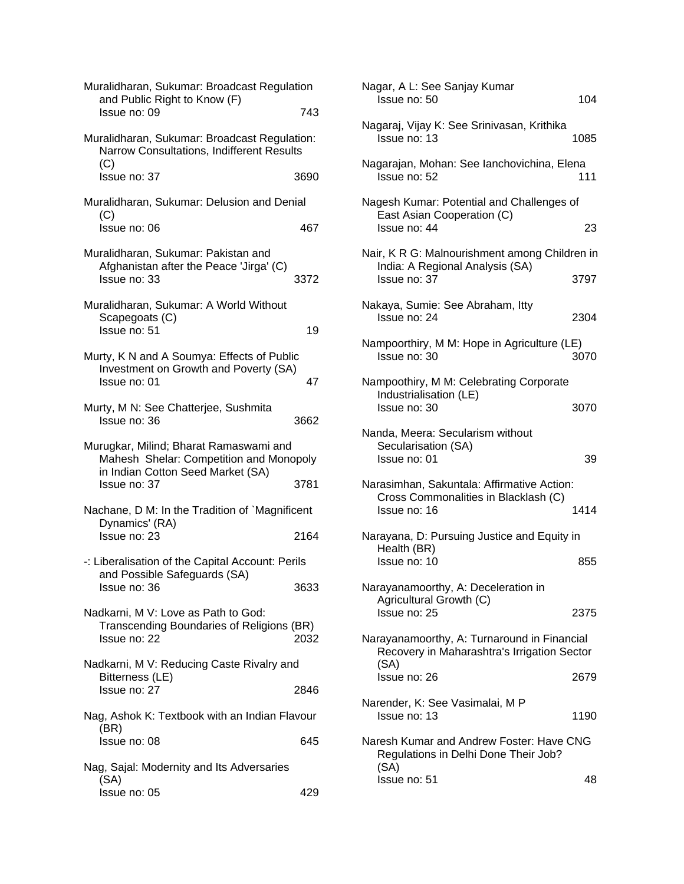| Muralidharan, Sukumar: Broadcast Regulation<br>and Public Right to Know (F)                                            |      |
|------------------------------------------------------------------------------------------------------------------------|------|
| Issue no: 09                                                                                                           | 743  |
| Muralidharan, Sukumar: Broadcast Regulation:<br>Narrow Consultations, Indifferent Results<br>(C)                       |      |
| Issue no: 37                                                                                                           | 3690 |
| Muralidharan, Sukumar: Delusion and Denial<br>(C)                                                                      |      |
| Issue no: 06                                                                                                           | 467  |
| Muralidharan, Sukumar: Pakistan and<br>Afghanistan after the Peace 'Jirga' (C)<br>Issue no: 33                         | 3372 |
| Muralidharan, Sukumar: A World Without<br>Scapegoats (C)<br>Issue no: 51                                               | 19   |
| Murty, K N and A Soumya: Effects of Public<br>Investment on Growth and Poverty (SA)<br>Issue no: 01                    | 47   |
| Murty, M N: See Chatterjee, Sushmita<br>Issue no: 36                                                                   | 3662 |
| Murugkar, Milind; Bharat Ramaswami and<br>Mahesh Shelar: Competition and Monopoly<br>in Indian Cotton Seed Market (SA) |      |
| Issue no: 37                                                                                                           | 3781 |
| Nachane, D M: In the Tradition of `Magnificent<br>Dynamics' (RA)                                                       |      |
|                                                                                                                        |      |
| Issue no: 23                                                                                                           | 2164 |
| -: Liberalisation of the Capital Account: Perils                                                                       |      |
| and Possible Safeguards (SA)<br>Issue no: 36                                                                           | 3633 |
| Nadkarni, M V: Love as Path to God:<br>Transcending Boundaries of Religions (BR)<br>Issue no: 22                       | 2032 |
| Nadkarni, M V: Reducing Caste Rivalry and                                                                              |      |
| Bitterness (LE)<br>Issue no: 27                                                                                        | 2846 |
| Nag, Ashok K: Textbook with an Indian Flavour                                                                          |      |
| (BR)<br>Issue no: 08                                                                                                   | 645  |
| Nag, Sajal: Modernity and Its Adversaries<br>(SA)                                                                      |      |

| Nagar, A L: See Sanjay Kumar<br>Issue no: 50                                                       | 104  |
|----------------------------------------------------------------------------------------------------|------|
| Nagaraj, Vijay K: See Srinivasan, Krithika<br>Issue no: 13                                         | 1085 |
| Nagarajan, Mohan: See lanchovichina, Elena<br>Issue no: 52                                         | 111  |
| Nagesh Kumar: Potential and Challenges of<br>East Asian Cooperation (C)<br>Issue no: 44            | 23   |
| Nair, K R G: Malnourishment among Children in<br>India: A Regional Analysis (SA)<br>Issue no: 37   | 3797 |
| Nakaya, Sumie: See Abraham, Itty<br>Issue no: 24                                                   | 2304 |
| Nampoorthiry, M M: Hope in Agriculture (LE)<br>Issue no: 30                                        | 3070 |
| Nampoothiry, M M: Celebrating Corporate<br>Industrialisation (LE)<br>Issue no: 30                  | 3070 |
| Nanda, Meera: Secularism without<br>Secularisation (SA)<br>Issue no: 01                            | 39   |
| Narasimhan, Sakuntala: Affirmative Action:<br>Cross Commonalities in Blacklash (C)<br>Issue no: 16 | 1414 |
| Narayana, D: Pursuing Justice and Equity in<br>Health (BR)<br>Issue no: 10                         | 855  |
| Narayanamoorthy, A: Deceleration in<br>Agricultural Growth (C)<br>Issue no: 25                     | 2375 |
| Narayanamoorthy, A: Turnaround in Financial<br>Recovery in Maharashtra's Irrigation Sector<br>(SA) |      |
| Issue no: 26                                                                                       | 2679 |
| Narender, K: See Vasimalai, M P<br>Issue no: 13                                                    | 1190 |
| Naresh Kumar and Andrew Foster: Have CNG<br>Regulations in Delhi Done Their Job?<br>(SA)           |      |
| Issue no: 51                                                                                       | 48   |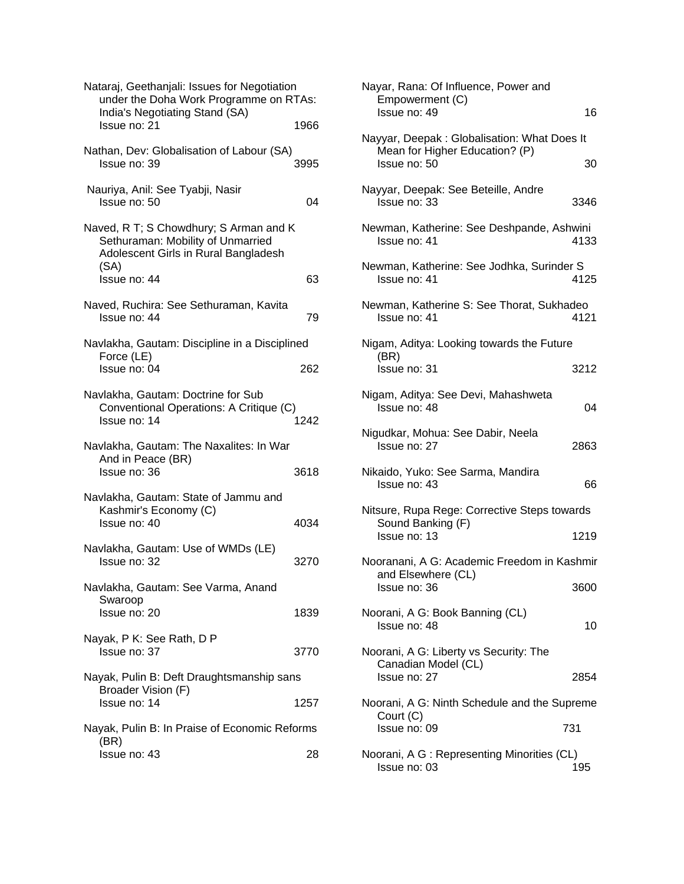| Nataraj, Geethanjali: Issues for Negotiation<br>under the Doha Work Programme on RTAs:<br>India's Negotiating Stand (SA)<br>Issue no: 21 | 1966 |
|------------------------------------------------------------------------------------------------------------------------------------------|------|
| Nathan, Dev: Globalisation of Labour (SA)<br>Issue no: 39                                                                                | 3995 |
| Nauriya, Anil: See Tyabji, Nasir<br>Issue no: 50                                                                                         | 04   |
| Naved, R T; S Chowdhury; S Arman and K<br>Sethuraman: Mobility of Unmarried<br>Adolescent Girls in Rural Bangladesh<br>(SA)              |      |
| Issue no: 44                                                                                                                             | 63   |
| Naved, Ruchira: See Sethuraman, Kavita<br>Issue no: 44                                                                                   | 79   |
| Navlakha, Gautam: Discipline in a Disciplined<br>Force (LE)                                                                              |      |
| Issue no: 04                                                                                                                             | 262  |
| Navlakha, Gautam: Doctrine for Sub<br>Conventional Operations: A Critique (C)<br>Issue no: 14                                            | 1242 |
| Navlakha, Gautam: The Naxalites: In War<br>And in Peace (BR)<br>Issue no: 36                                                             | 3618 |
| Navlakha, Gautam: State of Jammu and<br>Kashmir's Economy (C)<br>Issue no: 40                                                            | 4034 |
| Navlakha, Gautam: Use of WMDs (LE)<br>Issue no: 32                                                                                       | 3270 |
| Navlakha, Gautam: See Varma, Anand<br>Swaroop<br>Issue no: 20                                                                            | 1839 |
| Nayak, P K: See Rath, D P<br>Issue no: 37                                                                                                | 3770 |
| Nayak, Pulin B: Deft Draughtsmanship sans                                                                                                |      |
| Broader Vision (F)<br>Issue no: 14                                                                                                       | 1257 |
| Nayak, Pulin B: In Praise of Economic Reforms                                                                                            |      |
| (BR)<br>Issue no: 43                                                                                                                     | 28   |

| Nayar, Rana: Of Influence, Power and<br>Empowerment (C)<br>Issue no: 49       | 16   |  |
|-------------------------------------------------------------------------------|------|--|
|                                                                               |      |  |
| Nayyar, Deepak: Globalisation: What Does It<br>Mean for Higher Education? (P) |      |  |
| Issue no: 50                                                                  | 30   |  |
| Nayyar, Deepak: See Beteille, Andre<br>Issue no: 33                           | 3346 |  |
| Newman, Katherine: See Deshpande, Ashwini<br>Issue no: 41                     | 4133 |  |
| Newman, Katherine: See Jodhka, Surinder S<br>Issue no: 41                     | 4125 |  |
| Newman, Katherine S: See Thorat, Sukhadeo<br>Issue no: 41                     | 4121 |  |
| Nigam, Aditya: Looking towards the Future                                     |      |  |
| (BR)<br>Issue no: 31                                                          | 3212 |  |
| Nigam, Aditya: See Devi, Mahashweta<br>Issue no: 48                           | 04   |  |
| Nigudkar, Mohua: See Dabir, Neela<br>Issue no: 27                             | 2863 |  |
| Nikaido, Yuko: See Sarma, Mandira<br>Issue no: 43                             | 66   |  |
| Nitsure, Rupa Rege: Corrective Steps towards                                  |      |  |
| Sound Banking (F)<br>Issue no: 13                                             | 1219 |  |
| Nooranani, A G: Academic Freedom in Kashmir                                   |      |  |
| and Elsewhere (CL)<br>Issue no: 36                                            | 3600 |  |
| Noorani, A G: Book Banning (CL)<br>Issue no: 48                               | 10   |  |
| Noorani, A G: Liberty vs Security: The                                        |      |  |
| Canadian Model (CL)<br>Issue no: 27                                           | 2854 |  |
| Noorani, A G: Ninth Schedule and the Supreme                                  |      |  |
| Court (C)<br>Issue no: 09                                                     | 731  |  |
| Noorani, A G : Representing Minorities (CL)                                   |      |  |
| Issue no: 03                                                                  | 195  |  |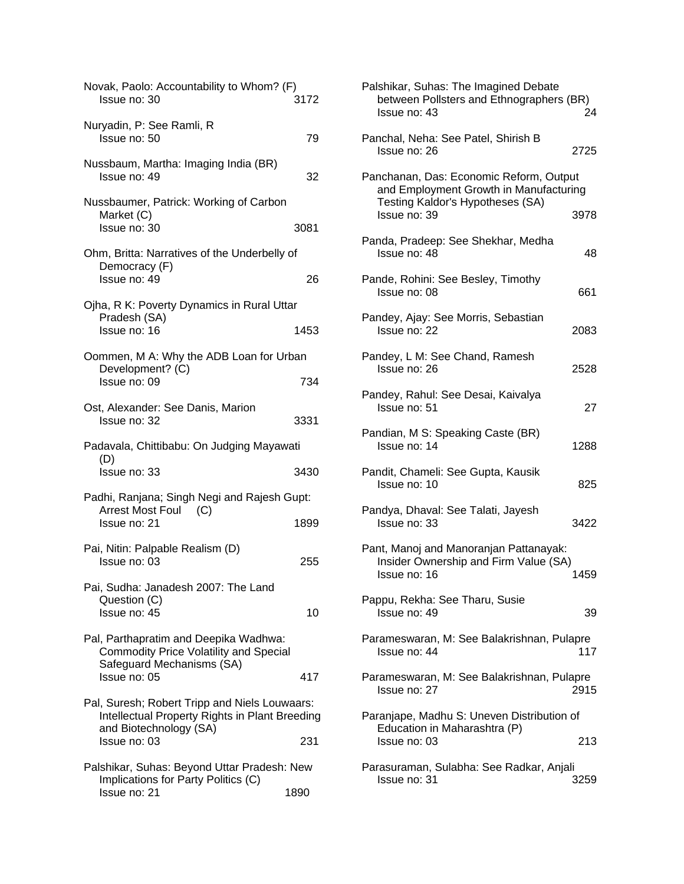| Novak, Paolo: Accountability to Whom? (F)<br>Issue no: 30                                       | 3172 |
|-------------------------------------------------------------------------------------------------|------|
| Nuryadin, P: See Ramli, R<br>Issue no: 50                                                       | 79   |
| Nussbaum, Martha: Imaging India (BR)<br>Issue no: 49                                            | 32   |
| Nussbaumer, Patrick: Working of Carbon<br>Market (C)<br>Issue no: 30                            | 3081 |
| Ohm, Britta: Narratives of the Underbelly of<br>Democracy (F)<br>Issue no: 49                   | 26   |
| Ojha, R K: Poverty Dynamics in Rural Uttar<br>Pradesh (SA)<br>Issue no: 16                      | 1453 |
| Oommen, M A: Why the ADB Loan for Urban<br>Development? (C)<br>Issue no: 09                     | 734  |
| Ost, Alexander: See Danis, Marion<br>Issue no: 32                                               | 3331 |
| Padavala, Chittibabu: On Judging Mayawati                                                       |      |
| (D)<br>Issue no: 33                                                                             | 3430 |
| Padhi, Ranjana; Singh Negi and Rajesh Gupt:<br>Arrest Most Foul (C)                             |      |
| Issue no: 21                                                                                    | 1899 |
| Pai, Nitin: Palpable Realism (D)<br>Issue no: 03                                                | 255  |
| Pai, Sudha: Janadesh 2007: The Land<br>Question (C)<br>Issue no: 45                             | 10   |
| Pal, Parthapratim and Deepika Wadhwa:<br><b>Commodity Price Volatility and Special</b>          |      |
| Safeguard Mechanisms (SA)<br>Issue no: 05                                                       | 417  |
| Pal, Suresh; Robert Tripp and Niels Louwaars:<br>Intellectual Property Rights in Plant Breeding |      |
| and Biotechnology (SA)<br>Issue no: 03                                                          | 231  |
| Palshikar, Suhas: Beyond Uttar Pradesh: New<br>Implications for Party Politics (C)              |      |
| Issue no: 21                                                                                    | 1890 |

| Palshikar, Suhas: The Imagined Debate<br>between Pollsters and Ethnographers (BR)<br>24<br>Issue no: 43               |  |
|-----------------------------------------------------------------------------------------------------------------------|--|
| Panchal, Neha: See Patel, Shirish B<br>2725<br>Issue no: 26                                                           |  |
| Panchanan, Das: Economic Reform, Output<br>and Employment Growth in Manufacturing<br>Testing Kaldor's Hypotheses (SA) |  |
| Issue no: 39<br>3978<br>Panda, Pradeep: See Shekhar, Medha<br>Issue no: 48<br>48                                      |  |
| Pande, Rohini: See Besley, Timothy<br>Issue no: 08<br>661                                                             |  |
| Pandey, Ajay: See Morris, Sebastian<br>2083<br>Issue no: 22                                                           |  |
| Pandey, L M: See Chand, Ramesh<br>Issue no: 26<br>2528                                                                |  |
| Pandey, Rahul: See Desai, Kaivalya<br>27<br>Issue no: 51                                                              |  |
| Pandian, M S: Speaking Caste (BR)<br>Issue no: 14<br>1288                                                             |  |
| Pandit, Chameli: See Gupta, Kausik<br>825<br>Issue no: 10                                                             |  |
| Pandya, Dhaval: See Talati, Jayesh<br>Issue no: 33<br>3422                                                            |  |
| Pant, Manoj and Manoranjan Pattanayak:<br>Insider Ownership and Firm Value (SA)<br>Issue no: 16<br>1459               |  |
| Pappu, Rekha: See Tharu, Susie<br>Issue no: 49<br>39                                                                  |  |
| Parameswaran, M: See Balakrishnan, Pulapre<br>Issue no: 44<br>117                                                     |  |
| Parameswaran, M: See Balakrishnan, Pulapre<br>Issue no: 27<br>2915                                                    |  |
| Paranjape, Madhu S: Uneven Distribution of<br>Education in Maharashtra (P)<br>213<br>Issue no: 03                     |  |
| Parasuraman, Sulabha: See Radkar, Anjali<br>3259<br>Issue no: 31                                                      |  |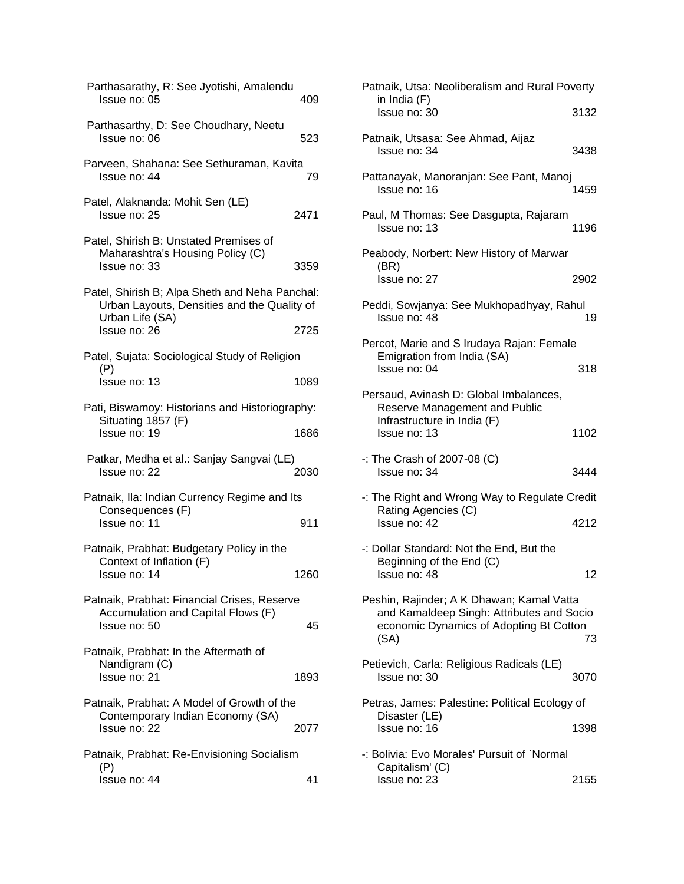| 409                                                                                           |
|-----------------------------------------------------------------------------------------------|
| 523                                                                                           |
| Parveen, Shahana: See Sethuraman, Kavita<br>79                                                |
| 2471                                                                                          |
| 3359                                                                                          |
| Patel, Shirish B; Alpa Sheth and Neha Panchal:<br>Urban Layouts, Densities and the Quality of |
| 2725                                                                                          |
|                                                                                               |
| 1089                                                                                          |
| Pati, Biswamoy: Historians and Historiography:                                                |
| 1686                                                                                          |
| 2030                                                                                          |
|                                                                                               |
| 911                                                                                           |
|                                                                                               |
| 1260                                                                                          |
| 45                                                                                            |
| 1893                                                                                          |
| 2077                                                                                          |
| 41                                                                                            |
|                                                                                               |

| Patnaik, Utsa: Neoliberalism and Rural Poverty<br>in India (F)                                                                            |      |
|-------------------------------------------------------------------------------------------------------------------------------------------|------|
| Issue no: 30                                                                                                                              | 3132 |
| Patnaik, Utsasa: See Ahmad, Aijaz<br>Issue no: 34                                                                                         | 3438 |
| Pattanayak, Manoranjan: See Pant, Manoj<br>Issue no: 16                                                                                   | 1459 |
| Paul, M Thomas: See Dasgupta, Rajaram<br>Issue no: 13                                                                                     | 1196 |
| Peabody, Norbert: New History of Marwar<br>(BR)<br>Issue no: 27                                                                           | 2902 |
| Peddi, Sowjanya: See Mukhopadhyay, Rahul<br>Issue no: 48                                                                                  | 19   |
| Percot, Marie and S Irudaya Rajan: Female<br>Emigration from India (SA)<br>Issue no: 04                                                   | 318  |
| Persaud, Avinash D: Global Imbalances,<br>Reserve Management and Public<br>Infrastructure in India (F)<br>Issue no: 13                    | 1102 |
| $-$ : The Crash of 2007-08 (C)<br>Issue no: 34                                                                                            | 3444 |
| -: The Right and Wrong Way to Regulate Credit<br>Rating Agencies (C)<br>Issue no: 42                                                      | 4212 |
| -: Dollar Standard: Not the End, But the<br>Beginning of the End (C)<br>Issue no: 48                                                      | 12   |
| Peshin, Rajinder; A K Dhawan; Kamal Vatta<br>and Kamaldeep Singh: Attributes and Socio<br>economic Dynamics of Adopting Bt Cotton<br>(SA) | 73   |
| Petievich, Carla: Religious Radicals (LE)<br>Issue no: 30                                                                                 | 3070 |
| Petras, James: Palestine: Political Ecology of<br>Disaster (LE)<br>Issue no: 16                                                           | 1398 |
| -: Bolivia: Evo Morales' Pursuit of `Normal<br>Capitalism' (C)<br>Issue no: 23                                                            | 2155 |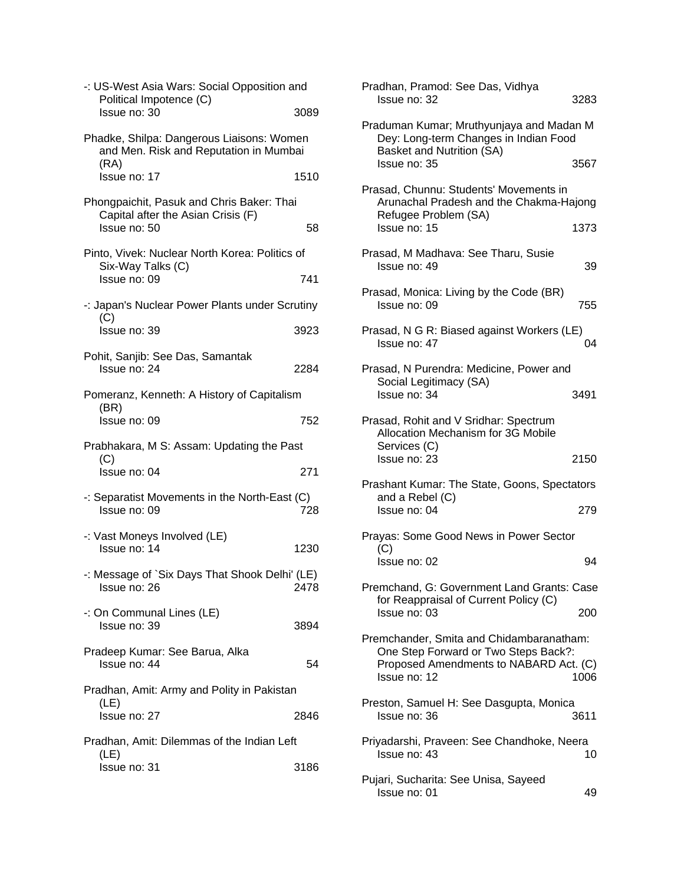| -: US-West Asia Wars: Social Opposition and<br>Political Impotence (C)                          |      |
|-------------------------------------------------------------------------------------------------|------|
| Issue no: 30                                                                                    | 3089 |
| Phadke, Shilpa: Dangerous Liaisons: Women<br>and Men. Risk and Reputation in Mumbai<br>(RA)     |      |
| Issue no: 17                                                                                    | 1510 |
| Phongpaichit, Pasuk and Chris Baker: Thai<br>Capital after the Asian Crisis (F)<br>Issue no: 50 | 58   |
| Pinto, Vivek: Nuclear North Korea: Politics of<br>Six-Way Talks (C)<br>Issue no: 09             | 741  |
| -: Japan's Nuclear Power Plants under Scrutiny                                                  |      |
| (C)<br>Issue no: 39                                                                             | 3923 |
| Pohit, Sanjib: See Das, Samantak<br>Issue no: 24                                                | 2284 |
| Pomeranz, Kenneth: A History of Capitalism<br>(BR)                                              |      |
| Issue no: 09                                                                                    | 752  |
| Prabhakara, M S: Assam: Updating the Past<br>(C)                                                |      |
| Issue no: 04                                                                                    | 271  |
| -: Separatist Movements in the North-East (C)<br>Issue no: 09                                   | 728  |
| -: Vast Moneys Involved (LE)                                                                    |      |
| Issue no: 14                                                                                    | 1230 |
| -: Message of `Six Days That Shook Delhi' (LE)<br>Issue no: 26                                  | 2478 |
| -: On Communal Lines (LE)<br>Issue no: 39                                                       | 3894 |
| Pradeep Kumar: See Barua, Alka<br>Issue no: 44                                                  | 54   |
| Pradhan, Amit: Army and Polity in Pakistan                                                      |      |
| (LE)<br>Issue no: 27                                                                            | 2846 |
| Pradhan, Amit: Dilemmas of the Indian Left                                                      |      |
| (LE)<br>Issue no: 31                                                                            | 3186 |

| Pradhan, Pramod: See Das, Vidhya<br>Issue no: 32                                                               | 3283 |
|----------------------------------------------------------------------------------------------------------------|------|
| Praduman Kumar; Mruthyunjaya and Madan M<br>Dey: Long-term Changes in Indian Food<br>Basket and Nutrition (SA) |      |
| Issue no: 35                                                                                                   | 3567 |
| Prasad, Chunnu: Students' Movements in<br>Arunachal Pradesh and the Chakma-Hajong<br>Refugee Problem (SA)      |      |
| Issue no: 15                                                                                                   | 1373 |
| Prasad, M Madhava: See Tharu, Susie<br>Issue no: 49                                                            | 39   |
| Prasad, Monica: Living by the Code (BR)<br>Issue no: 09                                                        | 755  |
| Prasad, N G R: Biased against Workers (LE)<br>Issue no: 47                                                     | 04   |
| Prasad, N Purendra: Medicine, Power and<br>Social Legitimacy (SA)<br>Issue no: 34                              | 3491 |
| Prasad, Rohit and V Sridhar: Spectrum<br>Allocation Mechanism for 3G Mobile<br>Services (C)                    |      |
| Issue no: 23                                                                                                   | 2150 |
| Prashant Kumar: The State, Goons, Spectators<br>and a Rebel (C)<br>Issue no: 04                                | 279  |
| Prayas: Some Good News in Power Sector<br>(C)                                                                  |      |
| Issue no: 02                                                                                                   | 94   |
| Premchand, G: Government Land Grants: Case<br>for Reappraisal of Current Policy (C)<br>Issue no: 03            |      |
|                                                                                                                |      |
| Preston, Samuel H: See Dasgupta, Monica<br>Issue no: 36                                                        | 3611 |
| Priyadarshi, Praveen: See Chandhoke, Neera<br>Issue no: 43                                                     | 10   |
| Pujari, Sucharita: See Unisa, Sayeed<br>Issue no: 01                                                           | 49   |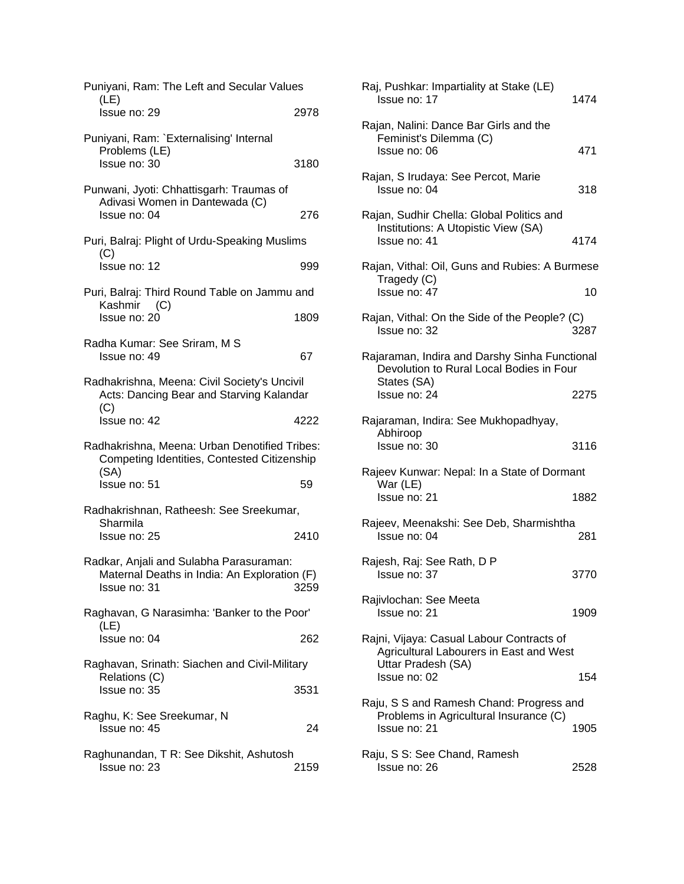| Puniyani, Ram: The Left and Secular Values                                                              |      |
|---------------------------------------------------------------------------------------------------------|------|
| (LE)<br>Issue no: 29                                                                                    | 2978 |
| Puniyani, Ram: `Externalising' Internal<br>Problems (LE)<br>Issue no: 30                                | 3180 |
| Punwani, Jyoti: Chhattisgarh: Traumas of<br>Adivasi Women in Dantewada (C)<br>Issue no: 04              | 276  |
| Puri, Balraj: Plight of Urdu-Speaking Muslims<br>(C)                                                    |      |
| Issue no: 12                                                                                            | 999  |
| Puri, Balraj: Third Round Table on Jammu and<br>Kashmir (C)<br>Issue no: 20                             | 1809 |
| Radha Kumar: See Sriram, M S<br>Issue no: 49                                                            | 67   |
| Radhakrishna, Meena: Civil Society's Uncivil<br>Acts: Dancing Bear and Starving Kalandar<br>(C)         |      |
| Issue no: 42                                                                                            | 4222 |
| Radhakrishna, Meena: Urban Denotified Tribes:<br>Competing Identities, Contested Citizenship<br>(SA)    |      |
| Issue no: 51                                                                                            | 59   |
| Radhakrishnan, Ratheesh: See Sreekumar,<br>Sharmila                                                     |      |
| Issue no: 25                                                                                            | 2410 |
| Radkar, Anjali and Sulabha Parasuraman:<br>Maternal Deaths in India: An Exploration (F)<br>Issue no: 31 | 3259 |
| Raghavan, G Narasimha: 'Banker to the Poor'                                                             |      |
| (LE)<br>Issue no: 04                                                                                    | 262  |
| Raghavan, Srinath: Siachen and Civil-Military<br>Relations (C)                                          |      |
| Issue no: 35                                                                                            | 3531 |
| Raghu, K: See Sreekumar, N<br>Issue no: 45                                                              | 24   |
| Raghunandan, T R: See Dikshit, Ashutosh<br>Issue no: 23                                                 | 2159 |

| Raj, Pushkar: Impartiality at Stake (LE)<br>Issue no: 17                                                   | 1474 |
|------------------------------------------------------------------------------------------------------------|------|
| Rajan, Nalini: Dance Bar Girls and the<br>Feminist's Dilemma (C)<br>Issue no: 06                           | 471  |
| Rajan, S Irudaya: See Percot, Marie<br>Issue no: 04                                                        | 318  |
| Rajan, Sudhir Chella: Global Politics and<br>Institutions: A Utopistic View (SA)<br>Issue no: 41           | 4174 |
| Rajan, Vithal: Oil, Guns and Rubies: A Burmese<br>Tragedy (C)<br>Issue no: 47                              | 10   |
| Rajan, Vithal: On the Side of the People? (C)<br>Issue no: 32                                              | 3287 |
| Rajaraman, Indira and Darshy Sinha Functional<br>Devolution to Rural Local Bodies in Four<br>States (SA)   |      |
| Issue no: 24                                                                                               | 2275 |
| Rajaraman, Indira: See Mukhopadhyay,<br>Abhiroop<br>Issue no: 30                                           | 3116 |
| Rajeev Kunwar: Nepal: In a State of Dormant                                                                |      |
| War (LE)<br>Issue no: 21                                                                                   | 1882 |
| Rajeev, Meenakshi: See Deb, Sharmishtha<br>Issue no: 04                                                    | 281  |
| Rajesh, Raj: See Rath, D P<br>Issue no: 37                                                                 | 3770 |
| Rajivlochan: See Meeta<br>Issue no: 21                                                                     | 1909 |
| Rajni, Vijaya: Casual Labour Contracts of<br>Agricultural Labourers in East and West<br>Uttar Pradesh (SA) |      |
| Issue no: 02                                                                                               | 154  |
| Raju, S S and Ramesh Chand: Progress and<br>Problems in Agricultural Insurance (C)                         |      |
| Issue no: 21                                                                                               | 1905 |
| Raju, S S: See Chand, Ramesh<br>Issue no: 26                                                               | 2528 |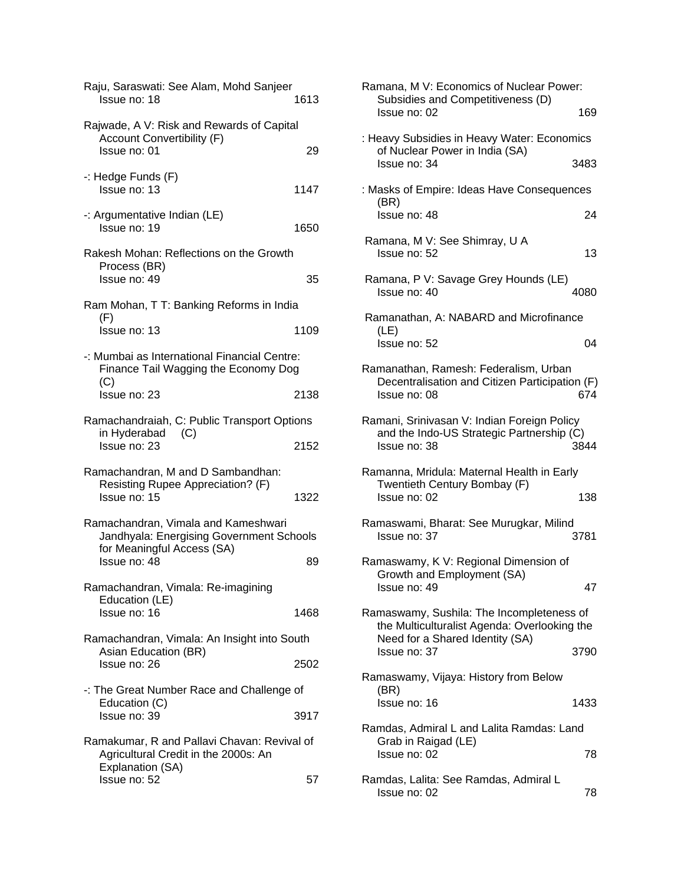| Raju, Saraswati: See Alam, Mohd Sanjeer<br>Issue no: 18                                                       | 1613 |
|---------------------------------------------------------------------------------------------------------------|------|
| Rajwade, A V: Risk and Rewards of Capital<br><b>Account Convertibility (F)</b><br>Issue no: 01                | 29   |
| -: Hedge Funds (F)<br>Issue no: 13                                                                            | 1147 |
| -: Argumentative Indian (LE)<br>Issue no: 19                                                                  | 1650 |
| Rakesh Mohan: Reflections on the Growth<br>Process (BR)<br>Issue no: 49                                       | 35   |
| Ram Mohan, T T: Banking Reforms in India                                                                      |      |
| (F)<br>Issue no: 13                                                                                           | 1109 |
| -: Mumbai as International Financial Centre:<br>Finance Tail Wagging the Economy Dog<br>(C)                   |      |
| Issue no: 23                                                                                                  | 2138 |
| Ramachandraiah, C: Public Transport Options                                                                   |      |
| in Hyderabad (C)<br>Issue no: 23                                                                              | 2152 |
| Ramachandran, M and D Sambandhan:<br>Resisting Rupee Appreciation? (F)<br>Issue no: 15                        | 1322 |
| Ramachandran, Vimala and Kameshwari<br>Jandhyala: Energising Government Schools<br>for Meaningful Access (SA) |      |
| Issue no: 48                                                                                                  | 89   |
| Ramachandran, Vimala: Re-imagining<br>Education (LE)                                                          |      |
| Issue no: 16                                                                                                  | 1468 |
| Ramachandran, Vimala: An Insight into South                                                                   |      |
| Asian Education (BR)<br>Issue no: 26                                                                          | 2502 |
| -: The Great Number Race and Challenge of                                                                     |      |
| Education (C)<br>Issue no: 39                                                                                 | 3917 |
| Ramakumar, R and Pallavi Chavan: Revival of<br>Agricultural Credit in the 2000s: An                           |      |
| Explanation (SA)<br>Issue no: 52                                                                              | 57   |

| Ramana, M V: Economics of Nuclear Power:<br>Subsidies and Competitiveness (D)                                                |      |
|------------------------------------------------------------------------------------------------------------------------------|------|
| Issue no: 02                                                                                                                 | 169  |
| : Heavy Subsidies in Heavy Water: Economics<br>of Nuclear Power in India (SA)                                                |      |
| Issue no: 34                                                                                                                 | 3483 |
| : Masks of Empire: Ideas Have Consequences<br>(BR)                                                                           |      |
| Issue no: 48                                                                                                                 | 24   |
| Ramana, M V: See Shimray, U A<br>Issue no: 52                                                                                | 13   |
| Ramana, P V: Savage Grey Hounds (LE)<br>Issue no: 40                                                                         | 4080 |
| Ramanathan, A: NABARD and Microfinance<br>(LE)                                                                               |      |
| Issue no: 52                                                                                                                 | 04   |
| Ramanathan, Ramesh: Federalism, Urban<br>Decentralisation and Citizen Participation (F)<br>Issue no: 08                      | 674  |
| Ramani, Srinivasan V: Indian Foreign Policy<br>and the Indo-US Strategic Partnership (C)<br>Issue no: 38                     | 3844 |
| Ramanna, Mridula: Maternal Health in Early<br>Twentieth Century Bombay (F)<br>Issue no: 02                                   | 138  |
| Ramaswami, Bharat: See Murugkar, Milind<br>Issue no: 37                                                                      | 3781 |
| Ramaswamy, K V: Regional Dimension of<br>Growth and Employment (SA)                                                          |      |
| Issue no: 49                                                                                                                 | 47   |
| Ramaswamy, Sushila: The Incompleteness of<br>the Multiculturalist Agenda: Overlooking the<br>Need for a Shared Identity (SA) |      |
| Issue no: 37                                                                                                                 | 3790 |
| Ramaswamy, Vijaya: History from Below<br>(BR)                                                                                |      |
| Issue no: 16                                                                                                                 | 1433 |
| Ramdas, Admiral L and Lalita Ramdas: Land<br>Grab in Raigad (LE)                                                             |      |
| Issue no: 02                                                                                                                 | 78   |
| Ramdas, Lalita: See Ramdas, Admiral L<br>Issue no: 02                                                                        | 78   |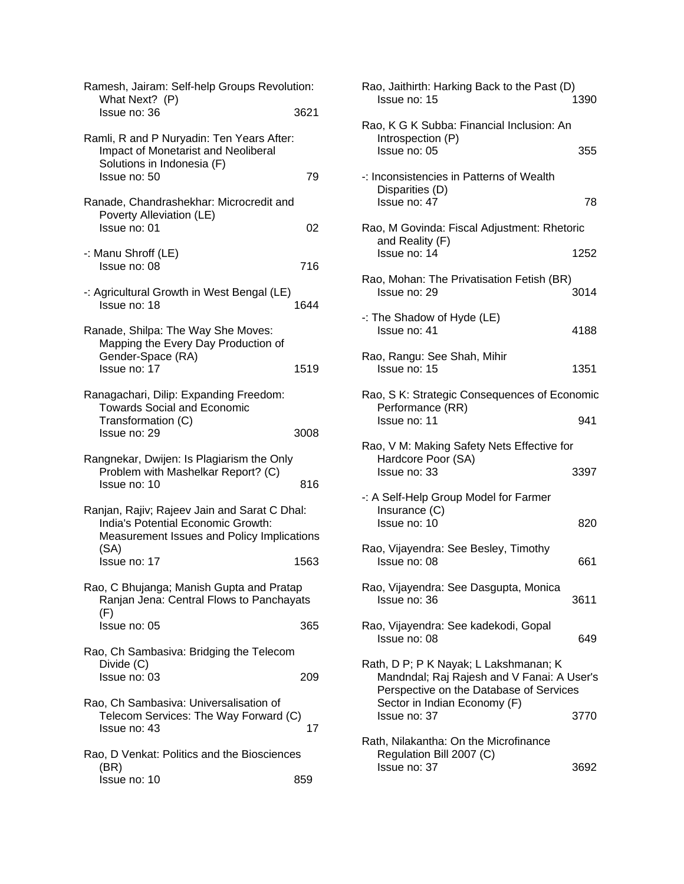| Ramesh, Jairam: Self-help Groups Revolution:<br>What Next? (P)                                                                           |      |
|------------------------------------------------------------------------------------------------------------------------------------------|------|
| Issue no: 36                                                                                                                             | 3621 |
| Ramli, R and P Nuryadin: Ten Years After:<br>Impact of Monetarist and Neoliberal<br>Solutions in Indonesia (F)<br>Issue no: 50           | 79   |
| Ranade, Chandrashekhar: Microcredit and                                                                                                  |      |
| Poverty Alleviation (LE)<br>Issue no: 01                                                                                                 | 02   |
| -: Manu Shroff (LE)<br>Issue no: 08                                                                                                      | 716  |
| -: Agricultural Growth in West Bengal (LE)<br>Issue no: 18                                                                               | 1644 |
| Ranade, Shilpa: The Way She Moves:<br>Mapping the Every Day Production of<br>Gender-Space (RA)<br>Issue no: 17                           | 1519 |
| Ranagachari, Dilip: Expanding Freedom:<br><b>Towards Social and Economic</b><br>Transformation (C)<br>Issue no: 29                       | 3008 |
| Rangnekar, Dwijen: Is Plagiarism the Only<br>Problem with Mashelkar Report? (C)<br>Issue no: 10                                          | 816  |
| Ranjan, Rajiv; Rajeev Jain and Sarat C Dhal:<br>India's Potential Economic Growth:<br>Measurement Issues and Policy Implications<br>(SA) |      |
| Issue no: 17                                                                                                                             | 1563 |
| Rao, C Bhujanga; Manish Gupta and Pratap<br>Ranjan Jena: Central Flows to Panchayats<br>(F)                                              |      |
| lssue no: 05                                                                                                                             | 365  |
| Rao, Ch Sambasiva: Bridging the Telecom<br>Divide (C)<br>Issue no: 03                                                                    | 209  |
| Rao, Ch Sambasiva: Universalisation of<br>Telecom Services: The Way Forward (C)<br>Issue no: 43                                          | 17   |
| Rao, D Venkat: Politics and the Biosciences<br>(BR)<br>Issue no: 10                                                                      | 859  |

| Rao, Jaithirth: Harking Back to the Past (D)<br>Issue no: 15                                                                                                   | 1390 |
|----------------------------------------------------------------------------------------------------------------------------------------------------------------|------|
| Rao, K G K Subba: Financial Inclusion: An<br>Introspection (P)<br>Issue no: 05                                                                                 | 355  |
| -: Inconsistencies in Patterns of Wealth<br>Disparities (D)<br>Issue no: 47                                                                                    | 78   |
| Rao, M Govinda: Fiscal Adjustment: Rhetoric<br>and Reality (F)<br>Issue no: 14                                                                                 | 1252 |
| Rao, Mohan: The Privatisation Fetish (BR)<br>Issue no: 29                                                                                                      | 3014 |
| -: The Shadow of Hyde (LE)<br>Issue no: 41                                                                                                                     | 4188 |
| Rao, Rangu: See Shah, Mihir<br>Issue no: 15                                                                                                                    | 1351 |
| Rao, S K: Strategic Consequences of Economic<br>Performance (RR)<br>Issue no: 11                                                                               | 941  |
| Rao, V M: Making Safety Nets Effective for<br>Hardcore Poor (SA)<br>Issue no: 33                                                                               | 3397 |
| -: A Self-Help Group Model for Farmer<br>Insurance (C)<br>Issue no: 10                                                                                         | 820  |
| Rao, Vijayendra: See Besley, Timothy<br>Issue no: 08                                                                                                           | 661  |
| Rao, Vijayendra: See Dasgupta, Monica<br>Issue no: 36                                                                                                          | 3611 |
| Rao, Vijayendra: See kadekodi, Gopal<br>Issue no: 08                                                                                                           | 649  |
| Rath, D P; P K Nayak; L Lakshmanan; K<br>Mandndal; Raj Rajesh and V Fanai: A User's<br>Perspective on the Database of Services<br>Sector in Indian Economy (F) |      |
| Issue no: 37                                                                                                                                                   | 3770 |
| Rath, Nilakantha: On the Microfinance<br>Regulation Bill 2007 (C)<br>Issue no: 37                                                                              | 3692 |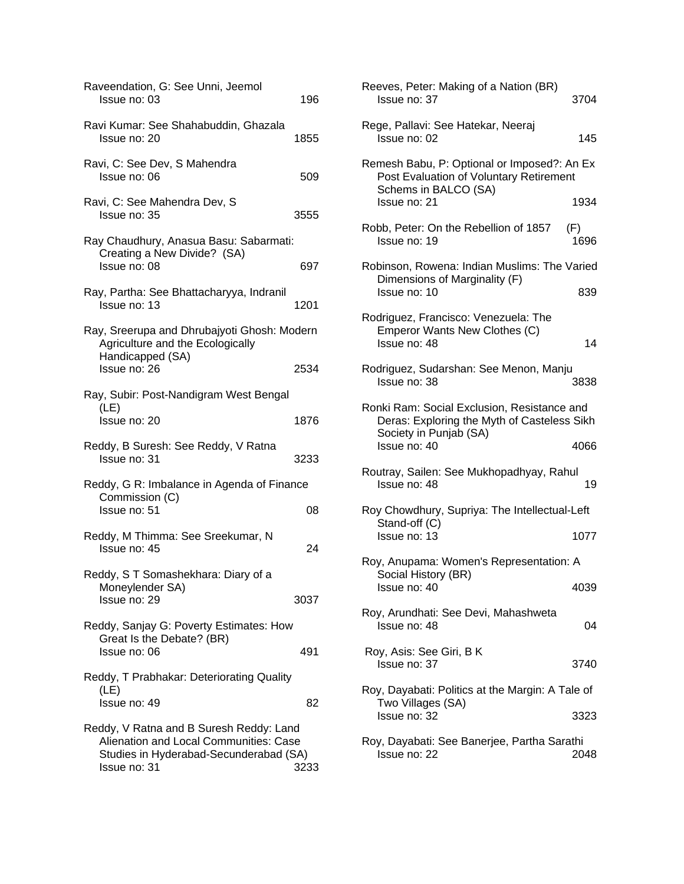| Raveendation, G: See Unni, Jeemol<br>Issue no: 03                                                                                           | 196  |
|---------------------------------------------------------------------------------------------------------------------------------------------|------|
| Ravi Kumar: See Shahabuddin, Ghazala<br>Issue no: 20                                                                                        | 1855 |
| Ravi, C: See Dev, S Mahendra<br>Issue no: 06                                                                                                | 509  |
| Ravi, C: See Mahendra Dev, S<br>Issue no: 35                                                                                                | 3555 |
| Ray Chaudhury, Anasua Basu: Sabarmati:<br>Creating a New Divide? (SA)<br>Issue no: 08                                                       | 697  |
| Ray, Partha: See Bhattacharyya, Indranil<br>Issue no: 13                                                                                    | 1201 |
| Ray, Sreerupa and Dhrubajyoti Ghosh: Modern<br>Agriculture and the Ecologically<br>Handicapped (SA)                                         |      |
| Issue no: 26                                                                                                                                | 2534 |
| Ray, Subir: Post-Nandigram West Bengal<br>(LE)                                                                                              |      |
| Issue no: 20                                                                                                                                | 1876 |
| Reddy, B Suresh: See Reddy, V Ratna<br>Issue no: 31                                                                                         | 3233 |
| Reddy, G R: Imbalance in Agenda of Finance<br>Commission (C)                                                                                |      |
| Issue no: 51                                                                                                                                | 08   |
| Reddy, M Thimma: See Sreekumar, N<br>Issue no: 45                                                                                           | 24   |
| Reddy, S T Somashekhara: Diary of a<br>Moneylender SA)                                                                                      |      |
| Issue no: 29                                                                                                                                | 3037 |
| Reddy, Sanjay G: Poverty Estimates: How<br>Great Is the Debate? (BR)<br>Issue no: 06                                                        | 491  |
| Reddy, T Prabhakar: Deteriorating Quality                                                                                                   |      |
| (LE)<br>Issue no: 49                                                                                                                        | 82   |
| Reddy, V Ratna and B Suresh Reddy: Land<br>Alienation and Local Communities: Case<br>Studies in Hyderabad-Secunderabad (SA)<br>Issue no: 31 | 3233 |

| Reeves, Peter: Making of a Nation (BR)<br>Issue no: 37                                                               | 3704        |
|----------------------------------------------------------------------------------------------------------------------|-------------|
| Rege, Pallavi: See Hatekar, Neeraj<br>Issue no: 02                                                                   | 145         |
| Remesh Babu, P: Optional or Imposed?: An Ex<br>Post Evaluation of Voluntary Retirement<br>Schems in BALCO (SA)       |             |
| Issue no: 21                                                                                                         | 1934        |
| Robb, Peter: On the Rebellion of 1857<br>Issue no: 19                                                                | (F)<br>1696 |
| Robinson, Rowena: Indian Muslims: The Varied                                                                         |             |
| Dimensions of Marginality (F)<br>Issue no: 10                                                                        | 839         |
| Rodriguez, Francisco: Venezuela: The<br>Emperor Wants New Clothes (C)<br>Issue no: 48                                | 14          |
| Rodriguez, Sudarshan: See Menon, Manju<br>Issue no: 38                                                               | 3838        |
| Ronki Ram: Social Exclusion, Resistance and<br>Deras: Exploring the Myth of Casteless Sikh<br>Society in Punjab (SA) |             |
| Issue no: 40                                                                                                         | 4066        |
| Routray, Sailen: See Mukhopadhyay, Rahul<br>Issue no: 48                                                             | 19          |
| Roy Chowdhury, Supriya: The Intellectual-Left                                                                        |             |
| Stand-off (C)<br>Issue no: 13                                                                                        | 1077        |
| Roy, Anupama: Women's Representation: A                                                                              |             |
| Social History (BR)<br>Issue no: 40                                                                                  | 4039        |
| Roy, Arundhati: See Devi, Mahashweta<br>Issue no: 48                                                                 | 04          |
| Roy, Asis: See Giri, B K<br>Issue no: 37                                                                             | 3740        |
| Roy, Dayabati: Politics at the Margin: A Tale of                                                                     |             |
| Two Villages (SA)<br>Issue no: 32                                                                                    | 3323        |
| Roy, Dayabati: See Banerjee, Partha Sarathi<br>Issue no: 22                                                          | 2048        |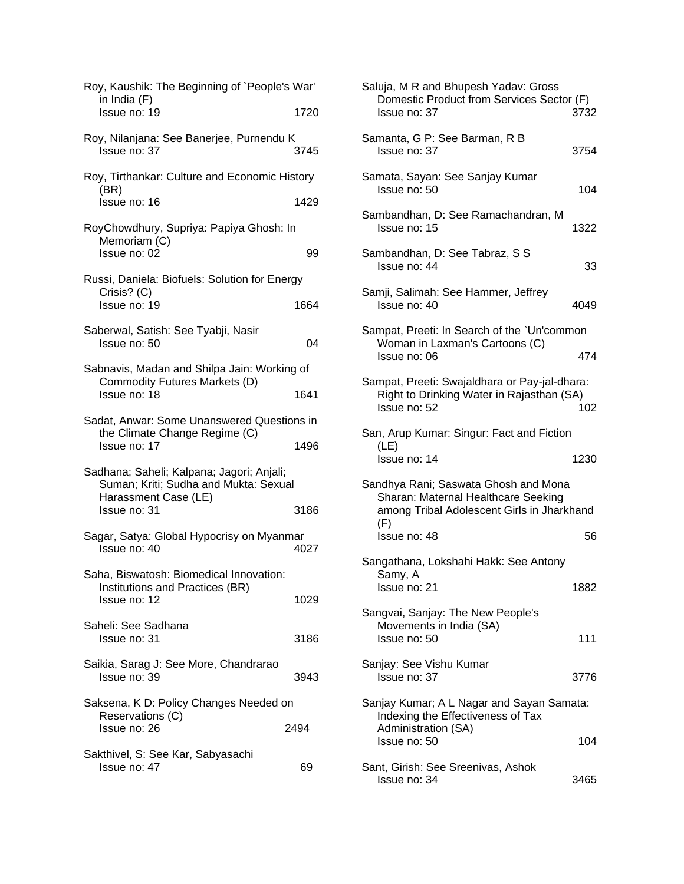| Roy, Kaushik: The Beginning of `People's War'                                                              |      |
|------------------------------------------------------------------------------------------------------------|------|
| in India (F)<br>Issue no: 19                                                                               | 1720 |
| Roy, Nilanjana: See Banerjee, Purnendu K<br>Issue no: 37                                                   | 3745 |
| Roy, Tirthankar: Culture and Economic History                                                              |      |
| (BR)<br>Issue no: 16                                                                                       | 1429 |
| RoyChowdhury, Supriya: Papiya Ghosh: In                                                                    |      |
| Memoriam (C)<br>Issue no: 02                                                                               | 99   |
| Russi, Daniela: Biofuels: Solution for Energy                                                              |      |
| Crisis? (C)<br>Issue no: 19                                                                                | 1664 |
| Saberwal, Satish: See Tyabji, Nasir<br>Issue no: 50                                                        | 04   |
| Sabnavis, Madan and Shilpa Jain: Working of                                                                |      |
| Commodity Futures Markets (D)<br>Issue no: 18                                                              | 1641 |
| Sadat, Anwar: Some Unanswered Questions in                                                                 |      |
| the Climate Change Regime (C)<br>Issue no: 17                                                              | 1496 |
| Sadhana; Saheli; Kalpana; Jagori; Anjali;<br>Suman; Kriti; Sudha and Mukta: Sexual<br>Harassment Case (LE) |      |
| Issue no: 31                                                                                               | 3186 |
| Sagar, Satya: Global Hypocrisy on Myanmar<br>Issue no: 40                                                  | 4027 |
| Saha, Biswatosh: Biomedical Innovation:                                                                    |      |
| Institutions and Practices (BR)<br>Issue no: 12                                                            | 1029 |
| Saheli: See Sadhana<br>Issue no: 31                                                                        | 3186 |
| Saikia, Sarag J: See More, Chandrarao<br>Issue no: 39                                                      | 3943 |
| Saksena, K D: Policy Changes Needed on                                                                     |      |
| Reservations (C)<br>Issue no: 26                                                                           | 2494 |
| Sakthivel, S: See Kar, Sabyasachi<br>Issue no: 47                                                          | 69   |

| Saluja, M R and Bhupesh Yadav: Gross<br>Domestic Product from Services Sector (F)<br>Issue no: 37                                | 3732 |
|----------------------------------------------------------------------------------------------------------------------------------|------|
| Samanta, G P: See Barman, R B<br>Issue no: 37                                                                                    | 3754 |
| Samata, Sayan: See Sanjay Kumar<br>Issue no: 50                                                                                  | 104  |
| Sambandhan, D: See Ramachandran, M<br>Issue no: 15                                                                               | 1322 |
| Sambandhan, D: See Tabraz, S S<br>Issue no: 44                                                                                   | 33   |
| Samji, Salimah: See Hammer, Jeffrey<br>Issue no: 40                                                                              | 4049 |
| Sampat, Preeti: In Search of the `Un'common                                                                                      |      |
| Woman in Laxman's Cartoons (C)<br>Issue no: 06                                                                                   | 474  |
| Sampat, Preeti: Swajaldhara or Pay-jal-dhara:<br>Right to Drinking Water in Rajasthan (SA)<br>Issue no: 52                       | 102  |
| San, Arup Kumar: Singur: Fact and Fiction<br>(LE)                                                                                |      |
| Issue no: 14                                                                                                                     | 1230 |
| Sandhya Rani; Saswata Ghosh and Mona<br>Sharan: Maternal Healthcare Seeking<br>among Tribal Adolescent Girls in Jharkhand<br>(F) |      |
| Issue no: 48                                                                                                                     | 56   |
| Sangathana, Lokshahi Hakk: See Antony<br>Samy, A                                                                                 |      |
| Issue no: 21                                                                                                                     | 1882 |
| Sangvai, Sanjay: The New People's<br>Movements in India (SA)                                                                     |      |
| Issue no: 50                                                                                                                     | 111  |
| Sanjay: See Vishu Kumar<br>Issue no: 37                                                                                          | 3776 |
| Sanjay Kumar; A L Nagar and Sayan Samata:<br>Indexing the Effectiveness of Tax<br>Administration (SA)                            |      |
| Issue no: 50                                                                                                                     | 104  |
| Sant, Girish: See Sreenivas, Ashok<br>Issue no: 34                                                                               | 3465 |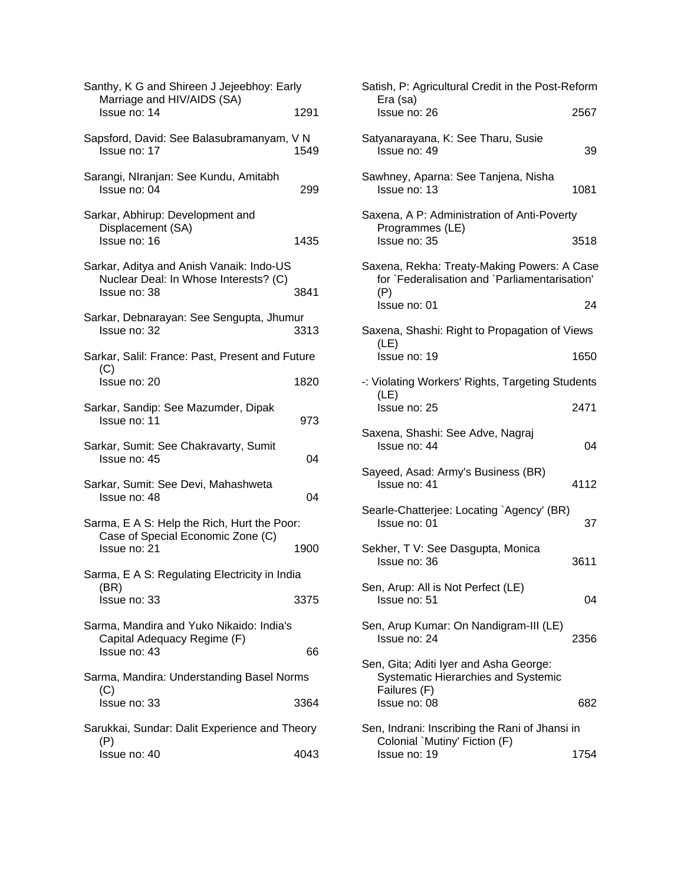| Santhy, K G and Shireen J Jejeebhoy: Early<br>Marriage and HIV/AIDS (SA)                          |      |
|---------------------------------------------------------------------------------------------------|------|
| Issue no: 14                                                                                      | 1291 |
| Sapsford, David: See Balasubramanyam, V N<br>Issue no: 17                                         | 1549 |
| Sarangi, NIranjan: See Kundu, Amitabh<br>Issue no: 04                                             | 299  |
| Sarkar, Abhirup: Development and<br>Displacement (SA)<br>Issue no: 16                             | 1435 |
| Sarkar, Aditya and Anish Vanaik: Indo-US<br>Nuclear Deal: In Whose Interests? (C)<br>Issue no: 38 | 3841 |
| Sarkar, Debnarayan: See Sengupta, Jhumur<br>Issue no: 32                                          | 3313 |
| Sarkar, Salil: France: Past, Present and Future                                                   |      |
| (C)<br>Issue no: 20                                                                               | 1820 |
| Sarkar, Sandip: See Mazumder, Dipak<br>Issue no: 11                                               | 973  |
| Sarkar, Sumit: See Chakravarty, Sumit<br>Issue no: 45                                             | 04   |
| Sarkar, Sumit: See Devi, Mahashweta<br>Issue no: 48                                               | 04   |
| Sarma, E A S: Help the Rich, Hurt the Poor:                                                       |      |
| Case of Special Economic Zone (C)<br>Issue no: 21                                                 | 1900 |
| Sarma, E A S: Regulating Electricity in India                                                     |      |
| (BR)<br>Issue no: 33                                                                              | 3375 |
| Sarma, Mandira and Yuko Nikaido: India's<br>Capital Adequacy Regime (F)<br>Issue no: 43           | 66   |
| Sarma, Mandira: Understanding Basel Norms                                                         |      |
| (C)<br>Issue no: 33                                                                               | 3364 |
|                                                                                                   |      |
| Sarukkai, Sundar: Dalit Experience and Theory<br>(P)                                              |      |
| Issue no: 40                                                                                      | 4043 |

| Satish, P: Agricultural Credit in the Post-Reform                                                    |      |
|------------------------------------------------------------------------------------------------------|------|
| Era (sa)<br>Issue no: 26                                                                             | 2567 |
| Satyanarayana, K: See Tharu, Susie<br>Issue no: 49                                                   | 39   |
| Sawhney, Aparna: See Tanjena, Nisha<br>Issue no: 13                                                  | 1081 |
| Saxena, A P: Administration of Anti-Poverty<br>Programmes (LE)                                       |      |
| Issue no: 35                                                                                         | 3518 |
| Saxena, Rekha: Treaty-Making Powers: A Case<br>for `Federalisation and `Parliamentarisation'<br>(P)  |      |
| Issue no: 01                                                                                         | 24   |
| Saxena, Shashi: Right to Propagation of Views<br>(LE)                                                |      |
| Issue no: 19                                                                                         | 1650 |
| -: Violating Workers' Rights, Targeting Students                                                     |      |
| (LE)<br>Issue no: 25                                                                                 | 2471 |
| Saxena, Shashi: See Adve, Nagraj<br>Issue no: 44                                                     | 04   |
| Sayeed, Asad: Army's Business (BR)<br>Issue no: 41                                                   | 4112 |
| Searle-Chatterjee: Locating `Agency' (BR)<br>Issue no: 01                                            | 37   |
| Sekher, T V: See Dasgupta, Monica<br>Issue no: 36                                                    | 3611 |
| Sen, Arup: All is Not Perfect (LE)<br>Issue no: 51                                                   | 04   |
| Sen, Arup Kumar: On Nandigram-III (LE)<br>Issue no: 24                                               | 2356 |
| Sen, Gita; Aditi Iyer and Asha George:<br><b>Systematic Hierarchies and Systemic</b><br>Failures (F) |      |
| Issue no: 08                                                                                         | 682  |
| Sen, Indrani: Inscribing the Rani of Jhansi in<br>Colonial `Mutiny' Fiction (F)                      |      |
| Issue no: 19                                                                                         | 1754 |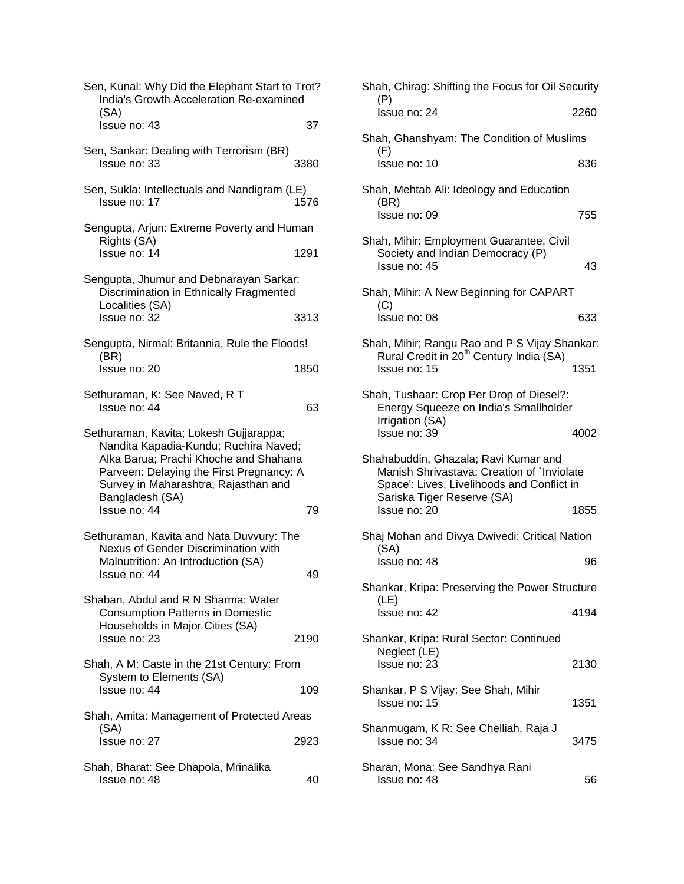| Sen, Kunal: Why Did the Elephant Start to Trot?<br>India's Growth Acceleration Re-examined<br>(SA)                                                                                                                              |      |
|---------------------------------------------------------------------------------------------------------------------------------------------------------------------------------------------------------------------------------|------|
| Issue no: 43                                                                                                                                                                                                                    | 37   |
| Sen, Sankar: Dealing with Terrorism (BR)<br>Issue no: 33                                                                                                                                                                        | 3380 |
| Sen, Sukla: Intellectuals and Nandigram (LE)<br>Issue no: 17                                                                                                                                                                    | 1576 |
| Sengupta, Arjun: Extreme Poverty and Human<br>Rights (SA)                                                                                                                                                                       |      |
| Issue no: 14                                                                                                                                                                                                                    | 1291 |
| Sengupta, Jhumur and Debnarayan Sarkar:<br>Discrimination in Ethnically Fragmented<br>Localities (SA)                                                                                                                           |      |
| Issue no: 32                                                                                                                                                                                                                    | 3313 |
| Sengupta, Nirmal: Britannia, Rule the Floods!<br>(BR)                                                                                                                                                                           |      |
| Issue no: 20                                                                                                                                                                                                                    | 1850 |
| Sethuraman, K: See Naved, R T<br>Issue no: 44                                                                                                                                                                                   | 63   |
| Sethuraman, Kavita; Lokesh Gujjarappa;<br>Nandita Kapadia-Kundu; Ruchira Naved;<br>Alka Barua; Prachi Khoche and Shahana<br>Parveen: Delaying the First Pregnancy: A<br>Survey in Maharashtra, Rajasthan and<br>Bangladesh (SA) |      |
| Issue no: 44                                                                                                                                                                                                                    | 79   |
| Sethuraman, Kavita and Nata Duvvury: The<br>Nexus of Gender Discrimination with<br>Malnutrition: An Introduction (SA)<br>Issue no: 44                                                                                           | 49   |
| Shaban, Abdul and R N Sharma: Water<br><b>Consumption Patterns in Domestic</b><br>Households in Major Cities (SA)                                                                                                               |      |
| Issue no: 23                                                                                                                                                                                                                    | 2190 |
| Shah, A M: Caste in the 21st Century: From<br>System to Elements (SA)<br>Issue no: 44                                                                                                                                           | 109  |
| Shah, Amita: Management of Protected Areas                                                                                                                                                                                      |      |
| (SA)<br>Issue no: 27                                                                                                                                                                                                            | 2923 |
| Shah, Bharat: See Dhapola, Mrinalika<br>Issue no: 48                                                                                                                                                                            | 40   |

| Shah, Chirag: Shifting the Focus for Oil Security                                                                                                              |      |  |
|----------------------------------------------------------------------------------------------------------------------------------------------------------------|------|--|
| (P)<br>Issue no: 24                                                                                                                                            | 2260 |  |
| Shah, Ghanshyam: The Condition of Muslims<br>(F)                                                                                                               |      |  |
| Issue no: 10                                                                                                                                                   | 836  |  |
| Shah, Mehtab Ali: Ideology and Education<br>(BR)                                                                                                               |      |  |
| Issue no: 09                                                                                                                                                   | 755  |  |
| Shah, Mihir: Employment Guarantee, Civil<br>Society and Indian Democracy (P)<br>Issue no: 45                                                                   | 43   |  |
| Shah, Mihir: A New Beginning for CAPART<br>(C)                                                                                                                 |      |  |
| Issue no: 08                                                                                                                                                   | 633  |  |
| Shah, Mihir; Rangu Rao and P S Vijay Shankar:<br>Rural Credit in 20 <sup>th</sup> Century India (SA)<br>Issue no: 15                                           | 1351 |  |
|                                                                                                                                                                |      |  |
| Shah, Tushaar: Crop Per Drop of Diesel?:<br>Energy Squeeze on India's Smallholder<br>Irrigation (SA)                                                           |      |  |
| Issue no: 39                                                                                                                                                   | 4002 |  |
| Shahabuddin, Ghazala; Ravi Kumar and<br>Manish Shrivastava: Creation of `Inviolate<br>Space': Lives, Livelihoods and Conflict in<br>Sariska Tiger Reserve (SA) |      |  |
| Issue no: 20                                                                                                                                                   | 1855 |  |
| Shaj Mohan and Divya Dwivedi: Critical Nation<br>(SA)                                                                                                          |      |  |
| Issue no: 48                                                                                                                                                   | 96   |  |
| Shankar, Kripa: Preserving the Power Structure<br>(LE)                                                                                                         |      |  |
| Issue no: 42                                                                                                                                                   | 4194 |  |
| Shankar, Kripa: Rural Sector: Continued<br>Neglect (LE)                                                                                                        |      |  |
| Issue no: 23                                                                                                                                                   | 2130 |  |
| Shankar, P S Vijay: See Shah, Mihir<br>Issue no: 15                                                                                                            | 1351 |  |
| Shanmugam, K R: See Chelliah, Raja J<br>Issue no: 34                                                                                                           | 3475 |  |
| Sharan, Mona: See Sandhya Rani<br>Issue no: 48                                                                                                                 | 56   |  |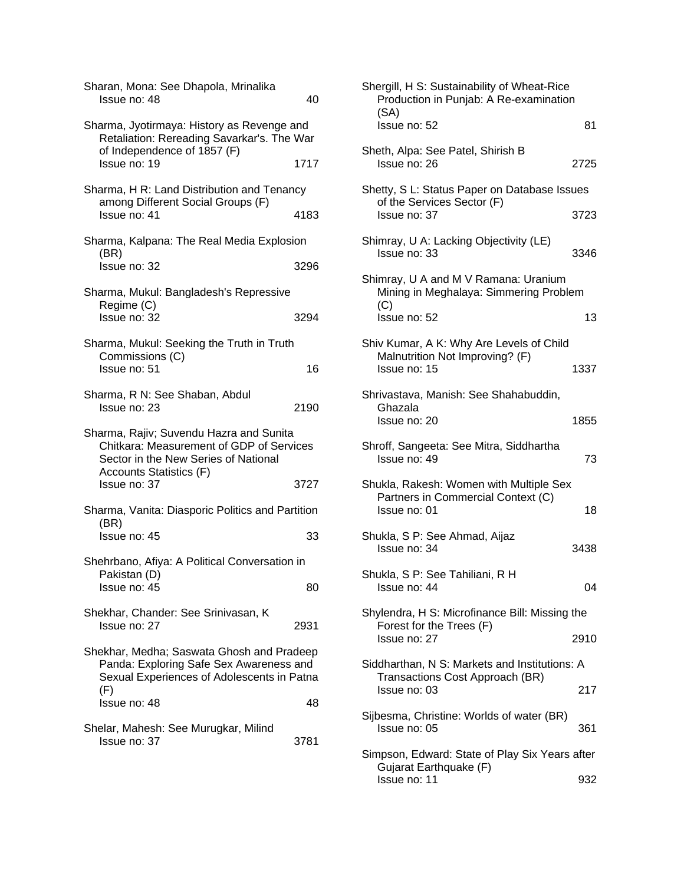| Sharan, Mona: See Dhapola, Mrinalika<br>Issue no: 48                                                                                                   | 40   |
|--------------------------------------------------------------------------------------------------------------------------------------------------------|------|
| Sharma, Jyotirmaya: History as Revenge and<br>Retaliation: Rereading Savarkar's. The War<br>of Independence of 1857 (F)                                |      |
| Issue no: 19                                                                                                                                           | 1717 |
| Sharma, H R: Land Distribution and Tenancy<br>among Different Social Groups (F)                                                                        |      |
| Issue no: 41                                                                                                                                           | 4183 |
| Sharma, Kalpana: The Real Media Explosion<br>(BR)                                                                                                      |      |
| Issue no: 32                                                                                                                                           | 3296 |
| Sharma, Mukul: Bangladesh's Repressive<br>Regime (C)                                                                                                   |      |
| Issue no: 32                                                                                                                                           | 3294 |
| Sharma, Mukul: Seeking the Truth in Truth<br>Commissions (C)                                                                                           |      |
| Issue no: 51                                                                                                                                           | 16   |
| Sharma, R N: See Shaban, Abdul<br>Issue no: 23                                                                                                         | 2190 |
| Sharma, Rajiv; Suvendu Hazra and Sunita<br>Chitkara: Measurement of GDP of Services<br>Sector in the New Series of National<br>Accounts Statistics (F) |      |
| Issue no: 37                                                                                                                                           | 3727 |
| Sharma, Vanita: Diasporic Politics and Partition<br>(BR)                                                                                               |      |
| Issue no: 45                                                                                                                                           | 33   |
| Shehrbano, Afiya: A Political Conversation in                                                                                                          |      |
|                                                                                                                                                        |      |
| Pakistan (D)<br>Issue no: 45                                                                                                                           | 80   |
| Shekhar, Chander: See Srinivasan, K<br>Issue no: 27                                                                                                    | 2931 |
| Shekhar, Medha; Saswata Ghosh and Pradeep<br>Panda: Exploring Safe Sex Awareness and<br>Sexual Experiences of Adolescents in Patna                     |      |
| (F)<br>Issue no: 48                                                                                                                                    | 48   |

| Shergill, H S: Sustainability of Wheat-Rice<br>Production in Punjab: A Re-examination         |      |
|-----------------------------------------------------------------------------------------------|------|
| (SA)<br>Issue no: 52                                                                          | 81   |
| Sheth, Alpa: See Patel, Shirish B<br>Issue no: 26                                             | 2725 |
| Shetty, S L: Status Paper on Database Issues<br>of the Services Sector (F)                    |      |
| Issue no: 37<br>Shimray, U A: Lacking Objectivity (LE)                                        | 3723 |
| Issue no: 33                                                                                  | 3346 |
| Shimray, U A and M V Ramana: Uranium<br>Mining in Meghalaya: Simmering Problem<br>(C)         |      |
| Issue no: 52                                                                                  | 13   |
| Shiv Kumar, A K: Why Are Levels of Child<br>Malnutrition Not Improving? (F)<br>Issue no: 15   | 1337 |
| Shrivastava, Manish: See Shahabuddin,<br>Ghazala<br>Issue no: 20                              | 1855 |
| Shroff, Sangeeta: See Mitra, Siddhartha<br>Issue no: 49                                       | 73   |
| Shukla, Rakesh: Women with Multiple Sex<br>Partners in Commercial Context (C)<br>Issue no: 01 | 18   |
| Shukla, S P: See Ahmad, Aijaz<br>Issue no: 34                                                 | 3438 |
| Shukla, S P: See Tahiliani, R H<br>Issue no: 44                                               | 04   |
| Shylendra, H S: Microfinance Bill: Missing the<br>Forest for the Trees (F)<br>Issue no: 27    | 2910 |
| Siddharthan, N S: Markets and Institutions: A<br>Transactions Cost Approach (BR)              |      |
| Issue no: 03                                                                                  | 217  |
| Sijbesma, Christine: Worlds of water (BR)<br>Issue no: 05                                     | 361  |
| Simpson, Edward: State of Play Six Years after<br>Gujarat Earthquake (F)                      |      |
| Issue no: 11                                                                                  | 932  |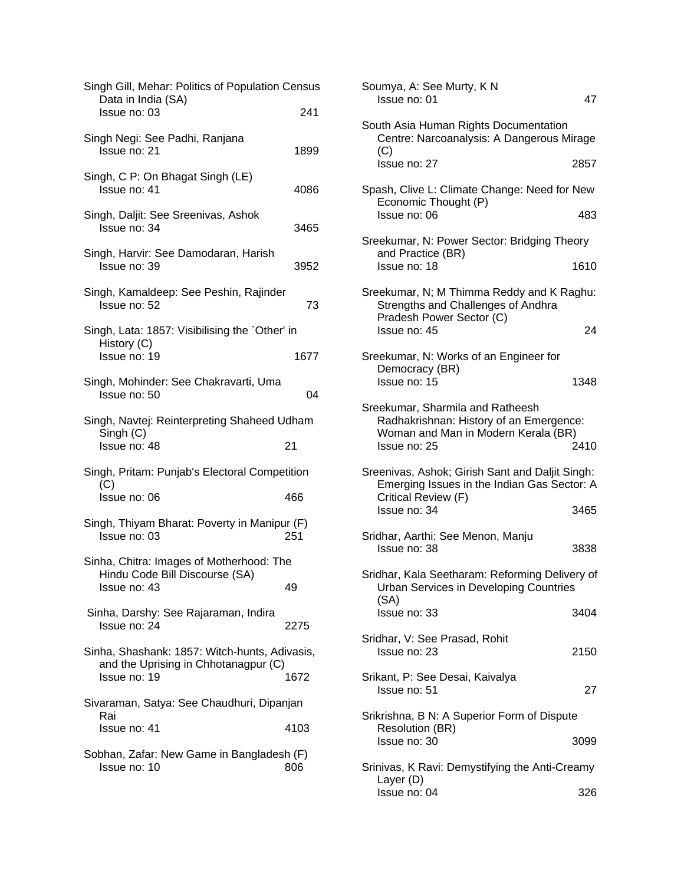| Singh Gill, Mehar: Politics of Population Census<br>Data in India (SA)                                |      |
|-------------------------------------------------------------------------------------------------------|------|
| Issue no: 03                                                                                          | 241  |
| Singh Negi: See Padhi, Ranjana<br>Issue no: 21                                                        | 1899 |
| Singh, C P: On Bhagat Singh (LE)<br>Issue no: 41                                                      | 4086 |
| Singh, Daljit: See Sreenivas, Ashok<br>Issue no: 34                                                   | 3465 |
| Singh, Harvir: See Damodaran, Harish<br>Issue no: 39                                                  | 3952 |
| Singh, Kamaldeep: See Peshin, Rajinder<br>Issue no: 52                                                | 73   |
| Singh, Lata: 1857: Visibilising the `Other' in                                                        |      |
| History (C)<br>Issue no: 19                                                                           | 1677 |
| Singh, Mohinder: See Chakravarti, Uma<br>Issue no: 50                                                 | 04   |
| Singh, Navtej: Reinterpreting Shaheed Udham                                                           |      |
| Singh (C)<br>Issue no: 48                                                                             | 21   |
| Singh, Pritam: Punjab's Electoral Competition                                                         |      |
| (C)<br>Issue no: 06                                                                                   | 466  |
| Singh, Thiyam Bharat: Poverty in Manipur (F)<br>Issue no: 03                                          | 251  |
| Sinha, Chitra: Images of Motherhood: The                                                              |      |
| Hindu Code Bill Discourse (SA)<br>Issue no: 43                                                        | 49   |
| Sinha, Darshy: See Rajaraman, Indira<br>Issue no: 24                                                  | 2275 |
| Sinha, Shashank: 1857: Witch-hunts, Adivasis,<br>and the Uprising in Chhotanagpur (C)<br>Issue no: 19 | 1672 |
| Sivaraman, Satya: See Chaudhuri, Dipanjan                                                             |      |
| Rai<br>Issue no: 41                                                                                   | 4103 |
| Sobhan, Zafar: New Game in Bangladesh (F)<br>Issue no: 10                                             | 806  |

| Soumya, A: See Murty, K N<br>Issue no: 01                                                                                          | 47   |  |
|------------------------------------------------------------------------------------------------------------------------------------|------|--|
| South Asia Human Rights Documentation<br>Centre: Narcoanalysis: A Dangerous Mirage<br>(C)                                          |      |  |
| Issue no: 27                                                                                                                       | 2857 |  |
| Spash, Clive L: Climate Change: Need for New<br>Economic Thought (P)                                                               |      |  |
| Issue no: 06                                                                                                                       | 483  |  |
| Sreekumar, N: Power Sector: Bridging Theory<br>and Practice (BR)                                                                   |      |  |
| Issue no: 18                                                                                                                       | 1610 |  |
| Sreekumar, N; M Thimma Reddy and K Raghu:<br>Strengths and Challenges of Andhra<br>Pradesh Power Sector (C)                        |      |  |
| Issue no: 45                                                                                                                       | 24   |  |
| Sreekumar, N: Works of an Engineer for<br>Democracy (BR)<br>Issue no: 15                                                           | 1348 |  |
|                                                                                                                                    |      |  |
| Sreekumar, Sharmila and Ratheesh<br>Radhakrishnan: History of an Emergence:<br>Woman and Man in Modern Kerala (BR)<br>Issue no: 25 | 2410 |  |
| Sreenivas, Ashok; Girish Sant and Daljit Singh:<br>Emerging Issues in the Indian Gas Sector: A<br>Critical Review (F)              |      |  |
| Issue no: 34                                                                                                                       | 3465 |  |
| Sridhar, Aarthi: See Menon, Manju<br>Issue no: 38                                                                                  | 3838 |  |
| Sridhar, Kala Seetharam: Reforming Delivery of<br><b>Urban Services in Developing Countries</b><br>(SA)                            |      |  |
| Issue no: 33                                                                                                                       | 3404 |  |
| Sridhar, V: See Prasad, Rohit<br>Issue no: 23                                                                                      | 2150 |  |
| Srikant, P: See Desai, Kaivalya<br>Issue no: 51                                                                                    | 27   |  |
| Srikrishna, B N: A Superior Form of Dispute                                                                                        |      |  |
| <b>Resolution (BR)</b><br>Issue no: 30                                                                                             | 3099 |  |
| Srinivas, K Ravi: Demystifying the Anti-Creamy<br>Layer (D)                                                                        |      |  |
| Issue no: 04                                                                                                                       | 326  |  |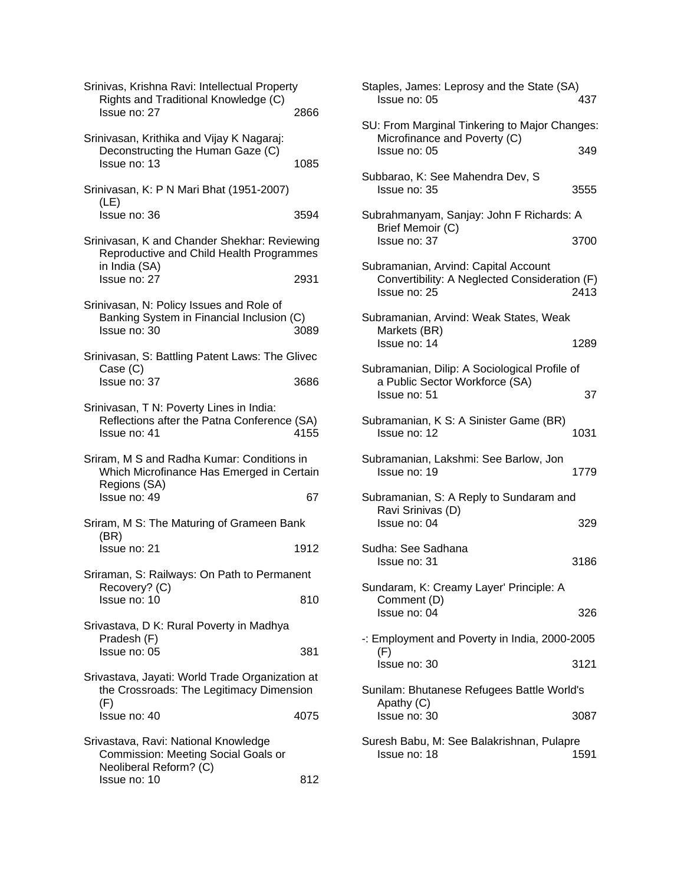| Srinivas, Krishna Ravi: Intellectual Property<br>Rights and Traditional Knowledge (C)                                 |      |
|-----------------------------------------------------------------------------------------------------------------------|------|
| Issue no: 27                                                                                                          | 2866 |
| Srinivasan, Krithika and Vijay K Nagaraj:<br>Deconstructing the Human Gaze (C)<br>Issue no: 13                        | 1085 |
| Srinivasan, K: P N Mari Bhat (1951-2007)<br>(LE)<br>Issue no: 36                                                      | 3594 |
|                                                                                                                       |      |
| Srinivasan, K and Chander Shekhar: Reviewing<br>Reproductive and Child Health Programmes<br>in India (SA)             |      |
| Issue no: 27                                                                                                          | 2931 |
| Srinivasan, N: Policy Issues and Role of<br>Banking System in Financial Inclusion (C)<br>Issue no: 30                 | 3089 |
| Srinivasan, S: Battling Patent Laws: The Glivec                                                                       |      |
| Case (C)<br>Issue no: 37                                                                                              | 3686 |
| Srinivasan, T N: Poverty Lines in India:<br>Reflections after the Patna Conference (SA)<br>Issue no: 41               | 4155 |
| Sriram, M S and Radha Kumar: Conditions in<br>Which Microfinance Has Emerged in Certain<br>Regions (SA)               |      |
| Issue no: 49                                                                                                          | 67   |
| Sriram, M S: The Maturing of Grameen Bank<br>(BR)                                                                     |      |
| Issue no: 21                                                                                                          | 1912 |
| Sriraman, S: Railways: On Path to Permanent                                                                           |      |
| Recovery? (C)<br>Issue no: 10                                                                                         | 810  |
| Srivastava, D K: Rural Poverty in Madhya                                                                              |      |
| Pradesh (F)<br>Issue no: 05                                                                                           | 381  |
| Srivastava, Jayati: World Trade Organization at<br>the Crossroads: The Legitimacy Dimension<br>(F)                    |      |
| Issue no: 40                                                                                                          | 4075 |
| Srivastava, Ravi: National Knowledge<br>Commission: Meeting Social Goals or<br>Neoliberal Reform? (C)<br>Issue no: 10 | 812  |
|                                                                                                                       |      |

| Staples, James: Leprosy and the State (SA)<br>Issue no: 05                                            | 437  |
|-------------------------------------------------------------------------------------------------------|------|
| SU: From Marginal Tinkering to Major Changes:<br>Microfinance and Poverty (C)<br>Issue no: 05         | 349  |
| Subbarao, K: See Mahendra Dev, S<br>Issue no: 35                                                      | 3555 |
| Subrahmanyam, Sanjay: John F Richards: A<br>Brief Memoir (C)<br>Issue no: 37                          | 3700 |
| Subramanian, Arvind: Capital Account<br>Convertibility: A Neglected Consideration (F)<br>Issue no: 25 | 2413 |
| Subramanian, Arvind: Weak States, Weak<br>Markets (BR)<br>Issue no: 14                                | 1289 |
| Subramanian, Dilip: A Sociological Profile of<br>a Public Sector Workforce (SA)<br>Issue no: 51       | 37   |
| Subramanian, K S: A Sinister Game (BR)<br>Issue no: 12                                                | 1031 |
| Subramanian, Lakshmi: See Barlow, Jon<br>Issue no: 19                                                 | 1779 |
| Subramanian, S: A Reply to Sundaram and<br>Ravi Srinivas (D)<br>Issue no: 04                          | 329  |
| Sudha: See Sadhana<br>Issue no: 31                                                                    | 3186 |
| Sundaram, K: Creamy Layer' Principle: A<br>Comment (D)<br>Issue no: 04                                | 326  |
| -: Employment and Poverty in India, 2000-2005                                                         |      |
| (F)<br>Issue no: 30                                                                                   | 3121 |
| Sunilam: Bhutanese Refugees Battle World's<br>Apathy (C)<br>Issue no: 30                              | 3087 |
| Suresh Babu, M: See Balakrishnan, Pulapre<br>Issue no: 18                                             | 1591 |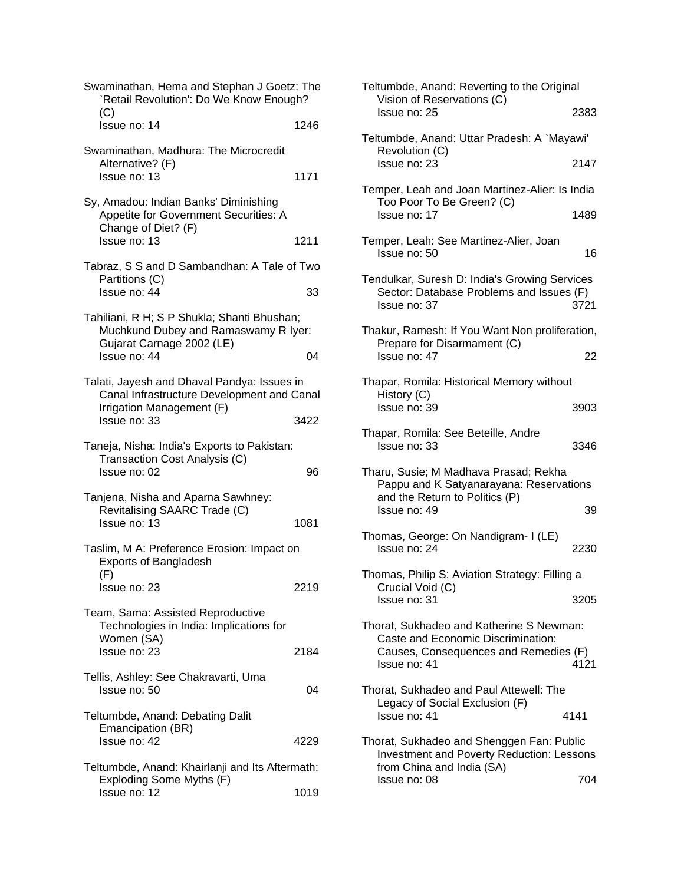| Swaminathan, Hema and Stephan J Goetz: The<br>'Retail Revolution': Do We Know Enough?                                                  |      |
|----------------------------------------------------------------------------------------------------------------------------------------|------|
| (C)<br>Issue no: 14                                                                                                                    | 1246 |
| Swaminathan, Madhura: The Microcredit<br>Alternative? (F)<br>Issue no: 13                                                              | 1171 |
| Sy, Amadou: Indian Banks' Diminishing<br>Appetite for Government Securities: A<br>Change of Diet? (F)<br>Issue no: 13                  | 1211 |
| Tabraz, S S and D Sambandhan: A Tale of Two<br>Partitions (C)<br>Issue no: 44                                                          | 33   |
| Tahiliani, R H; S P Shukla; Shanti Bhushan;<br>Muchkund Dubey and Ramaswamy R Iyer:<br>Gujarat Carnage 2002 (LE)<br>Issue no: 44       | 04   |
| Talati, Jayesh and Dhaval Pandya: Issues in<br>Canal Infrastructure Development and Canal<br>Irrigation Management (F)<br>Issue no: 33 | 3422 |
| Taneja, Nisha: India's Exports to Pakistan:<br>Transaction Cost Analysis (C)<br>Issue no: 02                                           | 96   |
| Tanjena, Nisha and Aparna Sawhney:<br>Revitalising SAARC Trade (C)<br>Issue no: 13                                                     | 1081 |
| Taslim, M A: Preference Erosion: Impact on<br><b>Exports of Bangladesh</b><br>(F)                                                      |      |
| Issue no: 23                                                                                                                           | 2219 |
| Team, Sama: Assisted Reproductive<br>Technologies in India: Implications for<br>Women (SA)                                             |      |
| Issue no: 23                                                                                                                           | 2184 |
| Tellis, Ashley: See Chakravarti, Uma<br>Issue no: 50                                                                                   | 04   |
| Teltumbde, Anand: Debating Dalit<br>Emancipation (BR)<br>Issue no: 42                                                                  | 4229 |
| Teltumbde, Anand: Khairlanji and Its Aftermath:                                                                                        |      |
| Exploding Some Myths (F)<br>Issue no: 12                                                                                               | 1019 |

| Teltumbde, Anand: Reverting to the Original<br>Vision of Reservations (C)                                 |      |
|-----------------------------------------------------------------------------------------------------------|------|
| Issue no: 25                                                                                              | 2383 |
| Teltumbde, Anand: Uttar Pradesh: A `Mayawi'<br>Revolution (C)                                             |      |
| Issue no: 23                                                                                              | 2147 |
| Temper, Leah and Joan Martinez-Alier: Is India<br>Too Poor To Be Green? (C)                               |      |
| Issue no: 17                                                                                              | 1489 |
| Temper, Leah: See Martinez-Alier, Joan<br>Issue no: 50                                                    | 16   |
| Tendulkar, Suresh D: India's Growing Services<br>Sector: Database Problems and Issues (F)<br>Issue no: 37 | 3721 |
| Thakur, Ramesh: If You Want Non proliferation,                                                            |      |
| Prepare for Disarmament (C)<br>Issue no: 47                                                               | 22   |
| Thapar, Romila: Historical Memory without                                                                 |      |
| History (C)<br>Issue no: 39                                                                               | 3903 |
| Thapar, Romila: See Beteille, Andre<br>Issue no: 33                                                       | 3346 |
| Tharu, Susie; M Madhava Prasad; Rekha<br>Pappu and K Satyanarayana: Reservations                          |      |
| and the Return to Politics (P)                                                                            |      |
| Issue no: 49                                                                                              | 39   |
| Thomas, George: On Nandigram- I (LE)<br>Issue no: 24                                                      | 2230 |
| Thomas, Philip S: Aviation Strategy: Filling a                                                            |      |
| Crucial Void (C)<br>Issue no: 31                                                                          | 3205 |
| Thorat, Sukhadeo and Katherine S Newman:                                                                  |      |
| Caste and Economic Discrimination:<br>Causes, Consequences and Remedies (F)<br>Issue no: 41               | 4121 |
| Thorat, Sukhadeo and Paul Attewell: The                                                                   |      |
| Legacy of Social Exclusion (F)<br>Issue no: 41                                                            | 4141 |
| Thorat, Sukhadeo and Shenggen Fan: Public<br>Investment and Poverty Reduction: Lessons                    |      |
| from China and India (SA)<br>Issue no: 08                                                                 | 704  |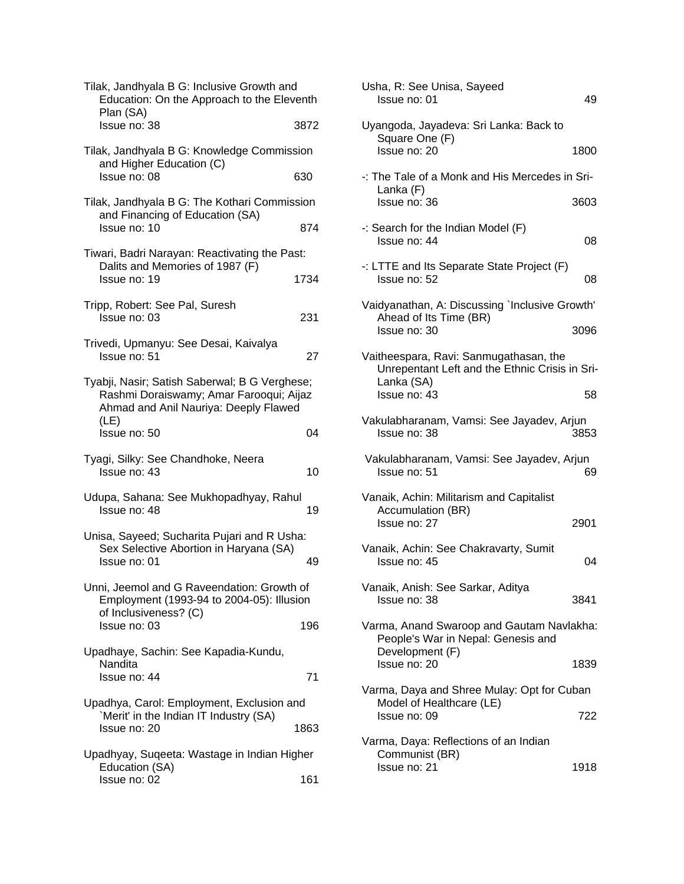| Tilak, Jandhyala B G: Inclusive Growth and<br>Education: On the Approach to the Eleventh                                                  |      |
|-------------------------------------------------------------------------------------------------------------------------------------------|------|
| Plan (SA)<br>Issue no: 38                                                                                                                 | 3872 |
| Tilak, Jandhyala B G: Knowledge Commission<br>and Higher Education (C)<br>Issue no: 08                                                    | 630  |
| Tilak, Jandhyala B G: The Kothari Commission                                                                                              |      |
| and Financing of Education (SA)<br>Issue no: 10                                                                                           | 874  |
| Tiwari, Badri Narayan: Reactivating the Past:                                                                                             |      |
| Dalits and Memories of 1987 (F)<br>Issue no: 19                                                                                           | 1734 |
| Tripp, Robert: See Pal, Suresh<br>Issue no: 03                                                                                            | 231  |
| Trivedi, Upmanyu: See Desai, Kaivalya<br>Issue no: 51                                                                                     | 27   |
| Tyabji, Nasir; Satish Saberwal; B G Verghese;<br>Rashmi Doraiswamy; Amar Farooqui; Aijaz<br>Ahmad and Anil Nauriya: Deeply Flawed<br>(LE) |      |
| Issue no: 50                                                                                                                              | 04   |
| Tyagi, Silky: See Chandhoke, Neera<br>Issue no: 43                                                                                        | 10   |
| Udupa, Sahana: See Mukhopadhyay, Rahul<br>Issue no: 48                                                                                    | 19   |
| Unisa, Sayeed; Sucharita Pujari and R Usha:<br>Sex Selective Abortion in Haryana (SA)<br>Issue no: 01                                     | 49   |
| Unni, Jeemol and G Raveendation: Growth of<br>Employment (1993-94 to 2004-05): Illusion<br>of Inclusiveness? (C)                          |      |
| Issue no: 03                                                                                                                              | 196  |
| Upadhaye, Sachin: See Kapadia-Kundu,<br>Nandita<br>Issue no: 44                                                                           | 71   |
|                                                                                                                                           |      |
| Upadhya, Carol: Employment, Exclusion and<br>'Merit' in the Indian IT Industry (SA)<br>Issue no: 20                                       | 1863 |
| Upadhyay, Suqeeta: Wastage in Indian Higher                                                                                               |      |
| Education (SA)<br>Issue no: 02                                                                                                            | 161  |

|                | Usha, R: See Unisa, Sayeed<br>Issue no: 01                                                             | 49   |
|----------------|--------------------------------------------------------------------------------------------------------|------|
| $\overline{c}$ | Uyangoda, Jayadeva: Sri Lanka: Back to<br>Square One (F)                                               |      |
|                | Issue no: 20                                                                                           | 1800 |
|                | -: The Tale of a Monk and His Mercedes in Sri-                                                         |      |
|                | Lanka (F)<br>Issue no: 36                                                                              | 3603 |
|                | $-$ : Search for the Indian Model (F)<br>Issue no: 44                                                  | 08   |
| 1              | -: LTTE and Its Separate State Project (F)<br>Issue no: 52                                             | 08   |
|                | Vaidyanathan, A: Discussing `Inclusive Growth'                                                         |      |
| 1              | Ahead of Its Time (BR)<br>Issue no: 30                                                                 | 3096 |
| 7              | Vaitheespara, Ravi: Sanmugathasan, the<br>Unrepentant Left and the Ethnic Crisis in Sri-<br>Lanka (SA) |      |
|                | Issue no: 43                                                                                           | 58   |
| 1              | Vakulabharanam, Vamsi: See Jayadev, Arjun<br>Issue no: 38                                              | 3853 |
| Ć              | Vakulabharanam, Vamsi: See Jayadev, Arjun<br>Issue no: 51                                              | 69   |
| 3              | Vanaik, Achin: Militarism and Capitalist<br>Accumulation (BR)<br>Issue no: 27                          | 2901 |
| Э              | Vanaik, Achin: See Chakravarty, Sumit<br>Issue no: 45                                                  | 04   |
|                | Vanaik, Anish: See Sarkar, Aditya<br>Issue no: 38                                                      | 3841 |
|                | Varma, Anand Swaroop and Gautam Navlakha:<br>People's War in Nepal: Genesis and<br>Development (F)     |      |
|                | Issue no: 20                                                                                           | 1839 |
|                | Varma, Daya and Shree Mulay: Opt for Cuban                                                             |      |
|                | Model of Healthcare (LE)<br>Issue no: 09                                                               | 722  |
|                | Varma, Daya: Reflections of an Indian<br>Communist (BR)                                                |      |
|                | Issue no: 21                                                                                           | 1918 |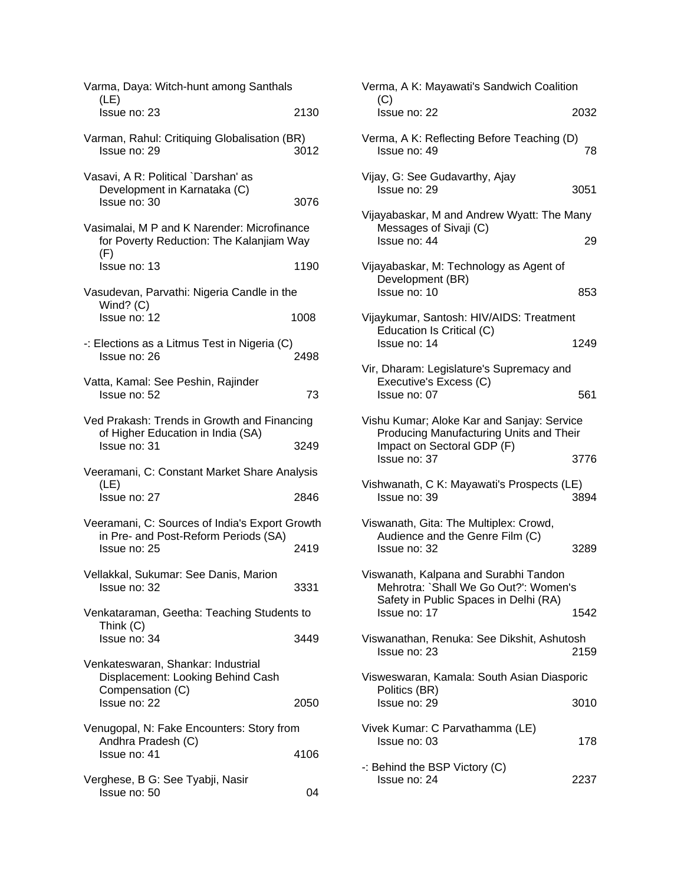| Varma, Daya: Witch-hunt among Santhals<br>(LE)                                                 |      |
|------------------------------------------------------------------------------------------------|------|
| Issue no: 23                                                                                   | 2130 |
| Varman, Rahul: Critiquing Globalisation (BR)<br>Issue no: 29                                   | 3012 |
| Vasavi, A R: Political `Darshan' as<br>Development in Karnataka (C)<br>Issue no: 30            | 3076 |
| Vasimalai, M P and K Narender: Microfinance<br>for Poverty Reduction: The Kalanjiam Way<br>(F) |      |
| Issue no: 13                                                                                   | 1190 |
| Vasudevan, Parvathi: Nigeria Candle in the<br>Wind? $(C)$                                      |      |
| Issue no: 12                                                                                   | 1008 |
| -: Elections as a Litmus Test in Nigeria (C)<br>Issue no: 26                                   | 2498 |
| Vatta, Kamal: See Peshin, Rajinder<br>Issue no: 52                                             | 73   |
| Ved Prakash: Trends in Growth and Financing                                                    |      |
| of Higher Education in India (SA)<br>Issue no: 31                                              | 3249 |
| Veeramani, C: Constant Market Share Analysis                                                   |      |
| (LE)<br>Issue no: 27                                                                           | 2846 |
| Veeramani, C: Sources of India's Export Growth                                                 |      |
| in Pre- and Post-Reform Periods (SA)<br>Issue no: 25                                           | 2419 |
| Vellakkal, Sukumar: See Danis, Marion<br>Issue no: 32                                          | 3331 |
| Venkataraman, Geetha: Teaching Students to                                                     |      |
| Think (C)<br>Issue no: 34                                                                      | 3449 |
| Venkateswaran, Shankar: Industrial<br>Displacement: Looking Behind Cash<br>Compensation (C)    |      |
| Issue no: 22                                                                                   | 2050 |
| Venugopal, N: Fake Encounters: Story from<br>Andhra Pradesh (C)                                |      |
| Issue no: 41                                                                                   | 4106 |
| Verghese, B G: See Tyabji, Nasir<br>Issue no: 50                                               | 04   |

| Verma, A K: Mayawati's Sandwich Coalition                                                                                               |      |
|-----------------------------------------------------------------------------------------------------------------------------------------|------|
| (C)<br>Issue no: 22                                                                                                                     | 2032 |
| Verma, A K: Reflecting Before Teaching (D)<br>Issue no: 49                                                                              | 78   |
| Vijay, G: See Gudavarthy, Ajay<br>Issue no: 29                                                                                          | 3051 |
| Vijayabaskar, M and Andrew Wyatt: The Many<br>Messages of Sivaji (C)<br>Issue no: 44                                                    | 29   |
| Vijayabaskar, M: Technology as Agent of<br>Development (BR)<br>Issue no: 10                                                             | 853  |
| Vijaykumar, Santosh: HIV/AIDS: Treatment<br>Education Is Critical (C)<br>Issue no: 14                                                   | 1249 |
| Vir, Dharam: Legislature's Supremacy and<br>Executive's Excess (C)<br>Issue no: 07                                                      | 561  |
| Vishu Kumar; Aloke Kar and Sanjay: Service<br>Producing Manufacturing Units and Their<br>Impact on Sectoral GDP (F)<br>Issue no: 37     | 3776 |
| Vishwanath, C K: Mayawati's Prospects (LE)<br>Issue no: 39                                                                              | 3894 |
| Viswanath, Gita: The Multiplex: Crowd,<br>Audience and the Genre Film (C)<br>Issue no: 32                                               | 3289 |
| Viswanath, Kalpana and Surabhi Tandon<br>Mehrotra: `Shall We Go Out?': Women's<br>Safety in Public Spaces in Delhi (RA)<br>Issue no: 17 | 1542 |
| Viswanathan, Renuka: See Dikshit, Ashutosh<br>Issue no: 23                                                                              | 2159 |
| Visweswaran, Kamala: South Asian Diasporic<br>Politics (BR)<br>Issue no: 29                                                             | 3010 |
| Vivek Kumar: C Parvathamma (LE)<br>Issue no: 03                                                                                         | 178  |
| -: Behind the BSP Victory (C)<br>Issue no: 24                                                                                           | 2237 |